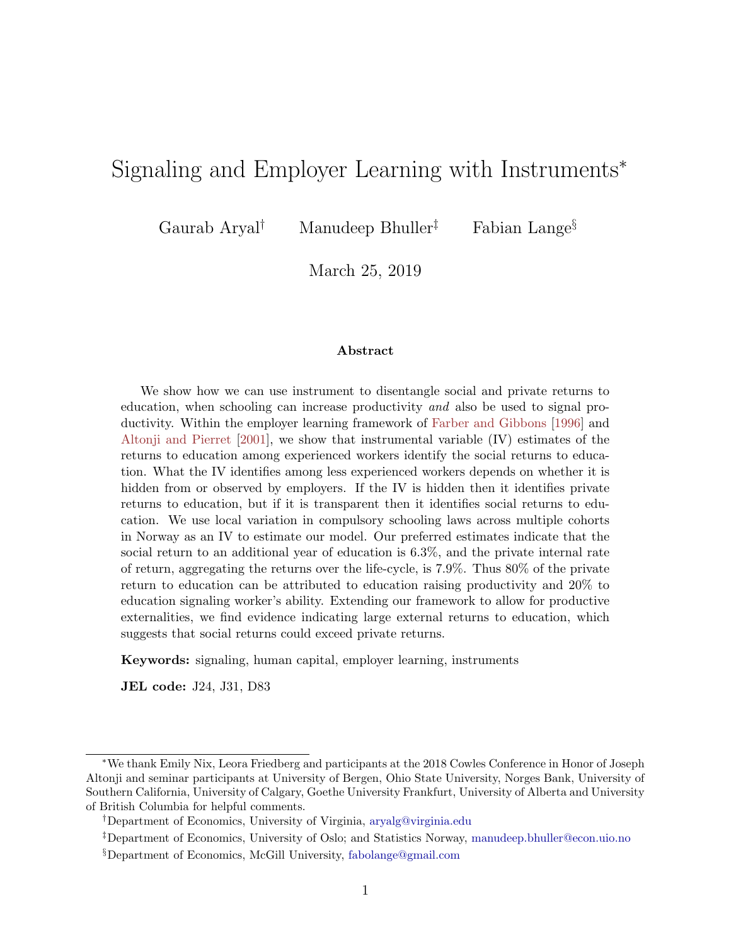# <span id="page-0-1"></span><span id="page-0-0"></span>Signaling and Employer Learning with Instruments<sup>∗</sup>

Gaurab Aryal<sup>†</sup> Manudeep Bhuller<sup>‡</sup> Fabian Lange<sup>§</sup>

March 25, 2019

#### Abstract

We show how we can use instrument to disentangle social and private returns to education, when schooling can increase productivity and also be used to signal productivity. Within the employer learning framework of [Farber and Gibbons](#page-47-0) [\[1996\]](#page-47-0) and [Altonji and Pierret](#page-45-0) [\[2001\]](#page-45-0), we show that instrumental variable (IV) estimates of the returns to education among experienced workers identify the social returns to education. What the IV identifies among less experienced workers depends on whether it is hidden from or observed by employers. If the IV is hidden then it identifies private returns to education, but if it is transparent then it identifies social returns to education. We use local variation in compulsory schooling laws across multiple cohorts in Norway as an IV to estimate our model. Our preferred estimates indicate that the social return to an additional year of education is 6.3%, and the private internal rate of return, aggregating the returns over the life-cycle, is 7.9%. Thus 80% of the private return to education can be attributed to education raising productivity and 20% to education signaling worker's ability. Extending our framework to allow for productive externalities, we find evidence indicating large external returns to education, which suggests that social returns could exceed private returns.

Keywords: signaling, human capital, employer learning, instruments

JEL code: J24, J31, D83

<sup>∗</sup>We thank Emily Nix, Leora Friedberg and participants at the 2018 Cowles Conference in Honor of Joseph Altonji and seminar participants at University of Bergen, Ohio State University, Norges Bank, University of Southern California, University of Calgary, Goethe University Frankfurt, University of Alberta and University of British Columbia for helpful comments.

<sup>†</sup>Department of Economics, University of Virginia, [aryalg@virginia.edu](mailto:aryalg@virginia.edu)

<sup>‡</sup>Department of Economics, University of Oslo; and Statistics Norway, [manudeep.bhuller@econ.uio.no](mailto:manudeep.bhuller@econ.uio.no) §Department of Economics, McGill University, [fabolange@gmail.com](mailto:fabolange@gmail.com)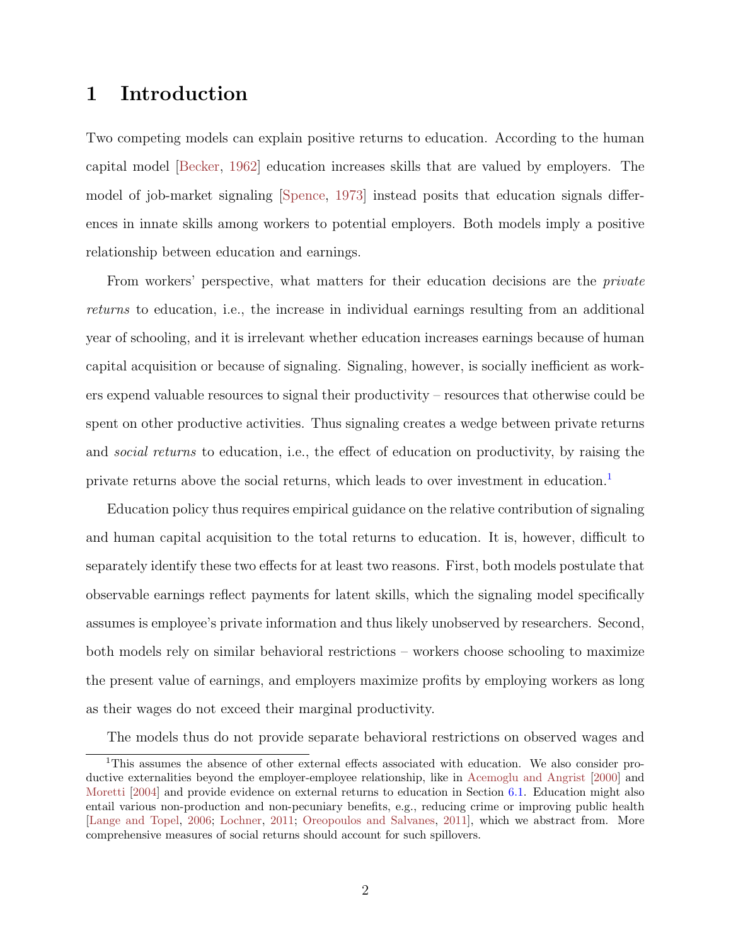## <span id="page-1-0"></span>1 Introduction

Two competing models can explain positive returns to education. According to the human capital model [\[Becker,](#page-46-0) [1962\]](#page-46-0) education increases skills that are valued by employers. The model of job-market signaling [\[Spence,](#page-50-0) [1973\]](#page-50-0) instead posits that education signals differences in innate skills among workers to potential employers. Both models imply a positive relationship between education and earnings.

From workers' perspective, what matters for their education decisions are the *private* returns to education, i.e., the increase in individual earnings resulting from an additional year of schooling, and it is irrelevant whether education increases earnings because of human capital acquisition or because of signaling. Signaling, however, is socially inefficient as workers expend valuable resources to signal their productivity – resources that otherwise could be spent on other productive activities. Thus signaling creates a wedge between private returns and social returns to education, i.e., the effect of education on productivity, by raising the private returns above the social returns, which leads to over investment in education.<sup>[1](#page-0-0)</sup>

Education policy thus requires empirical guidance on the relative contribution of signaling and human capital acquisition to the total returns to education. It is, however, difficult to separately identify these two effects for at least two reasons. First, both models postulate that observable earnings reflect payments for latent skills, which the signaling model specifically assumes is employee's private information and thus likely unobserved by researchers. Second, both models rely on similar behavioral restrictions – workers choose schooling to maximize the present value of earnings, and employers maximize profits by employing workers as long as their wages do not exceed their marginal productivity.

The models thus do not provide separate behavioral restrictions on observed wages and

<sup>1</sup>This assumes the absence of other external effects associated with education. We also consider productive externalities beyond the employer-employee relationship, like in [Acemoglu and Angrist](#page-45-1) [\[2000\]](#page-45-1) and [Moretti](#page-49-0) [\[2004\]](#page-49-0) and provide evidence on external returns to education in Section [6.1.](#page-35-0) Education might also entail various non-production and non-pecuniary benefits, e.g., reducing crime or improving public health [\[Lange and Topel,](#page-48-0) [2006;](#page-48-0) [Lochner,](#page-48-1) [2011;](#page-48-1) [Oreopoulos and Salvanes,](#page-49-1) [2011\]](#page-49-1), which we abstract from. More comprehensive measures of social returns should account for such spillovers.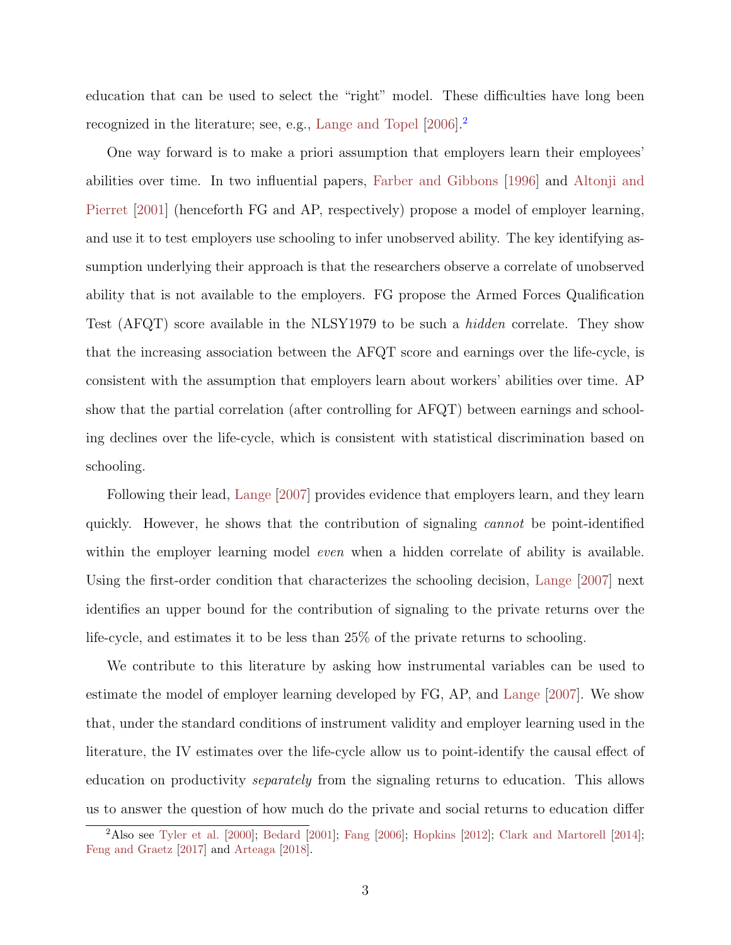<span id="page-2-0"></span>education that can be used to select the "right" model. These difficulties have long been recognized in the literature; see, e.g., [Lange and Topel](#page-48-0) [\[2006\]](#page-48-0).[2](#page-0-0)

One way forward is to make a priori assumption that employers learn their employees' abilities over time. In two influential papers, [Farber and Gibbons](#page-47-0) [\[1996\]](#page-47-0) and [Altonji and](#page-45-0) [Pierret](#page-45-0) [\[2001\]](#page-45-0) (henceforth FG and AP, respectively) propose a model of employer learning, and use it to test employers use schooling to infer unobserved ability. The key identifying assumption underlying their approach is that the researchers observe a correlate of unobserved ability that is not available to the employers. FG propose the Armed Forces Qualification Test (AFQT) score available in the NLSY1979 to be such a hidden correlate. They show that the increasing association between the AFQT score and earnings over the life-cycle, is consistent with the assumption that employers learn about workers' abilities over time. AP show that the partial correlation (after controlling for AFQT) between earnings and schooling declines over the life-cycle, which is consistent with statistical discrimination based on schooling.

Following their lead, [Lange](#page-48-2) [\[2007\]](#page-48-2) provides evidence that employers learn, and they learn quickly. However, he shows that the contribution of signaling cannot be point-identified within the employer learning model *even* when a hidden correlate of ability is available. Using the first-order condition that characterizes the schooling decision, [Lange](#page-48-2) [\[2007\]](#page-48-2) next identifies an upper bound for the contribution of signaling to the private returns over the life-cycle, and estimates it to be less than 25% of the private returns to schooling.

We contribute to this literature by asking how instrumental variables can be used to estimate the model of employer learning developed by FG, AP, and [Lange](#page-48-2) [\[2007\]](#page-48-2). We show that, under the standard conditions of instrument validity and employer learning used in the literature, the IV estimates over the life-cycle allow us to point-identify the causal effect of education on productivity separately from the signaling returns to education. This allows us to answer the question of how much do the private and social returns to education differ

<sup>&</sup>lt;sup>2</sup>Also see [Tyler et al.](#page-50-1) [\[2000\]](#page-50-1); [Bedard](#page-46-1) [\[2001\]](#page-46-1); [Fang](#page-47-1) [\[2006\]](#page-47-1); [Hopkins](#page-47-2) [\[2012\]](#page-47-2); [Clark and Martorell](#page-47-3) [\[2014\]](#page-47-3); [Feng and Graetz](#page-47-4) [\[2017\]](#page-47-4) and [Arteaga](#page-46-2) [\[2018\]](#page-46-2).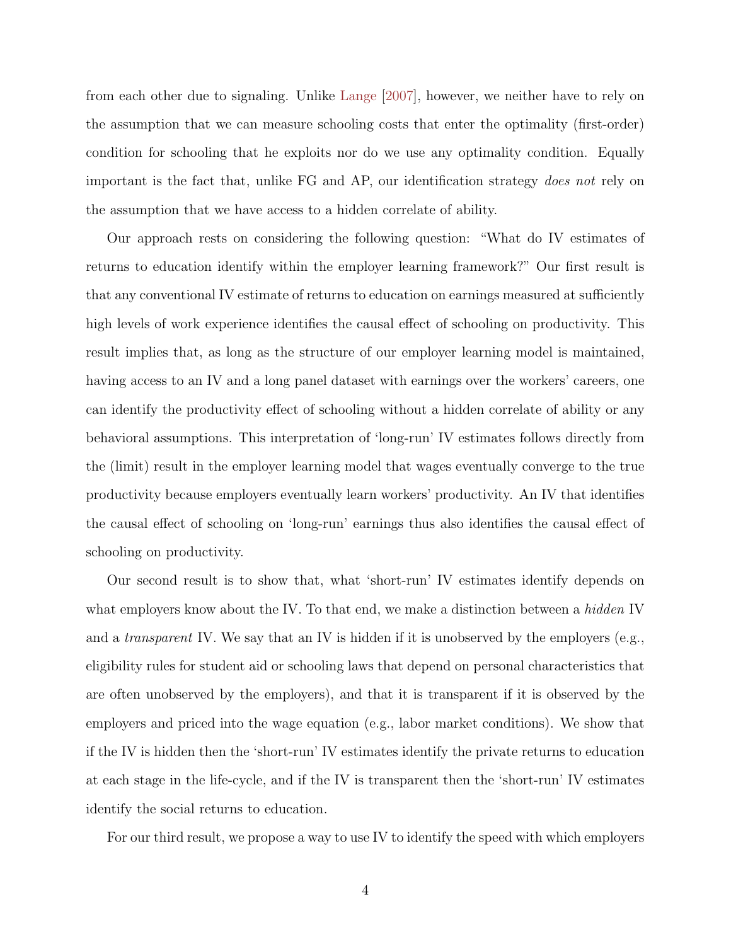<span id="page-3-0"></span>from each other due to signaling. Unlike [Lange](#page-48-2) [\[2007\]](#page-48-2), however, we neither have to rely on the assumption that we can measure schooling costs that enter the optimality (first-order) condition for schooling that he exploits nor do we use any optimality condition. Equally important is the fact that, unlike FG and AP, our identification strategy does not rely on the assumption that we have access to a hidden correlate of ability.

Our approach rests on considering the following question: "What do IV estimates of returns to education identify within the employer learning framework?" Our first result is that any conventional IV estimate of returns to education on earnings measured at sufficiently high levels of work experience identifies the causal effect of schooling on productivity. This result implies that, as long as the structure of our employer learning model is maintained, having access to an IV and a long panel dataset with earnings over the workers' careers, one can identify the productivity effect of schooling without a hidden correlate of ability or any behavioral assumptions. This interpretation of 'long-run' IV estimates follows directly from the (limit) result in the employer learning model that wages eventually converge to the true productivity because employers eventually learn workers' productivity. An IV that identifies the causal effect of schooling on 'long-run' earnings thus also identifies the causal effect of schooling on productivity.

Our second result is to show that, what 'short-run' IV estimates identify depends on what employers know about the IV. To that end, we make a distinction between a *hidden* IV and a *transparent* IV. We say that an IV is hidden if it is unobserved by the employers (e.g., eligibility rules for student aid or schooling laws that depend on personal characteristics that are often unobserved by the employers), and that it is transparent if it is observed by the employers and priced into the wage equation (e.g., labor market conditions). We show that if the IV is hidden then the 'short-run' IV estimates identify the private returns to education at each stage in the life-cycle, and if the IV is transparent then the 'short-run' IV estimates identify the social returns to education.

For our third result, we propose a way to use IV to identify the speed with which employers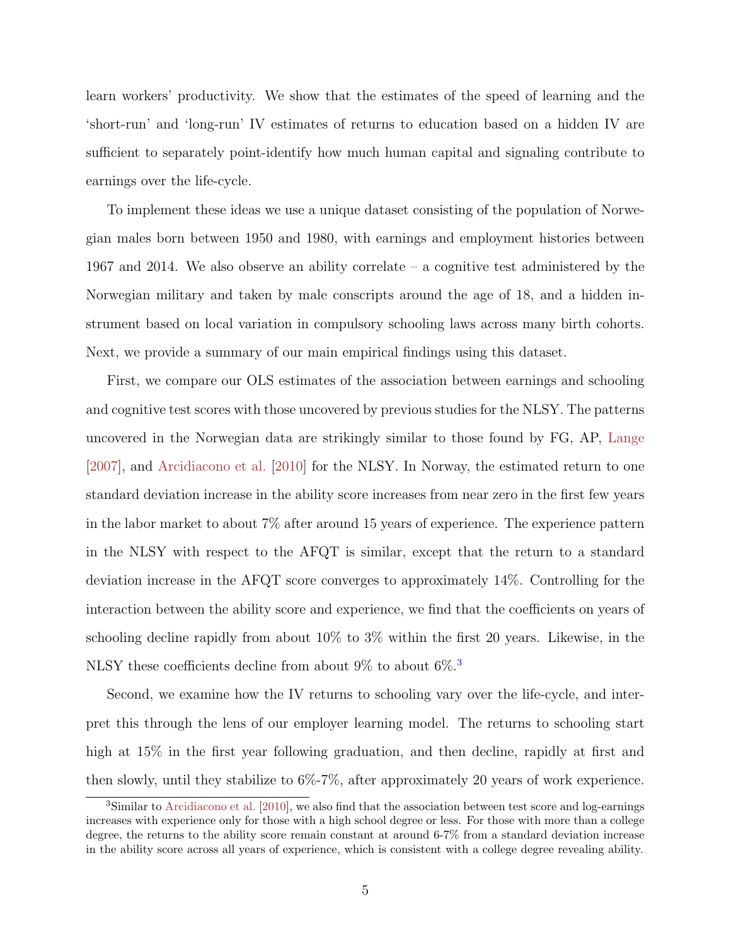<span id="page-4-0"></span>learn workers' productivity. We show that the estimates of the speed of learning and the 'short-run' and 'long-run' IV estimates of returns to education based on a hidden IV are sufficient to separately point-identify how much human capital and signaling contribute to earnings over the life-cycle.

To implement these ideas we use a unique dataset consisting of the population of Norwegian males born between 1950 and 1980, with earnings and employment histories between 1967 and 2014. We also observe an ability correlate – a cognitive test administered by the Norwegian military and taken by male conscripts around the age of 18, and a hidden instrument based on local variation in compulsory schooling laws across many birth cohorts. Next, we provide a summary of our main empirical findings using this dataset.

First, we compare our OLS estimates of the association between earnings and schooling and cognitive test scores with those uncovered by previous studies for the NLSY. The patterns uncovered in the Norwegian data are strikingly similar to those found by FG, AP, [Lange](#page-48-2) [\[2007\]](#page-48-2), and [Arcidiacono et al.](#page-45-2) [\[2010\]](#page-45-2) for the NLSY. In Norway, the estimated return to one standard deviation increase in the ability score increases from near zero in the first few years in the labor market to about 7% after around 15 years of experience. The experience pattern in the NLSY with respect to the AFQT is similar, except that the return to a standard deviation increase in the AFQT score converges to approximately 14%. Controlling for the interaction between the ability score and experience, we find that the coefficients on years of schooling decline rapidly from about 10% to 3% within the first 20 years. Likewise, in the NLSY these coefficients decline from about  $9\%$  to about  $6\%$ .<sup>[3](#page-0-0)</sup>

Second, we examine how the IV returns to schooling vary over the life-cycle, and interpret this through the lens of our employer learning model. The returns to schooling start high at 15% in the first year following graduation, and then decline, rapidly at first and then slowly, until they stabilize to 6%-7%, after approximately 20 years of work experience.

<sup>&</sup>lt;sup>3</sup>Similar to [Arcidiacono et al.](#page-45-2) [\[2010\]](#page-45-2), we also find that the association between test score and log-earnings increases with experience only for those with a high school degree or less. For those with more than a college degree, the returns to the ability score remain constant at around 6-7% from a standard deviation increase in the ability score across all years of experience, which is consistent with a college degree revealing ability.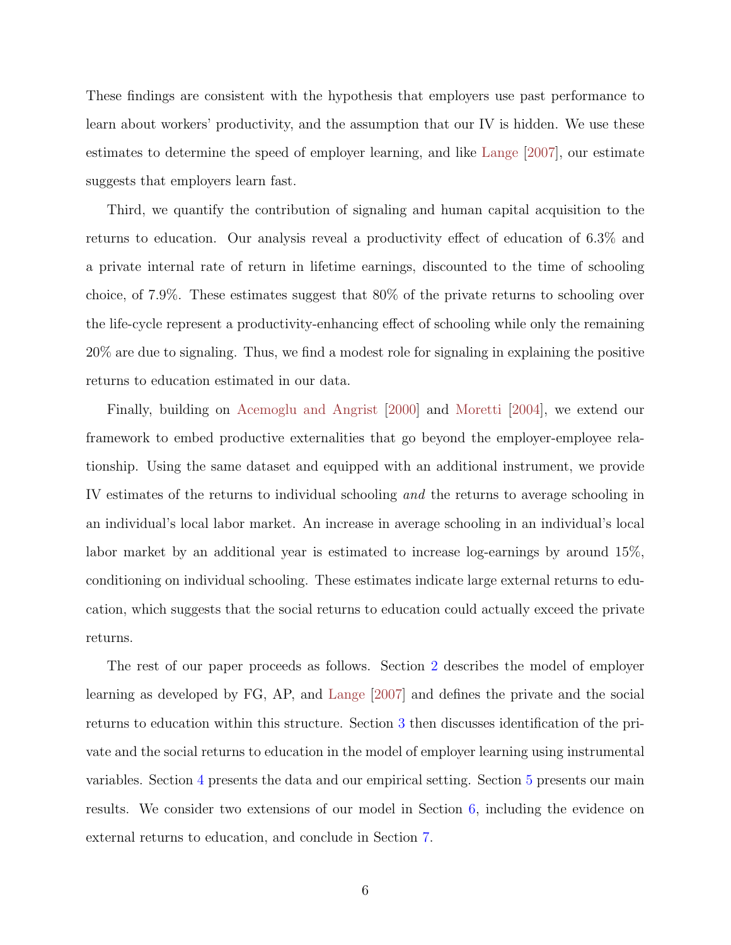<span id="page-5-0"></span>These findings are consistent with the hypothesis that employers use past performance to learn about workers' productivity, and the assumption that our IV is hidden. We use these estimates to determine the speed of employer learning, and like [Lange](#page-48-2) [\[2007\]](#page-48-2), our estimate suggests that employers learn fast.

Third, we quantify the contribution of signaling and human capital acquisition to the returns to education. Our analysis reveal a productivity effect of education of 6.3% and a private internal rate of return in lifetime earnings, discounted to the time of schooling choice, of 7.9%. These estimates suggest that 80% of the private returns to schooling over the life-cycle represent a productivity-enhancing effect of schooling while only the remaining 20% are due to signaling. Thus, we find a modest role for signaling in explaining the positive returns to education estimated in our data.

Finally, building on [Acemoglu and Angrist](#page-45-1) [\[2000\]](#page-45-1) and [Moretti](#page-49-0) [\[2004\]](#page-49-0), we extend our framework to embed productive externalities that go beyond the employer-employee relationship. Using the same dataset and equipped with an additional instrument, we provide IV estimates of the returns to individual schooling and the returns to average schooling in an individual's local labor market. An increase in average schooling in an individual's local labor market by an additional year is estimated to increase log-earnings by around 15%, conditioning on individual schooling. These estimates indicate large external returns to education, which suggests that the social returns to education could actually exceed the private returns.

The rest of our paper proceeds as follows. Section [2](#page-6-0) describes the model of employer learning as developed by FG, AP, and [Lange](#page-48-2) [\[2007\]](#page-48-2) and defines the private and the social returns to education within this structure. Section [3](#page-10-0) then discusses identification of the private and the social returns to education in the model of employer learning using instrumental variables. Section [4](#page-16-0) presents the data and our empirical setting. Section [5](#page-26-0) presents our main results. We consider two extensions of our model in Section [6,](#page-35-1) including the evidence on external returns to education, and conclude in Section [7.](#page-44-0)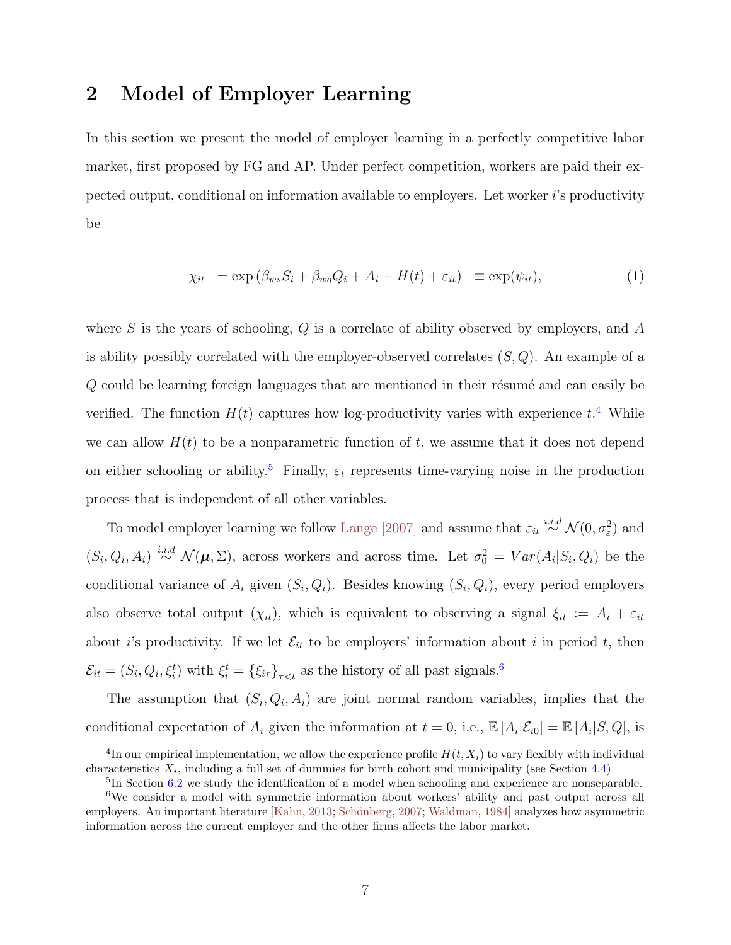## <span id="page-6-2"></span><span id="page-6-0"></span>2 Model of Employer Learning

In this section we present the model of employer learning in a perfectly competitive labor market, first proposed by FG and AP. Under perfect competition, workers are paid their expected output, conditional on information available to employers. Let worker  $i$ 's productivity be

<span id="page-6-1"></span>
$$
\chi_{it} = \exp\left(\beta_{ws} S_i + \beta_{wq} Q_i + A_i + H(t) + \varepsilon_{it}\right) \equiv \exp(\psi_{it}),\tag{1}
$$

where  $S$  is the years of schooling,  $Q$  is a correlate of ability observed by employers, and  $A$ is ability possibly correlated with the employer-observed correlates  $(S, Q)$ . An example of a  $Q$  could be learning foreign languages that are mentioned in their résumé and can easily be verified. The function  $H(t)$  captures how log-productivity varies with experience  $t^4$  $t^4$ . While we can allow  $H(t)$  to be a nonparametric function of t, we assume that it does not depend on either schooling or ability.<sup>[5](#page-0-0)</sup> Finally,  $\varepsilon_t$  represents time-varying noise in the production process that is independent of all other variables.

To model employer learning we follow [Lange](#page-48-2) [\[2007\]](#page-48-2) and assume that  $\varepsilon_{it} \stackrel{i.i.d}{\sim} \mathcal{N}(0, \sigma_{\varepsilon}^2)$  and  $(S_i, Q_i, A_i) \stackrel{i.i.d}{\sim} \mathcal{N}(\mu, \Sigma)$ , across workers and across time. Let  $\sigma_0^2 = Var(A_i|S_i, Q_i)$  be the conditional variance of  $A_i$  given  $(S_i, Q_i)$ . Besides knowing  $(S_i, Q_i)$ , every period employers also observe total output  $(\chi_{it})$ , which is equivalent to observing a signal  $\xi_{it} := A_i + \varepsilon_{it}$ about *i*'s productivity. If we let  $\mathcal{E}_{it}$  to be employers' information about *i* in period *t*, then  $\mathcal{E}_{it} = (S_i, Q_i, \xi_i^t)$  with  $\xi_i^t = {\{\xi_{i\tau}\}}_{\tau < t}$  as the history of all past signals.<sup>[6](#page-0-0)</sup>

The assumption that  $(S_i, Q_i, A_i)$  are joint normal random variables, implies that the conditional expectation of  $A_i$  given the information at  $t = 0$ , i.e.,  $\mathbb{E}[A_i|\mathcal{E}_{i0}] = \mathbb{E}[A_i|S,Q]$ , is

<sup>&</sup>lt;sup>4</sup>In our empirical implementation, we allow the experience profile  $H(t, X_i)$  to vary flexibly with individual characteristics  $X_i$ , including a full set of dummies for birth cohort and municipality (see Section [4.4\)](#page-22-0)

<sup>&</sup>lt;sup>5</sup>In Section [6.2](#page-41-0) we study the identification of a model when schooling and experience are nonseparable.

<sup>&</sup>lt;sup>6</sup>We consider a model with symmetric information about workers' ability and past output across all employers. An important literature [\[Kahn,](#page-48-3) [2013;](#page-48-3) Schönberg, [2007;](#page-50-2) [Waldman,](#page-50-3) [1984\]](#page-50-3) analyzes how asymmetric information across the current employer and the other firms affects the labor market.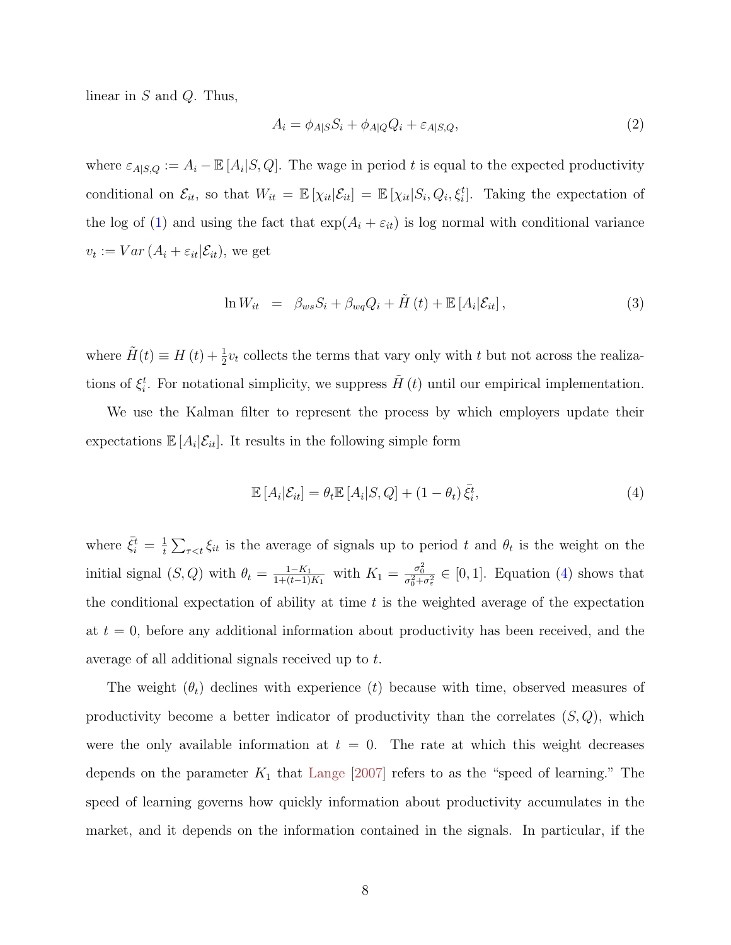<span id="page-7-3"></span>linear in  $S$  and  $Q$ . Thus,

<span id="page-7-1"></span>
$$
A_i = \phi_{A|S} S_i + \phi_{A|Q} Q_i + \varepsilon_{A|S,Q},\tag{2}
$$

where  $\varepsilon_{A|S,Q} := A_i - \mathbb{E}[A_i|S,Q]$ . The wage in period t is equal to the expected productivity conditional on  $\mathcal{E}_{it}$ , so that  $W_{it} = \mathbb{E} [\chi_{it} | \mathcal{E}_{it}] = \mathbb{E} [\chi_{it} | S_i, Q_i, \xi_i^t]$ . Taking the expectation of the log of [\(1\)](#page-6-1) and using the fact that  $\exp(A_i + \varepsilon_{it})$  is log normal with conditional variance  $v_t := Var(A_i + \varepsilon_{it}|\mathcal{E}_{it}),$  we get

<span id="page-7-2"></span>
$$
\ln W_{it} = \beta_{ws} S_i + \beta_{wq} Q_i + \tilde{H}(t) + \mathbb{E}[A_i | \mathcal{E}_{it}], \qquad (3)
$$

where  $\tilde{H}(t) \equiv H(t) + \frac{1}{2}v_t$  collects the terms that vary only with t but not across the realizations of  $\xi_i^t$ . For notational simplicity, we suppress  $\tilde{H}(t)$  until our empirical implementation.

We use the Kalman filter to represent the process by which employers update their expectations  $\mathbb{E}[A_i|\mathcal{E}_{it}]$ . It results in the following simple form

<span id="page-7-0"></span>
$$
\mathbb{E}\left[A_i|\mathcal{E}_{it}\right] = \theta_t \mathbb{E}\left[A_i|S,Q\right] + (1-\theta_t)\bar{\xi}_i^t,\tag{4}
$$

where  $\bar{\xi}_i^t = \frac{1}{t}$  $\frac{1}{t} \sum_{\tau \leq t} \xi_{it}$  is the average of signals up to period t and  $\theta_t$  is the weight on the initial signal  $(S, Q)$  with  $\theta_t = \frac{1 - K_1}{1 + (t-1)}$  $\frac{1-K_1}{1+(t-1)K_1}$  with  $K_1 = \frac{\sigma_0^2}{\sigma_0^2 + \sigma_{\varepsilon}^2}$  ∈ [0, 1]. Equation [\(4\)](#page-7-0) shows that the conditional expectation of ability at time  $t$  is the weighted average of the expectation at  $t = 0$ , before any additional information about productivity has been received, and the average of all additional signals received up to t.

The weight  $(\theta_t)$  declines with experience (t) because with time, observed measures of productivity become a better indicator of productivity than the correlates  $(S, Q)$ , which were the only available information at  $t = 0$ . The rate at which this weight decreases depends on the parameter  $K_1$  that [Lange](#page-48-2) [\[2007\]](#page-48-2) refers to as the "speed of learning." The speed of learning governs how quickly information about productivity accumulates in the market, and it depends on the information contained in the signals. In particular, if the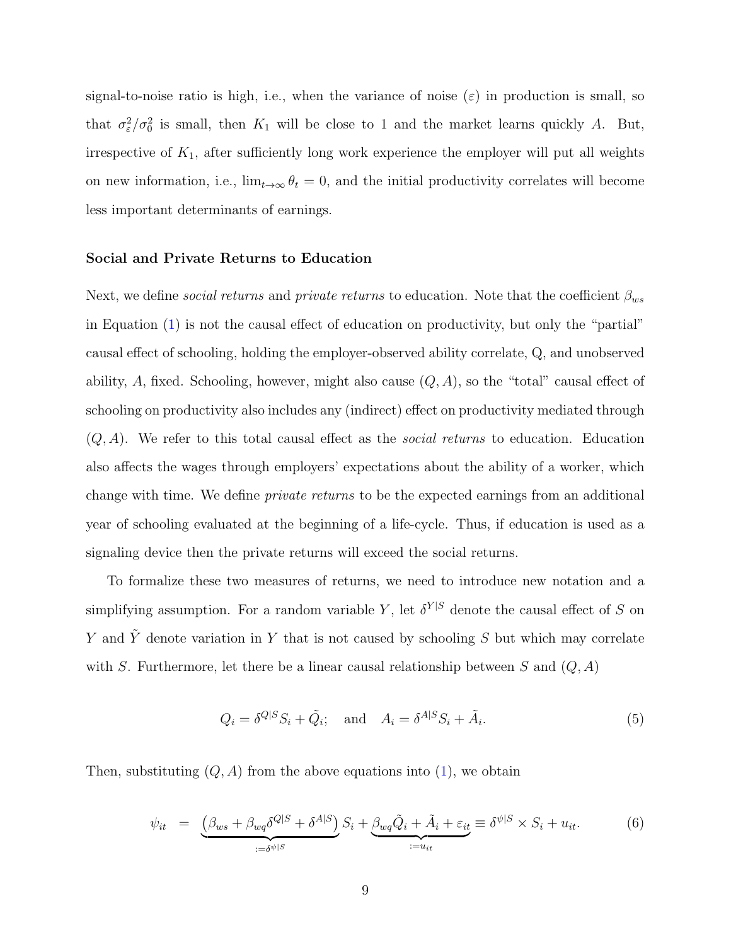signal-to-noise ratio is high, i.e., when the variance of noise  $(\varepsilon)$  in production is small, so that  $\sigma_{\varepsilon}^2/\sigma_0^2$  is small, then  $K_1$  will be close to 1 and the market learns quickly A. But, irrespective of  $K_1$ , after sufficiently long work experience the employer will put all weights on new information, i.e.,  $\lim_{t\to\infty} \theta_t = 0$ , and the initial productivity correlates will become less important determinants of earnings.

#### Social and Private Returns to Education

Next, we define *social returns* and *private returns* to education. Note that the coefficient  $\beta_{ws}$ in Equation [\(1\)](#page-6-1) is not the causal effect of education on productivity, but only the "partial" causal effect of schooling, holding the employer-observed ability correlate, Q, and unobserved ability, A, fixed. Schooling, however, might also cause  $(Q, A)$ , so the "total" causal effect of schooling on productivity also includes any (indirect) effect on productivity mediated through  $(Q, A)$ . We refer to this total causal effect as the *social returns* to education. Education also affects the wages through employers' expectations about the ability of a worker, which change with time. We define private returns to be the expected earnings from an additional year of schooling evaluated at the beginning of a life-cycle. Thus, if education is used as a signaling device then the private returns will exceed the social returns.

To formalize these two measures of returns, we need to introduce new notation and a simplifying assumption. For a random variable Y, let  $\delta^{Y|S}$  denote the causal effect of S on Y and  $\tilde{Y}$  denote variation in Y that is not caused by schooling S but which may correlate with S. Furthermore, let there be a linear causal relationship between S and  $(Q, A)$ 

<span id="page-8-1"></span>
$$
Q_i = \delta^{Q|S} S_i + \tilde{Q}_i; \quad \text{and} \quad A_i = \delta^{A|S} S_i + \tilde{A}_i. \tag{5}
$$

Then, substituting  $(Q, A)$  from the above equations into  $(1)$ , we obtain

<span id="page-8-0"></span>
$$
\psi_{it} = \underbrace{\left(\beta_{ws} + \beta_{wq}\delta^{Q|S} + \delta^{A|S}\right)}_{:=\delta^{\psi|S}} S_i + \underbrace{\beta_{wq}\tilde{Q}_i + \tilde{A}_i + \varepsilon_{it}}_{:=u_{it}} \equiv \delta^{\psi|S} \times S_i + u_{it}.
$$
 (6)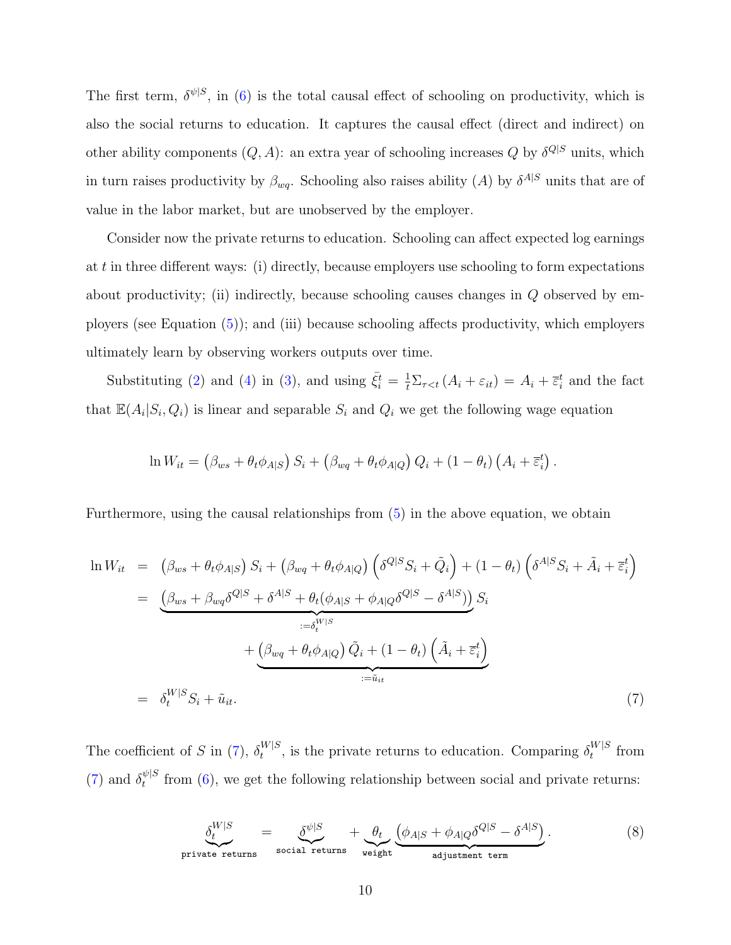The first term,  $\delta^{\psi|S}$ , in [\(6\)](#page-8-0) is the total causal effect of schooling on productivity, which is also the social returns to education. It captures the causal effect (direct and indirect) on other ability components  $(Q, A)$ : an extra year of schooling increases Q by  $\delta^{Q|S}$  units, which in turn raises productivity by  $\beta_{wq}$ . Schooling also raises ability (A) by  $\delta^{A|S}$  units that are of value in the labor market, but are unobserved by the employer.

Consider now the private returns to education. Schooling can affect expected log earnings at t in three different ways: (i) directly, because employers use schooling to form expectations about productivity; (ii) indirectly, because schooling causes changes in Q observed by employers (see Equation [\(5\)](#page-8-1)); and (iii) because schooling affects productivity, which employers ultimately learn by observing workers outputs over time.

Substituting [\(2\)](#page-7-1) and [\(4\)](#page-7-0) in [\(3\)](#page-7-2), and using  $\bar{\xi}_i^t = \frac{1}{t} \Sigma_{\tau < t} (A_i + \varepsilon_{it}) = A_i + \bar{\varepsilon}_i^t$  and the fact that  $\mathbb{E}(A_i|S_i, Q_i)$  is linear and separable  $S_i$  and  $Q_i$  we get the following wage equation

$$
\ln W_{it} = (\beta_{ws} + \theta_t \phi_{A|S}) S_i + (\beta_{wq} + \theta_t \phi_{A|Q}) Q_i + (1 - \theta_t) (A_i + \overline{\varepsilon}_i^t).
$$

Furthermore, using the causal relationships from [\(5\)](#page-8-1) in the above equation, we obtain

<span id="page-9-0"></span>
$$
\ln W_{it} = (\beta_{ws} + \theta_t \phi_{A|S}) S_i + (\beta_{wq} + \theta_t \phi_{A|Q}) \left( \delta^{Q|S} S_i + \tilde{Q}_i \right) + (1 - \theta_t) \left( \delta^{A|S} S_i + \tilde{A}_i + \overline{\varepsilon}_i^t \right)
$$
  
\n
$$
= \underbrace{\left( \beta_{ws} + \beta_{wq} \delta^{Q|S} + \delta^{A|S} + \theta_t (\phi_{A|S} + \phi_{A|Q} \delta^{Q|S} - \delta^{A|S}) \right)}_{:= \delta_t^{W|S}} S_i
$$
  
\n
$$
+ \underbrace{\left( \beta_{wq} + \theta_t \phi_{A|Q} \right) \tilde{Q}_i + (1 - \theta_t) \left( \tilde{A}_i + \overline{\varepsilon}_i^t \right)}_{:= \tilde{u}_{it}}
$$
  
\n
$$
= \delta_t^{W|S} S_i + \tilde{u}_{it}.
$$
  
\n(7)

The coefficient of S in [\(7\)](#page-9-0),  $\delta_t^{W|S}$  $t_t^{W|S}$ , is the private returns to education. Comparing  $\delta_t^{W|S}$  $t^{W|S}$  from [\(7\)](#page-9-0) and  $\delta_t^{\psi|S}$  $t_t^{\psi|S}$  from [\(6\)](#page-8-0), we get the following relationship between social and private returns:

<span id="page-9-1"></span>
$$
\underbrace{\delta_t^{W|S}}_{\text{private returns}} = \underbrace{\delta_{\psi|S}}_{\text{social returns}} + \underbrace{\theta_t}_{\text{weight}} \underbrace{(\phi_{A|S} + \phi_{A|Q} \delta^{Q|S} - \delta^{A|S})}_{\text{adjustment term}}.
$$
\n(8)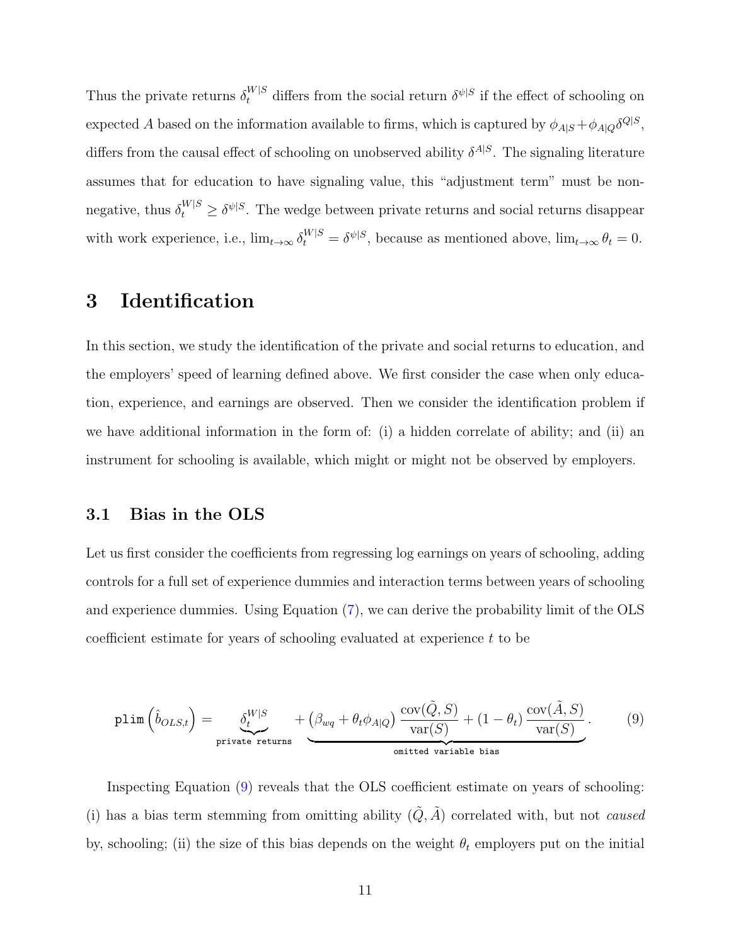Thus the private returns  $\delta_t^{W|S}$  differs from the social return  $\delta^{\psi|S}$  if the effect of schooling on expected A based on the information available to firms, which is captured by  $\phi_{A|S} + \phi_{A|Q} \delta^{Q|S}$ , differs from the causal effect of schooling on unobserved ability  $\delta^{A|S}$ . The signaling literature assumes that for education to have signaling value, this "adjustment term" must be nonnegative, thus  $\delta_t^{W|S} \ge \delta^{\psi|S}$ . The wedge between private returns and social returns disappear with work experience, i.e.,  $\lim_{t\to\infty} \delta_t^{W|S} = \delta^{\psi|S}$ , because as mentioned above,  $\lim_{t\to\infty} \theta_t = 0$ .

## <span id="page-10-0"></span>3 Identification

In this section, we study the identification of the private and social returns to education, and the employers' speed of learning defined above. We first consider the case when only education, experience, and earnings are observed. Then we consider the identification problem if we have additional information in the form of: (i) a hidden correlate of ability; and (ii) an instrument for schooling is available, which might or might not be observed by employers.

### 3.1 Bias in the OLS

Let us first consider the coefficients from regressing log earnings on years of schooling, adding controls for a full set of experience dummies and interaction terms between years of schooling and experience dummies. Using Equation [\(7\)](#page-9-0), we can derive the probability limit of the OLS coefficient estimate for years of schooling evaluated at experience t to be

<span id="page-10-1"></span>
$$
\text{plim}\left(\hat{b}_{OLS,t}\right) = \underbrace{\delta_t^{W|S}}_{\text{private returns}} + \underbrace{(\beta_{wq} + \theta_t \phi_{A|Q}) \frac{\text{cov}(\tilde{Q}, S)}{\text{var}(S)} + (1 - \theta_t) \frac{\text{cov}(\tilde{A}, S)}{\text{var}(S)}}_{\text{onitted variable bias}}.
$$
(9)

Inspecting Equation [\(9\)](#page-10-1) reveals that the OLS coefficient estimate on years of schooling: (i) has a bias term stemming from omitting ability  $(\tilde{Q}, \tilde{A})$  correlated with, but not *caused* by, schooling; (ii) the size of this bias depends on the weight  $\theta_t$  employers put on the initial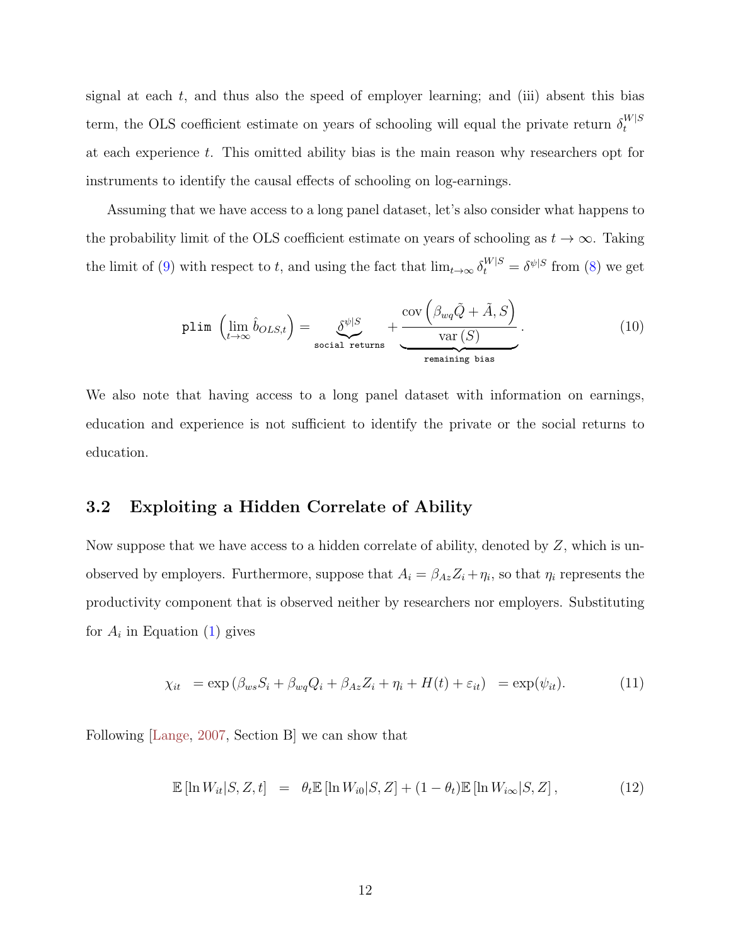<span id="page-11-1"></span>signal at each  $t$ , and thus also the speed of employer learning; and (iii) absent this bias term, the OLS coefficient estimate on years of schooling will equal the private return  $\delta_t^{W|S}$ t at each experience t. This omitted ability bias is the main reason why researchers opt for instruments to identify the causal effects of schooling on log-earnings.

Assuming that we have access to a long panel dataset, let's also consider what happens to the probability limit of the OLS coefficient estimate on years of schooling as  $t \to \infty$ . Taking the limit of [\(9\)](#page-10-1) with respect to t, and using the fact that  $\lim_{t\to\infty} \delta_t^{W|S} = \delta^{\psi|S}$  from [\(8\)](#page-9-1) we get

$$
\text{plim}\,\left(\lim_{t\to\infty}\hat{b}_{OLS,t}\right) = \underbrace{\delta^{\psi|S}}_{\text{social returns}} + \underbrace{\text{cov}\left(\beta_{wq}\tilde{Q} + \tilde{A}, S\right)}_{\text{remaining bias}}.\tag{10}
$$

We also note that having access to a long panel dataset with information on earnings, education and experience is not sufficient to identify the private or the social returns to education.

### 3.2 Exploiting a Hidden Correlate of Ability

Now suppose that we have access to a hidden correlate of ability, denoted by Z, which is unobserved by employers. Furthermore, suppose that  $A_i = \beta_{Az} Z_i + \eta_i$ , so that  $\eta_i$  represents the productivity component that is observed neither by researchers nor employers. Substituting for  $A_i$  in Equation [\(1\)](#page-6-1) gives

$$
\chi_{it} = \exp\left(\beta_{ws} S_i + \beta_{wq} Q_i + \beta_{Az} Z_i + \eta_i + H(t) + \varepsilon_{it}\right) = \exp(\psi_{it}).\tag{11}
$$

Following [\[Lange,](#page-48-2) [2007,](#page-48-2) Section B] we can show that

<span id="page-11-0"></span>
$$
\mathbb{E}\left[\ln W_{it}|S,Z,t\right] = \theta_t \mathbb{E}\left[\ln W_{i0}|S,Z\right] + (1-\theta_t)\mathbb{E}\left[\ln W_{i\infty}|S,Z\right],\tag{12}
$$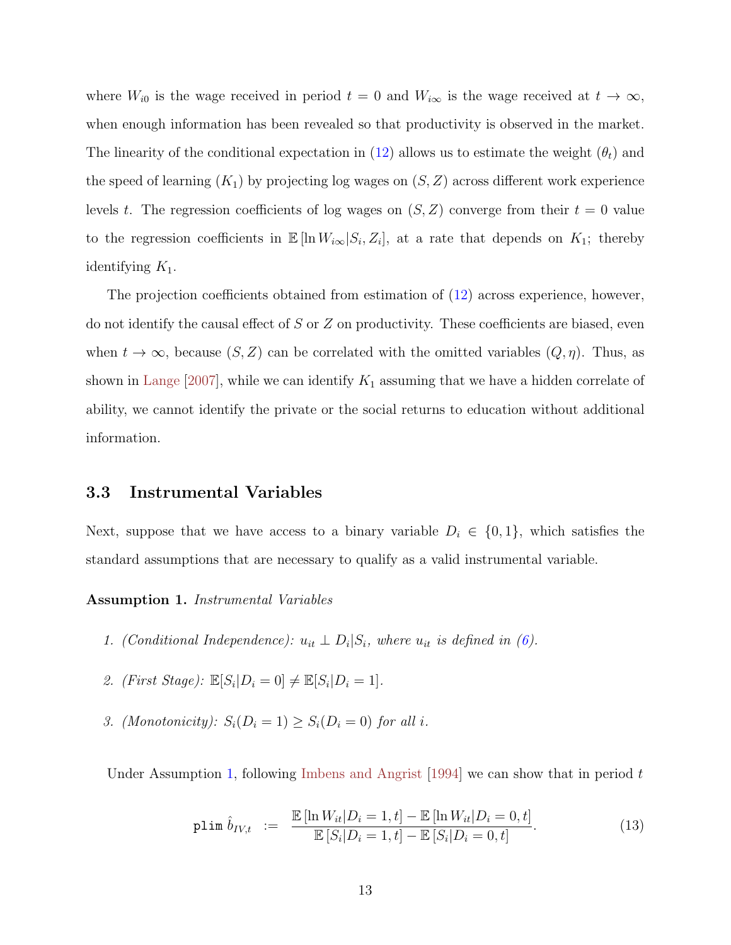<span id="page-12-2"></span>where  $W_{i0}$  is the wage received in period  $t = 0$  and  $W_{i\infty}$  is the wage received at  $t \to \infty$ , when enough information has been revealed so that productivity is observed in the market. The linearity of the conditional expectation in [\(12\)](#page-11-0) allows us to estimate the weight  $(\theta_t)$  and the speed of learning  $(K_1)$  by projecting log wages on  $(S, Z)$  across different work experience levels t. The regression coefficients of log wages on  $(S, Z)$  converge from their  $t = 0$  value to the regression coefficients in  $\mathbb{E}[\ln W_{i\infty}|S_i,Z_i]$ , at a rate that depends on  $K_1$ ; thereby identifying  $K_1$ .

The projection coefficients obtained from estimation of [\(12\)](#page-11-0) across experience, however, do not identify the causal effect of  $S$  or  $Z$  on productivity. These coefficients are biased, even when  $t \to \infty$ , because  $(S, Z)$  can be correlated with the omitted variables  $(Q, \eta)$ . Thus, as shown in [Lange](#page-48-2) [\[2007\]](#page-48-2), while we can identify  $K_1$  assuming that we have a hidden correlate of ability, we cannot identify the private or the social returns to education without additional information.

#### 3.3 Instrumental Variables

Next, suppose that we have access to a binary variable  $D_i \in \{0,1\}$ , which satisfies the standard assumptions that are necessary to qualify as a valid instrumental variable.

Assumption 1. Instrumental Variables

- 1. (Conditional Independence):  $u_{it} \perp D_i | S_i$ , where  $u_{it}$  is defined in [\(6\)](#page-8-0).
- 2. (First Stage):  $\mathbb{E}[S_i|D_i=0] \neq \mathbb{E}[S_i|D_i=1]$ .
- <span id="page-12-0"></span>3. (Monotonicity):  $S_i(D_i = 1) \geq S_i(D_i = 0)$  for all i.

Under Assumption [1,](#page-12-0) following [Imbens and Angrist](#page-47-5) [\[1994\]](#page-47-5) we can show that in period t

<span id="page-12-1"></span>
$$
\text{plim } \hat{b}_{IV,t} \ := \ \frac{\mathbb{E}\left[\ln W_{it}|D_i=1,t\right]-\mathbb{E}\left[\ln W_{it}|D_i=0,t\right]}{\mathbb{E}\left[S_i|D_i=1,t\right]-\mathbb{E}\left[S_i|D_i=0,t\right]}.\tag{13}
$$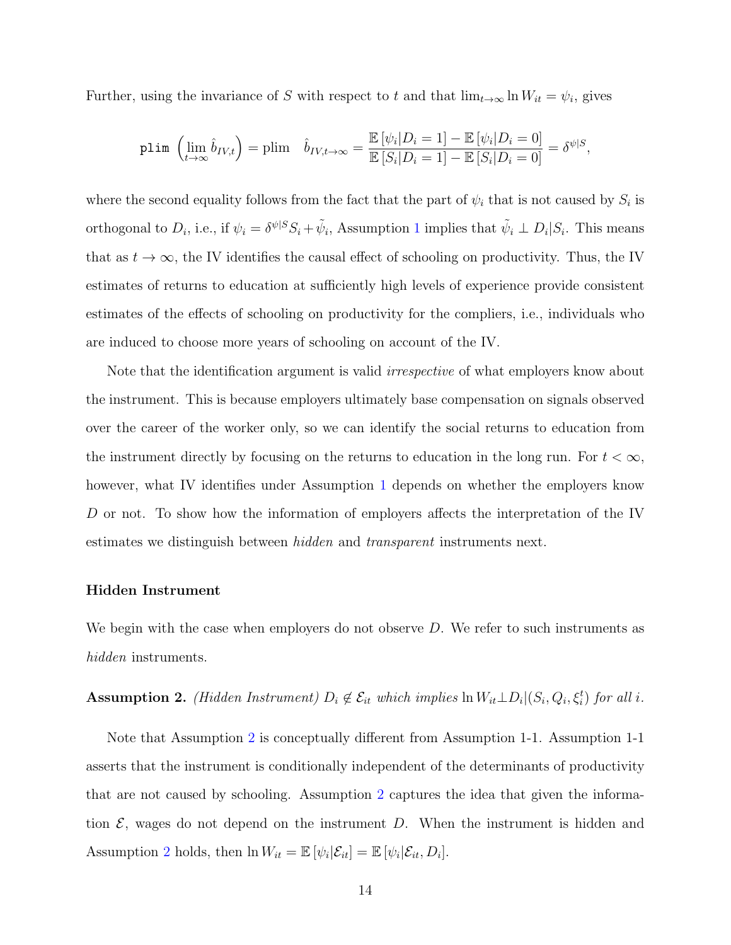Further, using the invariance of S with respect to t and that  $\lim_{t\to\infty} \ln W_{it} = \psi_i$ , gives

$$
\text{plim}\;\left(\lim_{t\to\infty}\hat{b}_{IV,t}\right)=\text{plim}\quad \hat{b}_{IV,t\to\infty}=\frac{\mathbb{E}\left[\psi_i|D_i=1\right]-\mathbb{E}\left[\psi_i|D_i=0\right]}{\mathbb{E}\left[S_i|D_i=1\right]-\mathbb{E}\left[S_i|D_i=0\right]}=\delta^{\psi|S},
$$

where the second equality follows from the fact that the part of  $\psi_i$  that is not caused by  $S_i$  is orthogonal to  $D_i$ , i.e., if  $\psi_i = \delta^{\psi|S} S_i + \tilde{\psi}_i$ , Assumption [1](#page-12-0) implies that  $\tilde{\psi}_i \perp D_i|S_i$ . This means that as  $t \to \infty$ , the IV identifies the causal effect of schooling on productivity. Thus, the IV estimates of returns to education at sufficiently high levels of experience provide consistent estimates of the effects of schooling on productivity for the compliers, i.e., individuals who are induced to choose more years of schooling on account of the IV.

Note that the identification argument is valid *irrespective* of what employers know about the instrument. This is because employers ultimately base compensation on signals observed over the career of the worker only, so we can identify the social returns to education from the instrument directly by focusing on the returns to education in the long run. For  $t < \infty$ , however, what IV identifies under Assumption [1](#page-12-0) depends on whether the employers know D or not. To show how the information of employers affects the interpretation of the IV estimates we distinguish between hidden and transparent instruments next.

#### Hidden Instrument

We begin with the case when employers do not observe  $D$ . We refer to such instruments as hidden instruments.

### <span id="page-13-0"></span>**Assumption 2.** (Hidden Instrument)  $D_i \notin \mathcal{E}_{it}$  which implies  $\ln W_{it} \perp D_i | (S_i, Q_i, \xi_i^t)$  for all i.

Note that Assumption [2](#page-13-0) is conceptually different from Assumption 1-1. Assumption 1-1 asserts that the instrument is conditionally independent of the determinants of productivity that are not caused by schooling. Assumption [2](#page-13-0) captures the idea that given the information  $\mathcal{E}$ , wages do not depend on the instrument D. When the instrument is hidden and Assumption [2](#page-13-0) holds, then  $\ln W_{it} = \mathbb{E} [\psi_i | \mathcal{E}_{it}] = \mathbb{E} [\psi_i | \mathcal{E}_{it}, D_i].$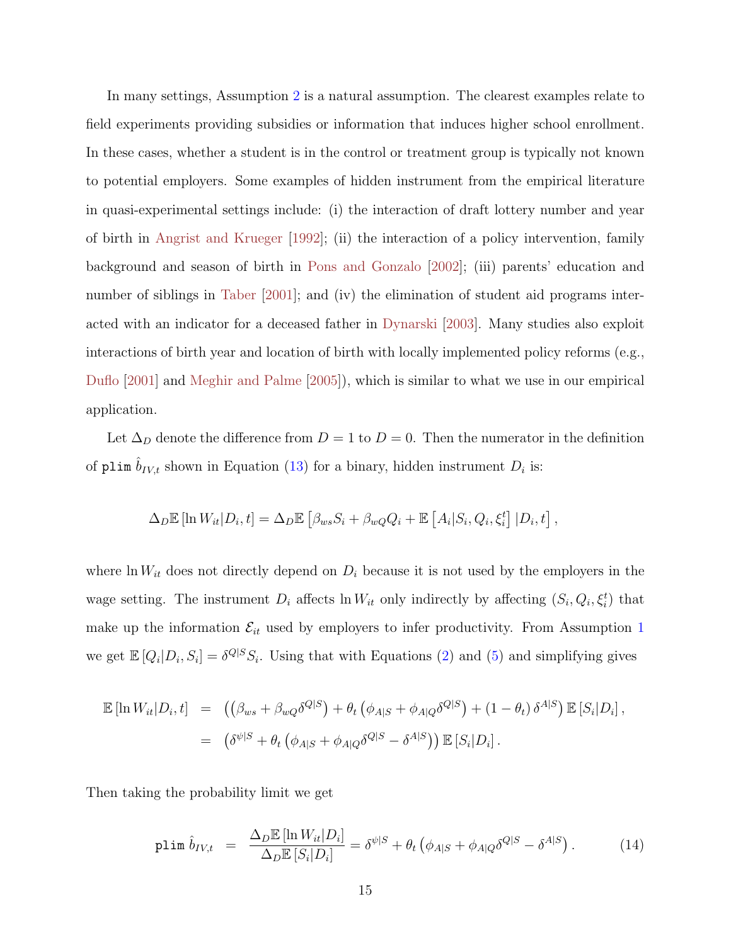<span id="page-14-1"></span>In many settings, Assumption [2](#page-13-0) is a natural assumption. The clearest examples relate to field experiments providing subsidies or information that induces higher school enrollment. In these cases, whether a student is in the control or treatment group is typically not known to potential employers. Some examples of hidden instrument from the empirical literature in quasi-experimental settings include: (i) the interaction of draft lottery number and year of birth in [Angrist and Krueger](#page-45-3) [\[1992\]](#page-45-3); (ii) the interaction of a policy intervention, family background and season of birth in [Pons and Gonzalo](#page-49-2) [\[2002\]](#page-49-2); (iii) parents' education and number of siblings in [Taber](#page-50-4) [\[2001\]](#page-50-4); and (iv) the elimination of student aid programs interacted with an indicator for a deceased father in [Dynarski](#page-47-6) [\[2003\]](#page-47-6). Many studies also exploit interactions of birth year and location of birth with locally implemented policy reforms (e.g., [Duflo](#page-47-7) [\[2001\]](#page-47-7) and [Meghir and Palme](#page-49-3) [\[2005\]](#page-49-3)), which is similar to what we use in our empirical application.

Let  $\Delta_D$  denote the difference from  $D = 1$  to  $D = 0$ . Then the numerator in the definition of plim  $\hat{b}_{IV,t}$  shown in Equation [\(13\)](#page-12-1) for a binary, hidden instrument  $D_i$  is:

$$
\Delta_D \mathbb{E} [\ln W_{it} | D_i, t] = \Delta_D \mathbb{E} [\beta_{ws} S_i + \beta_{wQ} Q_i + \mathbb{E} [A_i | S_i, Q_i, \xi_i^t] | D_i, t],
$$

where  $\ln W_{it}$  does not directly depend on  $D_i$  because it is not used by the employers in the wage setting. The instrument  $D_i$  affects  $\ln W_{it}$  only indirectly by affecting  $(S_i, Q_i, \xi_i^t)$  that make up the information  $\mathcal{E}_{it}$  used by employers to infer productivity. From Assumption [1](#page-12-0) we get  $\mathbb{E}[Q_i|D_i, S_i] = \delta^{Q|S} S_i$ . Using that with Equations [\(2\)](#page-7-1) and [\(5\)](#page-8-1) and simplifying gives

$$
\mathbb{E}\left[\ln W_{it}|D_i,t\right] = \left(\left(\beta_{ws} + \beta_{wQ}\delta^{Q|S}\right) + \theta_t\left(\phi_{A|S} + \phi_{A|Q}\delta^{Q|S}\right) + (1-\theta_t)\delta^{A|S}\right)\mathbb{E}\left[S_i|D_i\right],
$$
  

$$
= \left(\delta^{\psi|S} + \theta_t\left(\phi_{A|S} + \phi_{A|Q}\delta^{Q|S} - \delta^{A|S}\right)\right)\mathbb{E}\left[S_i|D_i\right].
$$

Then taking the probability limit we get

<span id="page-14-0"></span>
$$
\text{plim}\,\,\hat{b}_{IV,t} \quad = \quad \frac{\Delta_D \mathbb{E}\left[\ln W_{it}|D_i\right]}{\Delta_D \mathbb{E}\left[S_i|D_i\right]} = \delta^{\psi|S} + \theta_t \left(\phi_{A|S} + \phi_{A|Q} \delta^{Q|S} - \delta^{A|S}\right). \tag{14}
$$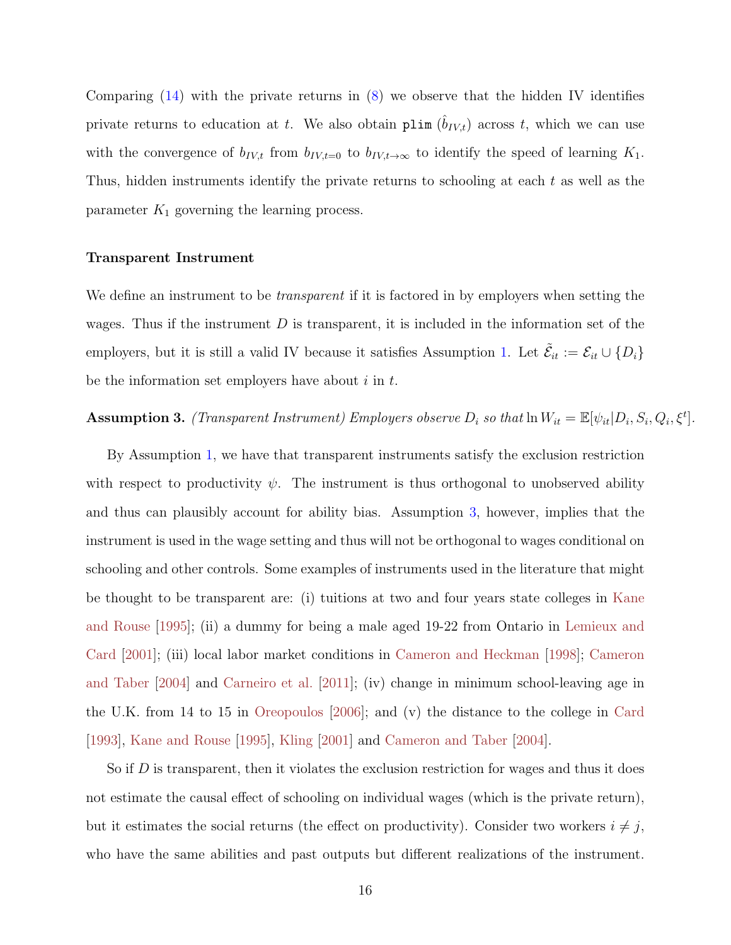<span id="page-15-1"></span>Comparing  $(14)$  with the private returns in  $(8)$  we observe that the hidden IV identifies private returns to education at t. We also obtain plim  $(\hat{b}_{IV,t})$  across t, which we can use with the convergence of  $b_{IV,t}$  from  $b_{IV,t=0}$  to  $b_{IV,t\rightarrow\infty}$  to identify the speed of learning  $K_1$ . Thus, hidden instruments identify the private returns to schooling at each t as well as the parameter  $K_1$  governing the learning process.

#### Transparent Instrument

We define an instrument to be *transparent* if it is factored in by employers when setting the wages. Thus if the instrument  $D$  is transparent, it is included in the information set of the employers, but it is still a valid IV because it satisfies Assumption [1.](#page-12-0) Let  $\tilde{\mathcal{E}}_{it} := \mathcal{E}_{it} \cup \{D_i\}$ be the information set employers have about  $i$  in  $t$ .

### <span id="page-15-0"></span>**Assumption 3.** (Transparent Instrument) Employers observe  $D_i$  so that  $\ln W_{it} = \mathbb{E}[\psi_{it}|D_i, S_i, Q_i, \xi^t]$ .

By Assumption [1,](#page-12-0) we have that transparent instruments satisfy the exclusion restriction with respect to productivity  $\psi$ . The instrument is thus orthogonal to unobserved ability and thus can plausibly account for ability bias. Assumption [3,](#page-15-0) however, implies that the instrument is used in the wage setting and thus will not be orthogonal to wages conditional on schooling and other controls. Some examples of instruments used in the literature that might be thought to be transparent are: (i) tuitions at two and four years state colleges in [Kane](#page-48-4) [and Rouse](#page-48-4) [\[1995\]](#page-48-4); (ii) a dummy for being a male aged 19-22 from Ontario in [Lemieux and](#page-48-5) [Card](#page-48-5) [\[2001\]](#page-48-5); (iii) local labor market conditions in [Cameron and Heckman](#page-46-3) [\[1998\]](#page-46-3); [Cameron](#page-46-4) [and Taber](#page-46-4) [\[2004\]](#page-46-4) and [Carneiro et al.](#page-46-5) [\[2011\]](#page-46-5); (iv) change in minimum school-leaving age in the U.K. from 14 to 15 in [Oreopoulos](#page-49-4) [\[2006\]](#page-49-4); and (v) the distance to the college in [Card](#page-46-6) [\[1993\]](#page-46-6), [Kane and Rouse](#page-48-4) [\[1995\]](#page-48-4), [Kling](#page-48-6) [\[2001\]](#page-48-6) and [Cameron and Taber](#page-46-4) [\[2004\]](#page-46-4).

So if  $D$  is transparent, then it violates the exclusion restriction for wages and thus it does not estimate the causal effect of schooling on individual wages (which is the private return), but it estimates the social returns (the effect on productivity). Consider two workers  $i \neq j$ , who have the same abilities and past outputs but different realizations of the instrument.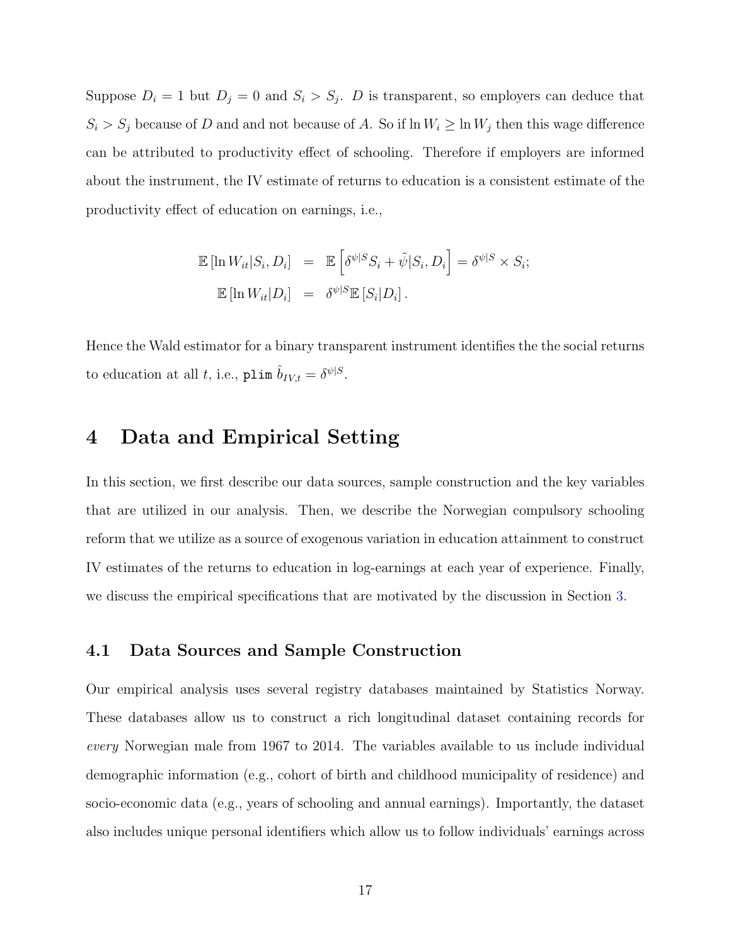Suppose  $D_i = 1$  but  $D_j = 0$  and  $S_i > S_j$ . D is transparent, so employers can deduce that  $S_i > S_j$  because of D and and not because of A. So if  $\ln W_i \ge \ln W_j$  then this wage difference can be attributed to productivity effect of schooling. Therefore if employers are informed about the instrument, the IV estimate of returns to education is a consistent estimate of the productivity effect of education on earnings, i.e.,

$$
\mathbb{E} [\ln W_{it}|S_i, D_i] = \mathbb{E} \left[ \delta^{\psi|S} S_i + \tilde{\psi}|S_i, D_i \right] = \delta^{\psi|S} \times S_i;
$$
  

$$
\mathbb{E} [\ln W_{it}|D_i] = \delta^{\psi|S} \mathbb{E} [S_i|D_i].
$$

Hence the Wald estimator for a binary transparent instrument identifies the the social returns to education at all t, i.e., plim  $\hat{b}_{IV,t} = \delta^{\psi|S}$ .

## <span id="page-16-0"></span>4 Data and Empirical Setting

In this section, we first describe our data sources, sample construction and the key variables that are utilized in our analysis. Then, we describe the Norwegian compulsory schooling reform that we utilize as a source of exogenous variation in education attainment to construct IV estimates of the returns to education in log-earnings at each year of experience. Finally, we discuss the empirical specifications that are motivated by the discussion in Section [3.](#page-10-0)

### 4.1 Data Sources and Sample Construction

Our empirical analysis uses several registry databases maintained by Statistics Norway. These databases allow us to construct a rich longitudinal dataset containing records for every Norwegian male from 1967 to 2014. The variables available to us include individual demographic information (e.g., cohort of birth and childhood municipality of residence) and socio-economic data (e.g., years of schooling and annual earnings). Importantly, the dataset also includes unique personal identifiers which allow us to follow individuals' earnings across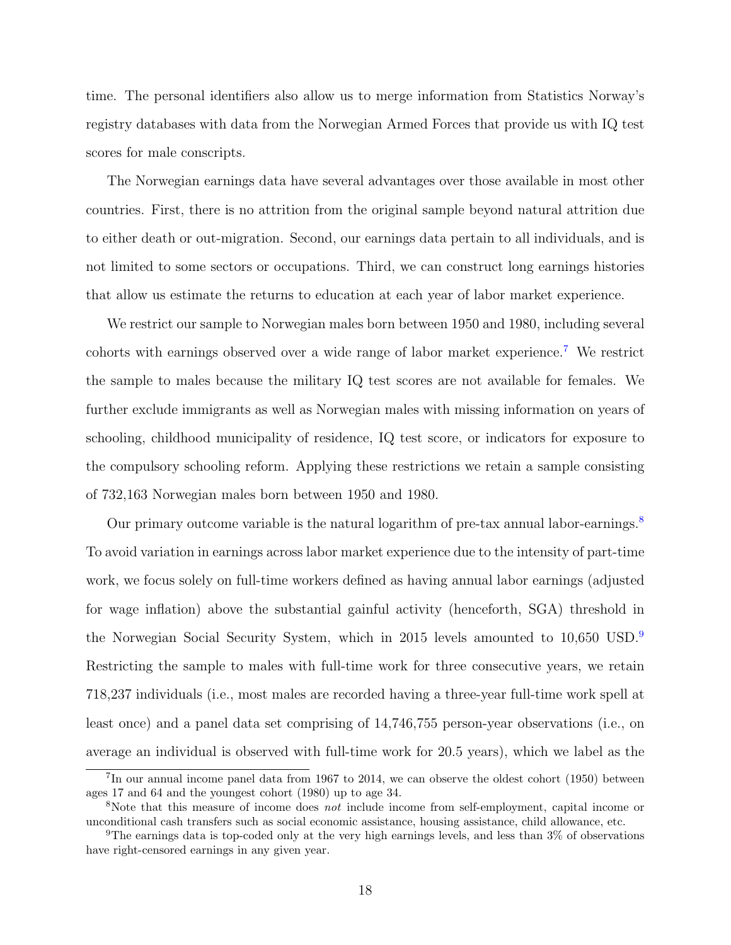time. The personal identifiers also allow us to merge information from Statistics Norway's registry databases with data from the Norwegian Armed Forces that provide us with IQ test scores for male conscripts.

The Norwegian earnings data have several advantages over those available in most other countries. First, there is no attrition from the original sample beyond natural attrition due to either death or out-migration. Second, our earnings data pertain to all individuals, and is not limited to some sectors or occupations. Third, we can construct long earnings histories that allow us estimate the returns to education at each year of labor market experience.

We restrict our sample to Norwegian males born between 1950 and 1980, including several cohorts with earnings observed over a wide range of labor market experience.[7](#page-0-0) We restrict the sample to males because the military IQ test scores are not available for females. We further exclude immigrants as well as Norwegian males with missing information on years of schooling, childhood municipality of residence, IQ test score, or indicators for exposure to the compulsory schooling reform. Applying these restrictions we retain a sample consisting of 732,163 Norwegian males born between 1950 and 1980.

Our primary outcome variable is the natural logarithm of pre-tax annual labor-earnings.<sup>[8](#page-0-0)</sup> To avoid variation in earnings across labor market experience due to the intensity of part-time work, we focus solely on full-time workers defined as having annual labor earnings (adjusted for wage inflation) above the substantial gainful activity (henceforth, SGA) threshold in the Norwegian Social Security System, which in 2015 levels amounted to 10,650 USD.[9](#page-0-0) Restricting the sample to males with full-time work for three consecutive years, we retain 718,237 individuals (i.e., most males are recorded having a three-year full-time work spell at least once) and a panel data set comprising of 14,746,755 person-year observations (i.e., on average an individual is observed with full-time work for 20.5 years), which we label as the

<sup>&</sup>lt;sup>7</sup>In our annual income panel data from 1967 to 2014, we can observe the oldest cohort (1950) between ages 17 and 64 and the youngest cohort (1980) up to age 34.

<sup>&</sup>lt;sup>8</sup>Note that this measure of income does *not* include income from self-employment, capital income or unconditional cash transfers such as social economic assistance, housing assistance, child allowance, etc.

<sup>9</sup>The earnings data is top-coded only at the very high earnings levels, and less than 3% of observations have right-censored earnings in any given year.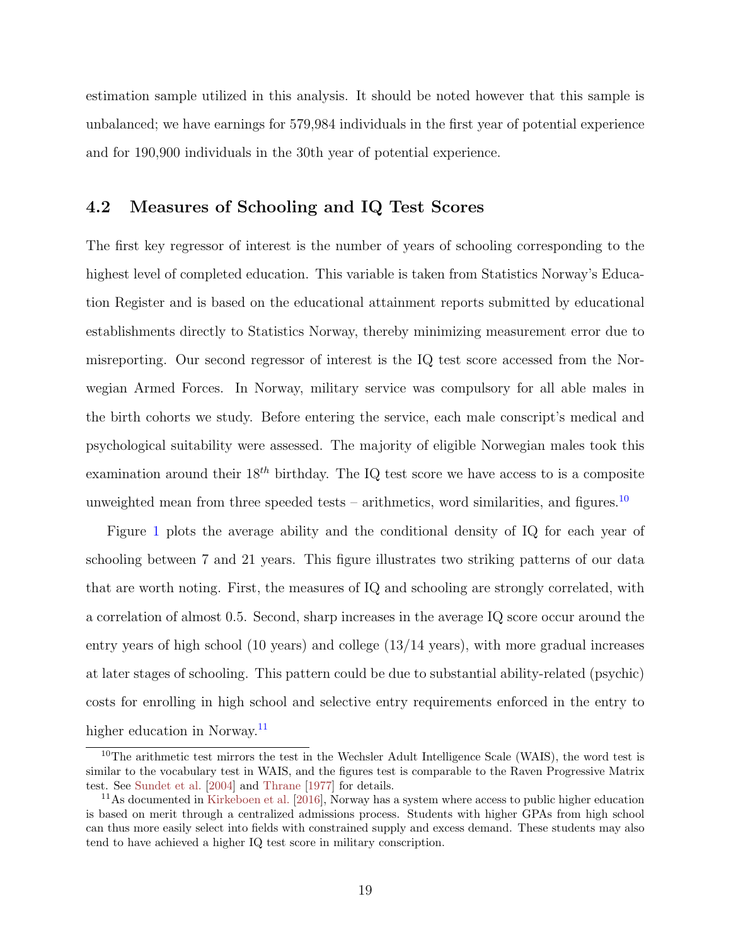<span id="page-18-0"></span>estimation sample utilized in this analysis. It should be noted however that this sample is unbalanced; we have earnings for 579,984 individuals in the first year of potential experience and for 190,900 individuals in the 30th year of potential experience.

### 4.2 Measures of Schooling and IQ Test Scores

The first key regressor of interest is the number of years of schooling corresponding to the highest level of completed education. This variable is taken from Statistics Norway's Education Register and is based on the educational attainment reports submitted by educational establishments directly to Statistics Norway, thereby minimizing measurement error due to misreporting. Our second regressor of interest is the IQ test score accessed from the Norwegian Armed Forces. In Norway, military service was compulsory for all able males in the birth cohorts we study. Before entering the service, each male conscript's medical and psychological suitability were assessed. The majority of eligible Norwegian males took this examination around their  $18^{th}$  birthday. The IQ test score we have access to is a composite unweighted mean from three speeded tests – arithmetics, word similarities, and figures.<sup>[10](#page-0-0)</sup>

Figure [1](#page-19-0) plots the average ability and the conditional density of IQ for each year of schooling between 7 and 21 years. This figure illustrates two striking patterns of our data that are worth noting. First, the measures of IQ and schooling are strongly correlated, with a correlation of almost 0.5. Second, sharp increases in the average IQ score occur around the entry years of high school (10 years) and college (13/14 years), with more gradual increases at later stages of schooling. This pattern could be due to substantial ability-related (psychic) costs for enrolling in high school and selective entry requirements enforced in the entry to higher education in Norway.<sup>[11](#page-0-0)</sup>

 $10$ The arithmetic test mirrors the test in the Wechsler Adult Intelligence Scale (WAIS), the word test is similar to the vocabulary test in WAIS, and the figures test is comparable to the Raven Progressive Matrix test. See [Sundet et al.](#page-50-5) [\[2004\]](#page-50-5) and [Thrane](#page-50-6) [\[1977\]](#page-50-6) for details.

<sup>11</sup>As documented in [Kirkeboen et al.](#page-48-7) [\[2016\]](#page-48-7), Norway has a system where access to public higher education is based on merit through a centralized admissions process. Students with higher GPAs from high school can thus more easily select into fields with constrained supply and excess demand. These students may also tend to have achieved a higher IQ test score in military conscription.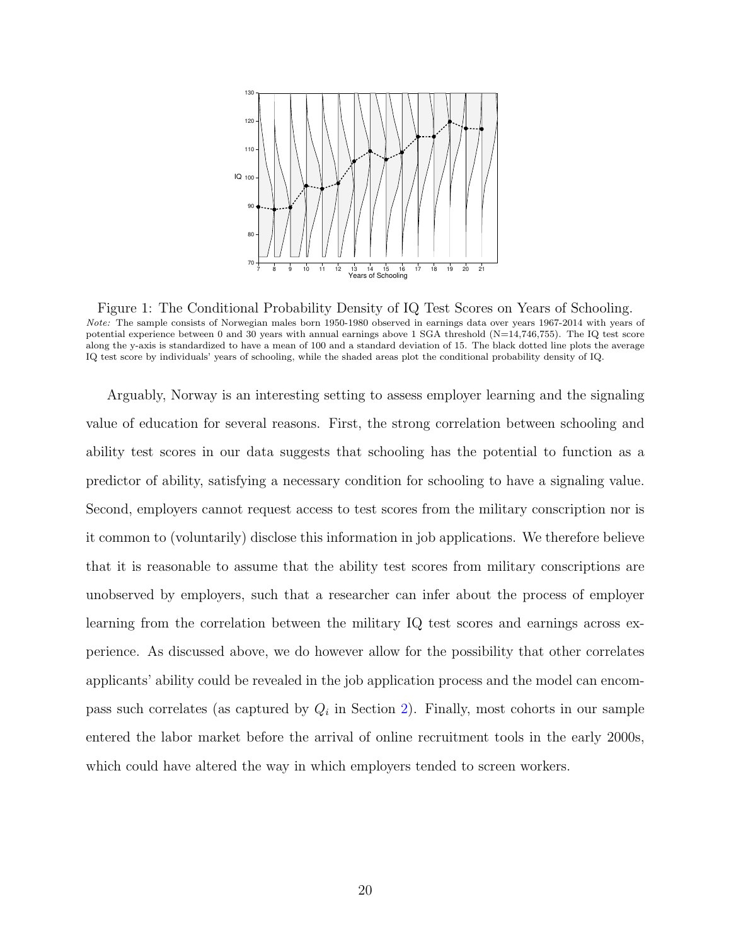<span id="page-19-0"></span>

Figure 1: The Conditional Probability Density of IQ Test Scores on Years of Schooling. Note: The sample consists of Norwegian males born 1950-1980 observed in earnings data over years 1967-2014 with years of potential experience between 0 and 30 years with annual earnings above 1 SGA threshold (N=14,746,755). The IQ test score along the y-axis is standardized to have a mean of 100 and a standard deviation of 15. The black dotted line plots the average IQ test score by individuals' years of schooling, while the shaded areas plot the conditional probability density of IQ.

Arguably, Norway is an interesting setting to assess employer learning and the signaling value of education for several reasons. First, the strong correlation between schooling and ability test scores in our data suggests that schooling has the potential to function as a predictor of ability, satisfying a necessary condition for schooling to have a signaling value. Second, employers cannot request access to test scores from the military conscription nor is it common to (voluntarily) disclose this information in job applications. We therefore believe that it is reasonable to assume that the ability test scores from military conscriptions are unobserved by employers, such that a researcher can infer about the process of employer learning from the correlation between the military IQ test scores and earnings across experience. As discussed above, we do however allow for the possibility that other correlates applicants' ability could be revealed in the job application process and the model can encompass such correlates (as captured by  $Q_i$  in Section [2\)](#page-6-0). Finally, most cohorts in our sample entered the labor market before the arrival of online recruitment tools in the early 2000s, which could have altered the way in which employers tended to screen workers.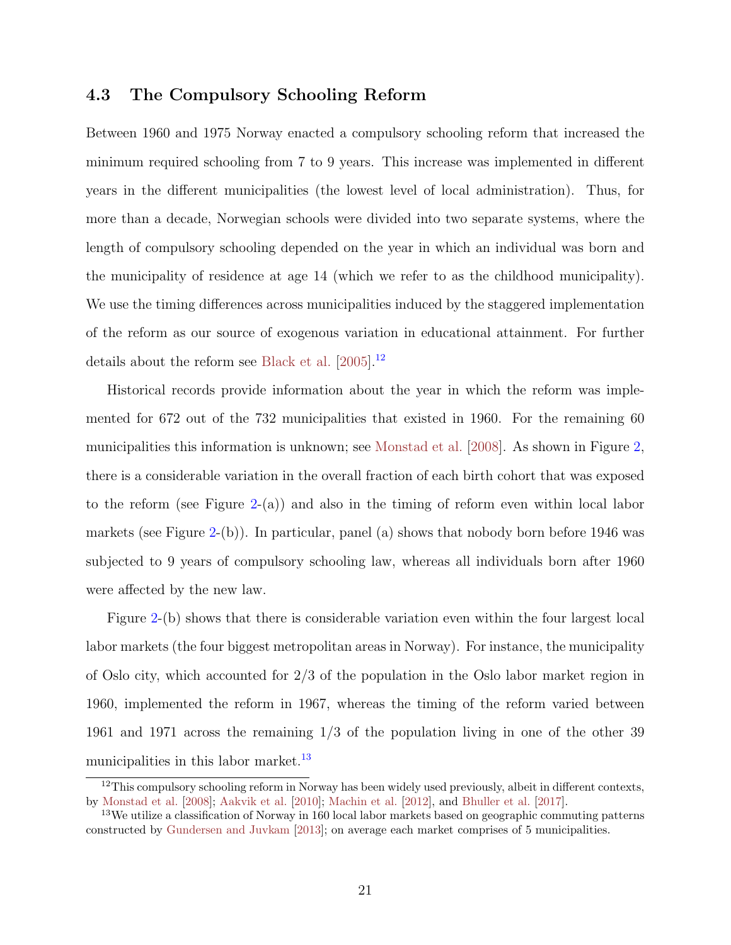### <span id="page-20-1"></span><span id="page-20-0"></span>4.3 The Compulsory Schooling Reform

Between 1960 and 1975 Norway enacted a compulsory schooling reform that increased the minimum required schooling from 7 to 9 years. This increase was implemented in different years in the different municipalities (the lowest level of local administration). Thus, for more than a decade, Norwegian schools were divided into two separate systems, where the length of compulsory schooling depended on the year in which an individual was born and the municipality of residence at age 14 (which we refer to as the childhood municipality). We use the timing differences across municipalities induced by the staggered implementation of the reform as our source of exogenous variation in educational attainment. For further details about the reform see [Black et al.](#page-46-7) [\[2005\]](#page-46-7).[12](#page-0-0)

Historical records provide information about the year in which the reform was implemented for 672 out of the 732 municipalities that existed in 1960. For the remaining 60 municipalities this information is unknown; see [Monstad et al.](#page-49-5) [\[2008\]](#page-49-5). As shown in Figure [2,](#page-21-0) there is a considerable variation in the overall fraction of each birth cohort that was exposed to the reform (see Figure  $2-(a)$  $2-(a)$ ) and also in the timing of reform even within local labor markets (see Figure [2-](#page-21-0)(b)). In particular, panel (a) shows that nobody born before  $1946$  was subjected to 9 years of compulsory schooling law, whereas all individuals born after 1960 were affected by the new law.

Figure [2-](#page-21-0)(b) shows that there is considerable variation even within the four largest local labor markets (the four biggest metropolitan areas in Norway). For instance, the municipality of Oslo city, which accounted for 2/3 of the population in the Oslo labor market region in 1960, implemented the reform in 1967, whereas the timing of the reform varied between 1961 and 1971 across the remaining 1/3 of the population living in one of the other 39 municipalities in this labor market.<sup>[13](#page-0-0)</sup>

 $12$ This compulsory schooling reform in Norway has been widely used previously, albeit in different contexts, by [Monstad et al.](#page-49-5) [\[2008\]](#page-49-5); [Aakvik et al.](#page-45-4) [\[2010\]](#page-45-4); [Machin et al.](#page-49-6) [\[2012\]](#page-49-6), and [Bhuller et al.](#page-46-8) [\[2017\]](#page-46-8).

<sup>&</sup>lt;sup>13</sup>We utilize a classification of Norway in 160 local labor markets based on geographic commuting patterns constructed by [Gundersen and Juvkam](#page-47-8) [\[2013\]](#page-47-8); on average each market comprises of 5 municipalities.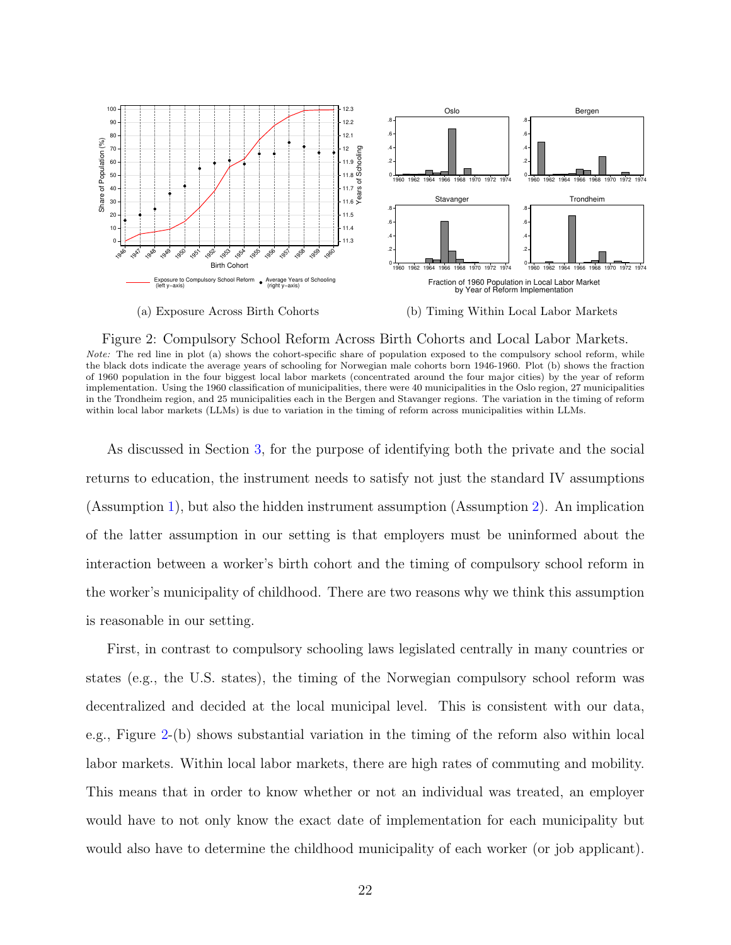<span id="page-21-0"></span>

Figure 2: Compulsory School Reform Across Birth Cohorts and Local Labor Markets. Note: The red line in plot (a) shows the cohort-specific share of population exposed to the compulsory school reform, while the black dots indicate the average years of schooling for Norwegian male cohorts born 1946-1960. Plot (b) shows the fraction of 1960 population in the four biggest local labor markets (concentrated around the four major cities) by the year of reform implementation. Using the 1960 classification of municipalities, there were 40 municipalities in the Oslo region, 27 municipalities in the Trondheim region, and 25 municipalities each in the Bergen and Stavanger regions. The variation in the timing of reform

within local labor markets (LLMs) is due to variation in the timing of reform across municipalities within LLMs.

As discussed in Section [3,](#page-10-0) for the purpose of identifying both the private and the social returns to education, the instrument needs to satisfy not just the standard IV assumptions (Assumption [1\)](#page-12-0), but also the hidden instrument assumption (Assumption [2\)](#page-13-0). An implication of the latter assumption in our setting is that employers must be uninformed about the interaction between a worker's birth cohort and the timing of compulsory school reform in the worker's municipality of childhood. There are two reasons why we think this assumption is reasonable in our setting.

First, in contrast to compulsory schooling laws legislated centrally in many countries or states (e.g., the U.S. states), the timing of the Norwegian compulsory school reform was decentralized and decided at the local municipal level. This is consistent with our data, e.g., Figure [2-](#page-21-0)(b) shows substantial variation in the timing of the reform also within local labor markets. Within local labor markets, there are high rates of commuting and mobility. This means that in order to know whether or not an individual was treated, an employer would have to not only know the exact date of implementation for each municipality but would also have to determine the childhood municipality of each worker (or job applicant).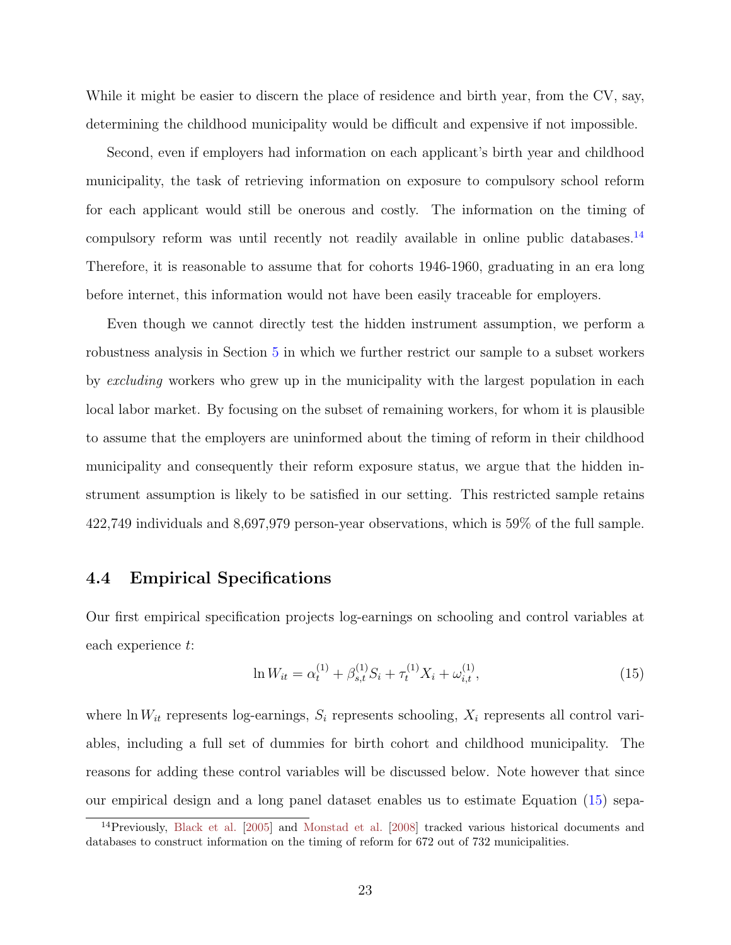<span id="page-22-2"></span>While it might be easier to discern the place of residence and birth year, from the CV, say, determining the childhood municipality would be difficult and expensive if not impossible.

Second, even if employers had information on each applicant's birth year and childhood municipality, the task of retrieving information on exposure to compulsory school reform for each applicant would still be onerous and costly. The information on the timing of compulsory reform was until recently not readily available in online public databases.<sup>[14](#page-0-0)</sup> Therefore, it is reasonable to assume that for cohorts 1946-1960, graduating in an era long before internet, this information would not have been easily traceable for employers.

Even though we cannot directly test the hidden instrument assumption, we perform a robustness analysis in Section [5](#page-26-0) in which we further restrict our sample to a subset workers by excluding workers who grew up in the municipality with the largest population in each local labor market. By focusing on the subset of remaining workers, for whom it is plausible to assume that the employers are uninformed about the timing of reform in their childhood municipality and consequently their reform exposure status, we argue that the hidden instrument assumption is likely to be satisfied in our setting. This restricted sample retains 422,749 individuals and 8,697,979 person-year observations, which is 59% of the full sample.

### <span id="page-22-0"></span>4.4 Empirical Specifications

Our first empirical specification projects log-earnings on schooling and control variables at each experience t:

<span id="page-22-1"></span>
$$
\ln W_{it} = \alpha_t^{(1)} + \beta_{s,t}^{(1)} S_i + \tau_t^{(1)} X_i + \omega_{i,t}^{(1)},\tag{15}
$$

where ln  $W_{it}$  represents log-earnings,  $S_i$  represents schooling,  $X_i$  represents all control variables, including a full set of dummies for birth cohort and childhood municipality. The reasons for adding these control variables will be discussed below. Note however that since our empirical design and a long panel dataset enables us to estimate Equation [\(15\)](#page-22-1) sepa-

<sup>14</sup>Previously, [Black et al.](#page-46-7) [\[2005\]](#page-46-7) and [Monstad et al.](#page-49-5) [\[2008\]](#page-49-5) tracked various historical documents and databases to construct information on the timing of reform for 672 out of 732 municipalities.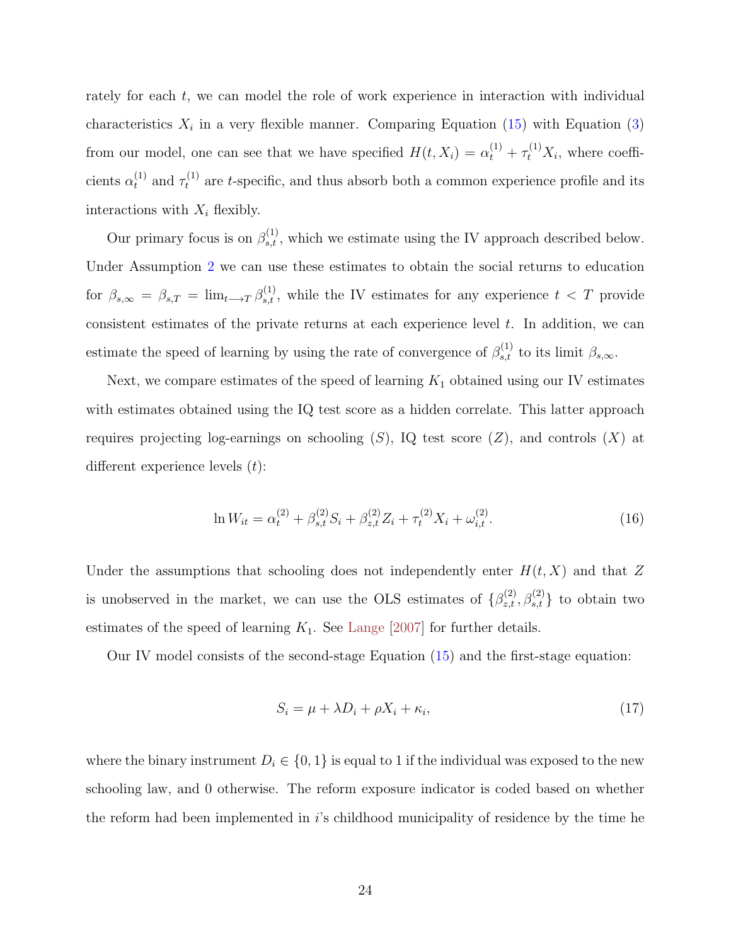<span id="page-23-2"></span>rately for each t, we can model the role of work experience in interaction with individual characteristics  $X_i$  in a very flexible manner. Comparing Equation [\(15\)](#page-22-1) with Equation [\(3\)](#page-7-2) from our model, one can see that we have specified  $H(t, X_i) = \alpha_t^{(1)} + \tau_t^{(1)} X_i$ , where coefficients  $\alpha_t^{(1)}$  and  $\tau_t^{(1)}$  are t-specific, and thus absorb both a common experience profile and its interactions with  $X_i$  flexibly.

Our primary focus is on  $\beta_{s,t}^{(1)}$ , which we estimate using the IV approach described below. Under Assumption [2](#page-13-0) we can use these estimates to obtain the social returns to education for  $\beta_{s,\infty} = \beta_{s,T} = \lim_{t \to T} \beta_{s,t}^{(1)}$ , while the IV estimates for any experience  $t < T$  provide consistent estimates of the private returns at each experience level  $t$ . In addition, we can estimate the speed of learning by using the rate of convergence of  $\beta_{s,t}^{(1)}$  to its limit  $\beta_{s,\infty}$ .

Next, we compare estimates of the speed of learning  $K_1$  obtained using our IV estimates with estimates obtained using the IQ test score as a hidden correlate. This latter approach requires projecting log-earnings on schooling  $(S)$ , IQ test score  $(Z)$ , and controls  $(X)$  at different experience levels  $(t)$ :

<span id="page-23-1"></span>
$$
\ln W_{it} = \alpha_t^{(2)} + \beta_{s,t}^{(2)} S_i + \beta_{z,t}^{(2)} Z_i + \tau_t^{(2)} X_i + \omega_{i,t}^{(2)}.
$$
\n(16)

Under the assumptions that schooling does not independently enter  $H(t, X)$  and that Z is unobserved in the market, we can use the OLS estimates of  $\{\beta_{z,t}^{(2)}, \beta_{s,t}^{(2)}\}$  to obtain two estimates of the speed of learning  $K_1$ . See [Lange](#page-48-2) [\[2007\]](#page-48-2) for further details.

Our IV model consists of the second-stage Equation [\(15\)](#page-22-1) and the first-stage equation:

<span id="page-23-0"></span>
$$
S_i = \mu + \lambda D_i + \rho X_i + \kappa_i,\tag{17}
$$

where the binary instrument  $D_i \in \{0,1\}$  is equal to 1 if the individual was exposed to the new schooling law, and 0 otherwise. The reform exposure indicator is coded based on whether the reform had been implemented in  $i$ 's childhood municipality of residence by the time he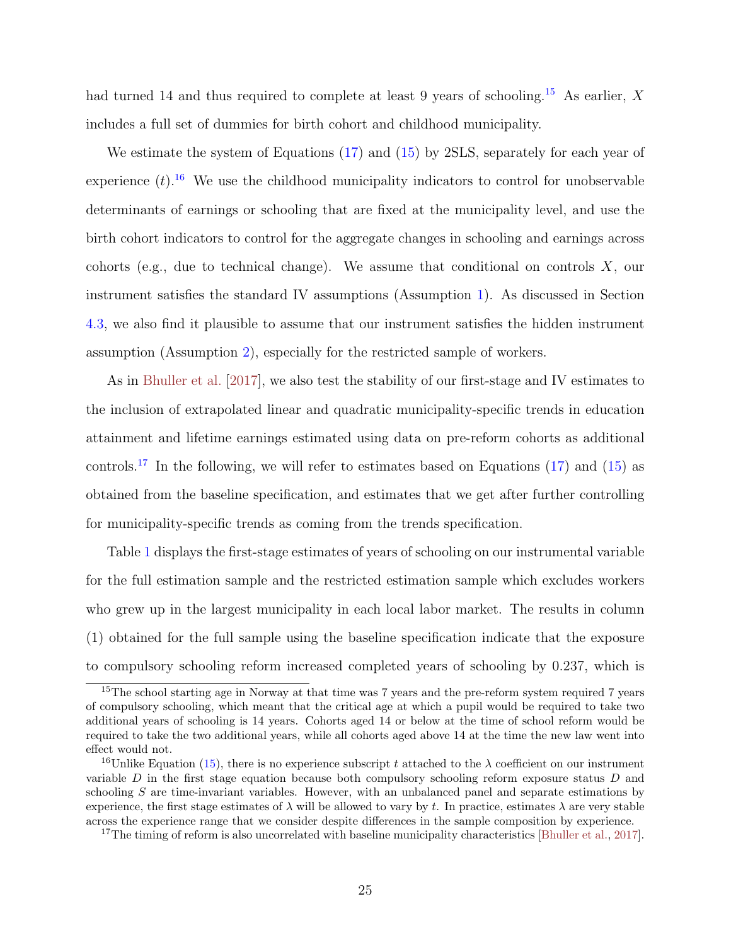<span id="page-24-0"></span>had turned 14 and thus required to complete at least 9 years of schooling.<sup>[15](#page-0-0)</sup> As earlier, X includes a full set of dummies for birth cohort and childhood municipality.

We estimate the system of Equations [\(17\)](#page-23-0) and [\(15\)](#page-22-1) by 2SLS, separately for each year of experience  $(t)$ .<sup>[16](#page-0-0)</sup> We use the childhood municipality indicators to control for unobservable determinants of earnings or schooling that are fixed at the municipality level, and use the birth cohort indicators to control for the aggregate changes in schooling and earnings across cohorts (e.g., due to technical change). We assume that conditional on controls  $X$ , our instrument satisfies the standard IV assumptions (Assumption [1\)](#page-12-0). As discussed in Section [4.3,](#page-20-0) we also find it plausible to assume that our instrument satisfies the hidden instrument assumption (Assumption [2\)](#page-13-0), especially for the restricted sample of workers.

As in [Bhuller et al.](#page-46-8) [\[2017\]](#page-46-8), we also test the stability of our first-stage and IV estimates to the inclusion of extrapolated linear and quadratic municipality-specific trends in education attainment and lifetime earnings estimated using data on pre-reform cohorts as additional controls.<sup>[17](#page-0-0)</sup> In the following, we will refer to estimates based on Equations [\(17\)](#page-23-0) and [\(15\)](#page-22-1) as obtained from the baseline specification, and estimates that we get after further controlling for municipality-specific trends as coming from the trends specification.

Table [1](#page-25-0) displays the first-stage estimates of years of schooling on our instrumental variable for the full estimation sample and the restricted estimation sample which excludes workers who grew up in the largest municipality in each local labor market. The results in column (1) obtained for the full sample using the baseline specification indicate that the exposure to compulsory schooling reform increased completed years of schooling by 0.237, which is

<sup>&</sup>lt;sup>15</sup>The school starting age in Norway at that time was 7 years and the pre-reform system required 7 years of compulsory schooling, which meant that the critical age at which a pupil would be required to take two additional years of schooling is 14 years. Cohorts aged 14 or below at the time of school reform would be required to take the two additional years, while all cohorts aged above 14 at the time the new law went into effect would not.

<sup>&</sup>lt;sup>16</sup>Unlike Equation [\(15\)](#page-22-1), there is no experience subscript t attached to the  $\lambda$  coefficient on our instrument variable  $D$  in the first stage equation because both compulsory schooling reform exposure status  $D$  and schooling S are time-invariant variables. However, with an unbalanced panel and separate estimations by experience, the first stage estimates of  $\lambda$  will be allowed to vary by t. In practice, estimates  $\lambda$  are very stable across the experience range that we consider despite differences in the sample composition by experience.

<sup>&</sup>lt;sup>17</sup>The timing of reform is also uncorrelated with baseline municipality characteristics [\[Bhuller et al.,](#page-46-8) [2017\]](#page-46-8).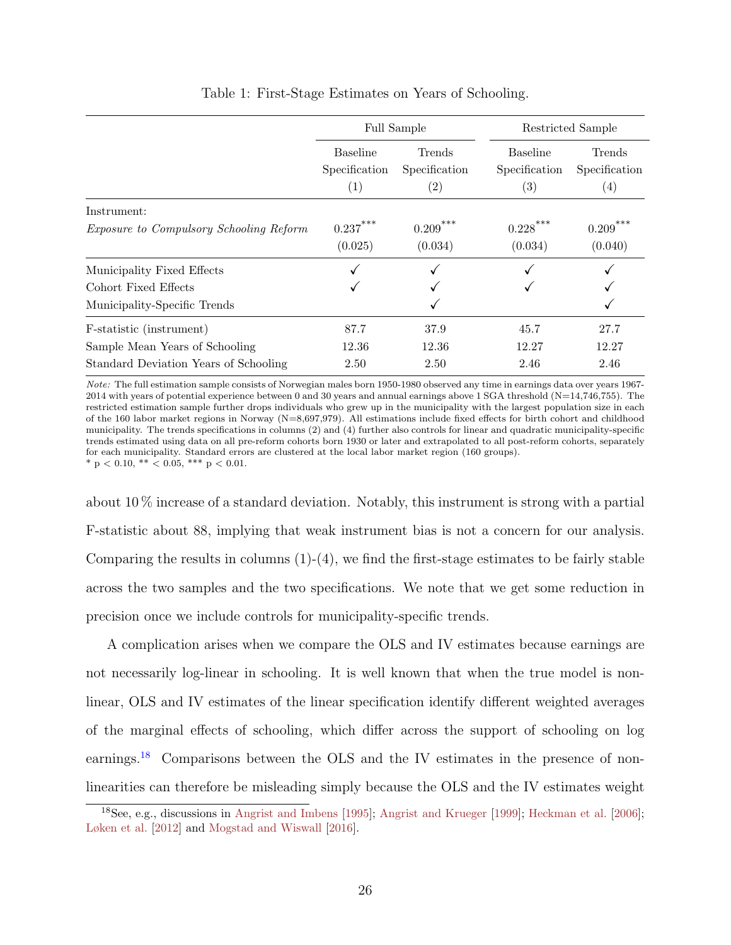<span id="page-25-1"></span><span id="page-25-0"></span>

|                                                                                                     | <b>Full Sample</b>                      |                                              | Restricted Sample                                     |                                              |
|-----------------------------------------------------------------------------------------------------|-----------------------------------------|----------------------------------------------|-------------------------------------------------------|----------------------------------------------|
|                                                                                                     | <b>Baseline</b><br>Specification<br>(1) | Trends<br>Specification<br>$\left( 2\right)$ | <b>Baseline</b><br>Specification<br>$\left( 3\right)$ | Trends<br>Specification<br>$\left( 4\right)$ |
| Instrument:<br><i>Exposure to Compulsory Schooling Reform</i>                                       | 0.237<br>(0.025)                        | ***<br>0.209<br>(0.034)                      | ***<br>0.228<br>(0.034)                               | ***<br>0.209<br>(0.040)                      |
| Municipality Fixed Effects<br>Cohort Fixed Effects<br>Municipality-Specific Trends                  |                                         |                                              |                                                       |                                              |
| F-statistic (instrument)<br>Sample Mean Years of Schooling<br>Standard Deviation Years of Schooling | 87.7<br>12.36<br>2.50                   | 37.9<br>12.36<br>2.50                        | 45.7<br>12.27<br>2.46                                 | 27.7<br>12.27<br>2.46                        |

Table 1: First-Stage Estimates on Years of Schooling.

Note: The full estimation sample consists of Norwegian males born 1950-1980 observed any time in earnings data over years 1967- 2014 with years of potential experience between 0 and 30 years and annual earnings above 1 SGA threshold ( $N=14,746,755$ ). The restricted estimation sample further drops individuals who grew up in the municipality with the largest population size in each of the 160 labor market regions in Norway (N=8,697,979). All estimations include fixed effects for birth cohort and childhood municipality. The trends specifications in columns (2) and (4) further also controls for linear and quadratic municipality-specific trends estimated using data on all pre-reform cohorts born 1930 or later and extrapolated to all post-reform cohorts, separately for each municipality. Standard errors are clustered at the local labor market region (160 groups).  $*$  p < 0.10,  $**$  < 0.05,  $***$  p < 0.01.

about 10 % increase of a standard deviation. Notably, this instrument is strong with a partial F-statistic about 88, implying that weak instrument bias is not a concern for our analysis. Comparing the results in columns  $(1)-(4)$ , we find the first-stage estimates to be fairly stable across the two samples and the two specifications. We note that we get some reduction in precision once we include controls for municipality-specific trends.

A complication arises when we compare the OLS and IV estimates because earnings are not necessarily log-linear in schooling. It is well known that when the true model is nonlinear, OLS and IV estimates of the linear specification identify different weighted averages of the marginal effects of schooling, which differ across the support of schooling on log earnings.[18](#page-0-0) Comparisons between the OLS and the IV estimates in the presence of nonlinearities can therefore be misleading simply because the OLS and the IV estimates weight

<sup>18</sup>See, e.g., discussions in [Angrist and Imbens](#page-45-5) [\[1995\]](#page-45-5); [Angrist and Krueger](#page-45-6) [\[1999\]](#page-45-6); [Heckman et al.](#page-47-9) [\[2006\]](#page-47-9); [Løken et al.](#page-48-8) [\[2012\]](#page-48-8) and [Mogstad and Wiswall](#page-49-7) [\[2016\]](#page-49-7).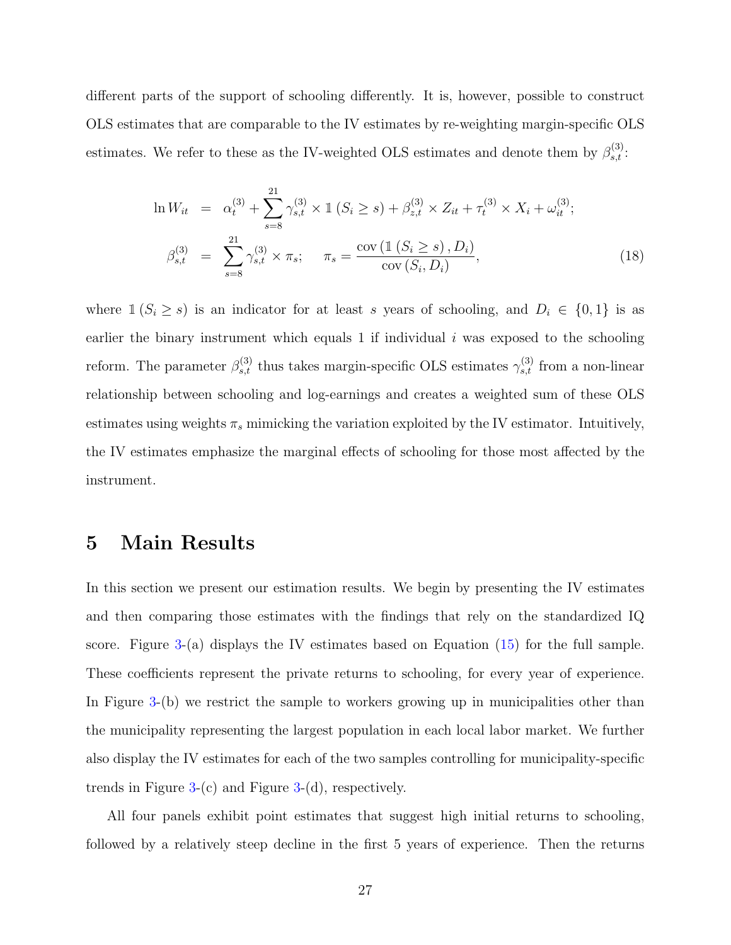different parts of the support of schooling differently. It is, however, possible to construct OLS estimates that are comparable to the IV estimates by re-weighting margin-specific OLS estimates. We refer to these as the IV-weighted OLS estimates and denote them by  $\beta_{s,t}^{(3)}$ :

<span id="page-26-1"></span>
$$
\ln W_{it} = \alpha_t^{(3)} + \sum_{s=8}^{21} \gamma_{s,t}^{(3)} \times \mathbb{1} \left( S_i \ge s \right) + \beta_{z,t}^{(3)} \times Z_{it} + \tau_t^{(3)} \times X_i + \omega_{it}^{(3)};
$$
  

$$
\beta_{s,t}^{(3)} = \sum_{s=8}^{21} \gamma_{s,t}^{(3)} \times \pi_s; \quad \pi_s = \frac{\text{cov} \left( \mathbb{1} \left( S_i \ge s \right), D_i \right)}{\text{cov} \left( S_i, D_i \right)}, \tag{18}
$$

where  $1 (S_i \ge s)$  is an indicator for at least s years of schooling, and  $D_i \in \{0,1\}$  is as earlier the binary instrument which equals 1 if individual  $i$  was exposed to the schooling reform. The parameter  $\beta_{s,t}^{(3)}$  thus takes margin-specific OLS estimates  $\gamma_{s,t}^{(3)}$  from a non-linear relationship between schooling and log-earnings and creates a weighted sum of these OLS estimates using weights  $\pi_s$  mimicking the variation exploited by the IV estimator. Intuitively, the IV estimates emphasize the marginal effects of schooling for those most affected by the instrument.

### <span id="page-26-0"></span>5 Main Results

In this section we present our estimation results. We begin by presenting the IV estimates and then comparing those estimates with the findings that rely on the standardized IQ score. Figure [3-](#page-27-0)(a) displays the IV estimates based on Equation [\(15\)](#page-22-1) for the full sample. These coefficients represent the private returns to schooling, for every year of experience. In Figure [3-](#page-27-0)(b) we restrict the sample to workers growing up in municipalities other than the municipality representing the largest population in each local labor market. We further also display the IV estimates for each of the two samples controlling for municipality-specific trends in Figure  $3-(c)$  $3-(c)$  and Figure  $3-(d)$ , respectively.

All four panels exhibit point estimates that suggest high initial returns to schooling, followed by a relatively steep decline in the first 5 years of experience. Then the returns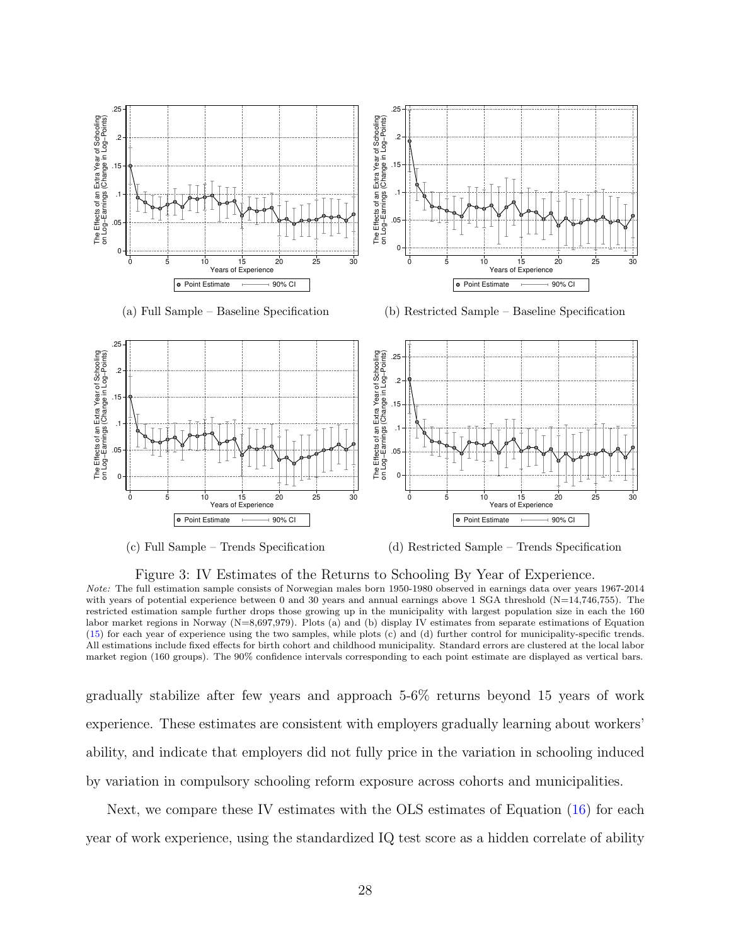<span id="page-27-0"></span>



(d) Restricted Sample – Trends Specification

Figure 3: IV Estimates of the Returns to Schooling By Year of Experience. Note: The full estimation sample consists of Norwegian males born 1950-1980 observed in earnings data over years 1967-2014 with years of potential experience between 0 and 30 years and annual earnings above 1 SGA threshold (N=14,746,755). The restricted estimation sample further drops those growing up in the municipality with largest population size in each the 160 labor market regions in Norway (N=8,697,979). Plots (a) and (b) display IV estimates from separate estimations of Equation [\(15\)](#page-22-1) for each year of experience using the two samples, while plots (c) and (d) further control for municipality-specific trends. All estimations include fixed effects for birth cohort and childhood municipality. Standard errors are clustered at the local labor

market region (160 groups). The 90% confidence intervals corresponding to each point estimate are displayed as vertical bars.

gradually stabilize after few years and approach 5-6% returns beyond 15 years of work experience. These estimates are consistent with employers gradually learning about workers' ability, and indicate that employers did not fully price in the variation in schooling induced by variation in compulsory schooling reform exposure across cohorts and municipalities.

Next, we compare these IV estimates with the OLS estimates of Equation [\(16\)](#page-23-1) for each year of work experience, using the standardized IQ test score as a hidden correlate of ability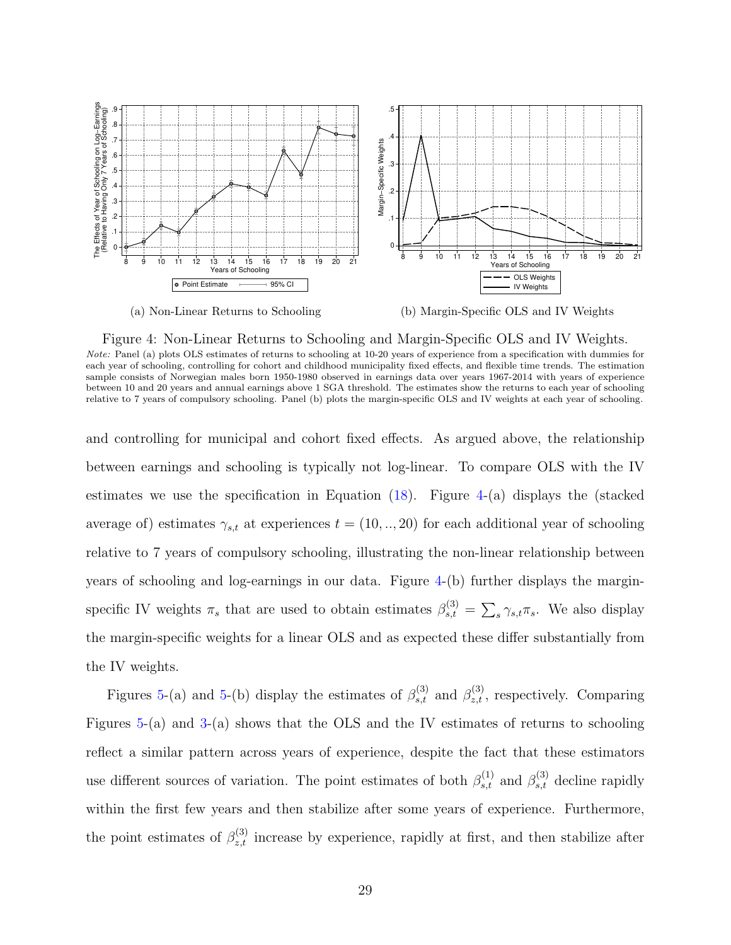<span id="page-28-0"></span>



(b) Margin-Specific OLS and IV Weights

Figure 4: Non-Linear Returns to Schooling and Margin-Specific OLS and IV Weights. Note: Panel (a) plots OLS estimates of returns to schooling at 10-20 years of experience from a specification with dummies for each year of schooling, controlling for cohort and childhood municipality fixed effects, and flexible time trends. The estimation sample consists of Norwegian males born 1950-1980 observed in earnings data over years 1967-2014 with years of experience between 10 and 20 years and annual earnings above 1 SGA threshold. The estimates show the returns to each year of schooling relative to 7 years of compulsory schooling. Panel (b) plots the margin-specific OLS and IV weights at each year of schooling.

and controlling for municipal and cohort fixed effects. As argued above, the relationship between earnings and schooling is typically not log-linear. To compare OLS with the IV estimates we use the specification in Equation  $(18)$ . Figure [4-](#page-28-0)(a) displays the (stacked average of) estimates  $\gamma_{s,t}$  at experiences  $t = (10, \dots, 20)$  for each additional year of schooling relative to 7 years of compulsory schooling, illustrating the non-linear relationship between years of schooling and log-earnings in our data. Figure [4-](#page-28-0)(b) further displays the marginspecific IV weights  $\pi_s$  that are used to obtain estimates  $\beta_{s,t}^{(3)} = \sum_s \gamma_{s,t} \pi_s$ . We also display the margin-specific weights for a linear OLS and as expected these differ substantially from the IV weights.

Figures [5-](#page-29-0)(a) and 5-(b) display the estimates of  $\beta_{s,t}^{(3)}$  and  $\beta_{z,t}^{(3)}$ , respectively. Comparing Figures [5-](#page-29-0)(a) and [3-](#page-27-0)(a) shows that the OLS and the IV estimates of returns to schooling reflect a similar pattern across years of experience, despite the fact that these estimators use different sources of variation. The point estimates of both  $\beta_{s,t}^{(1)}$  and  $\beta_{s,t}^{(3)}$  decline rapidly within the first few years and then stabilize after some years of experience. Furthermore, the point estimates of  $\beta_{z,t}^{(3)}$  increase by experience, rapidly at first, and then stabilize after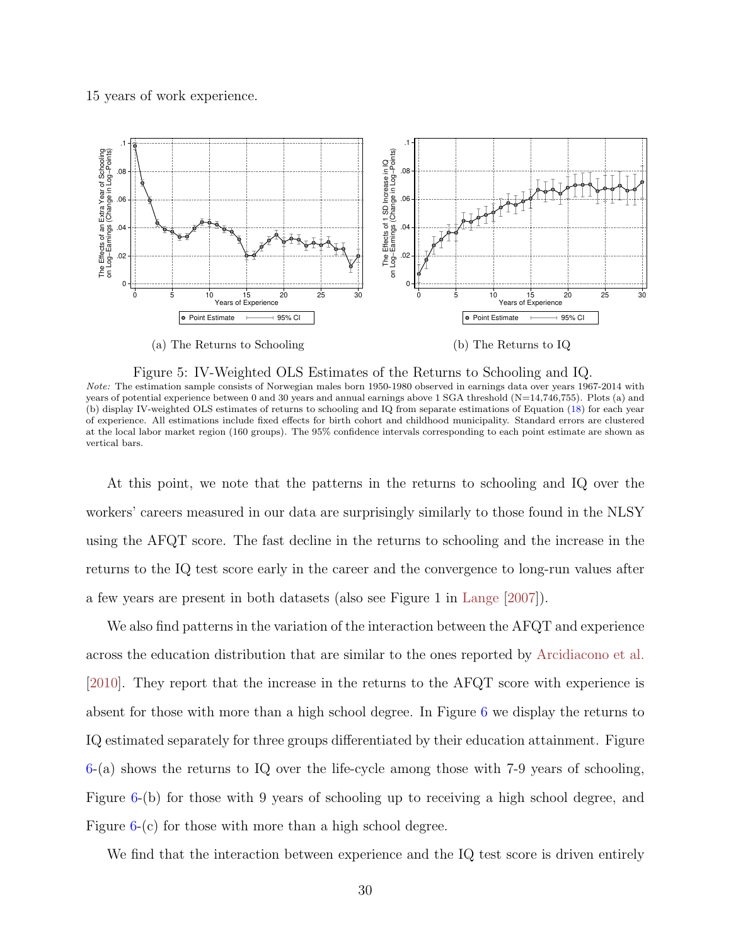#### <span id="page-29-1"></span>15 years of work experience.

<span id="page-29-0"></span>

Figure 5: IV-Weighted OLS Estimates of the Returns to Schooling and IQ.

Note: The estimation sample consists of Norwegian males born 1950-1980 observed in earnings data over years 1967-2014 with years of potential experience between 0 and 30 years and annual earnings above 1 SGA threshold (N=14,746,755). Plots (a) and (b) display IV-weighted OLS estimates of returns to schooling and IQ from separate estimations of Equation [\(18\)](#page-26-1) for each year of experience. All estimations include fixed effects for birth cohort and childhood municipality. Standard errors are clustered at the local labor market region (160 groups). The 95% confidence intervals corresponding to each point estimate are shown as vertical bars.

At this point, we note that the patterns in the returns to schooling and IQ over the workers' careers measured in our data are surprisingly similarly to those found in the NLSY using the AFQT score. The fast decline in the returns to schooling and the increase in the returns to the IQ test score early in the career and the convergence to long-run values after a few years are present in both datasets (also see Figure 1 in [Lange](#page-48-2) [\[2007\]](#page-48-2)).

We also find patterns in the variation of the interaction between the AFQT and experience across the education distribution that are similar to the ones reported by [Arcidiacono et al.](#page-45-2) [\[2010\]](#page-45-2). They report that the increase in the returns to the AFQT score with experience is absent for those with more than a high school degree. In Figure [6](#page-30-0) we display the returns to IQ estimated separately for three groups differentiated by their education attainment. Figure [6-](#page-30-0)(a) shows the returns to IQ over the life-cycle among those with 7-9 years of schooling, Figure [6-](#page-30-0)(b) for those with 9 years of schooling up to receiving a high school degree, and Figure [6-](#page-30-0)(c) for those with more than a high school degree.

We find that the interaction between experience and the IQ test score is driven entirely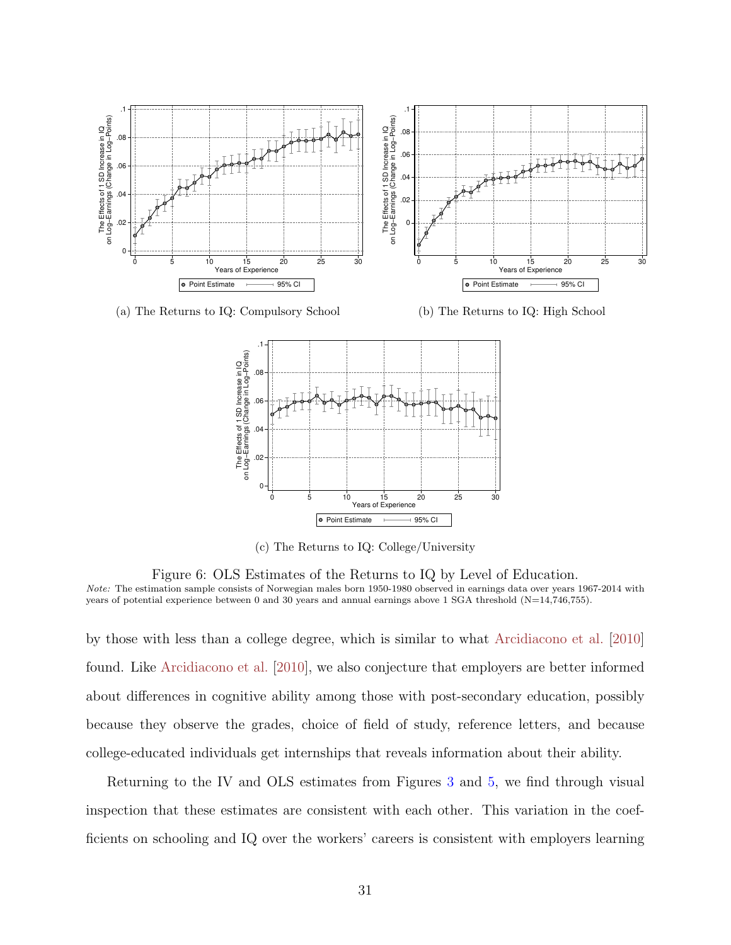<span id="page-30-1"></span><span id="page-30-0"></span>

(c) The Returns to IQ: College/University

Figure 6: OLS Estimates of the Returns to IQ by Level of Education. Note: The estimation sample consists of Norwegian males born 1950-1980 observed in earnings data over years 1967-2014 with years of potential experience between 0 and 30 years and annual earnings above 1 SGA threshold (N=14,746,755).

by those with less than a college degree, which is similar to what [Arcidiacono et al.](#page-45-2) [\[2010\]](#page-45-2) found. Like [Arcidiacono et al.](#page-45-2) [\[2010\]](#page-45-2), we also conjecture that employers are better informed about differences in cognitive ability among those with post-secondary education, possibly because they observe the grades, choice of field of study, reference letters, and because college-educated individuals get internships that reveals information about their ability.

Returning to the IV and OLS estimates from Figures [3](#page-27-0) and [5,](#page-29-0) we find through visual inspection that these estimates are consistent with each other. This variation in the coefficients on schooling and IQ over the workers' careers is consistent with employers learning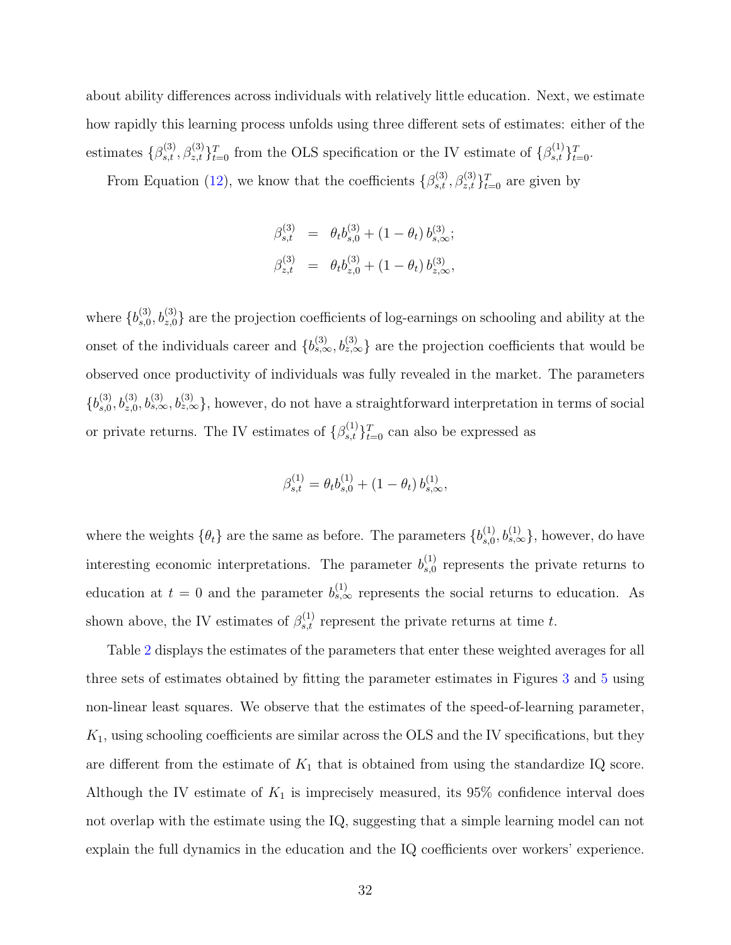about ability differences across individuals with relatively little education. Next, we estimate how rapidly this learning process unfolds using three different sets of estimates: either of the estimates  $\{\beta_{s,t}^{(3)}, \beta_{z,t}^{(3)}\}_{t=0}^T$  from the OLS specification or the IV estimate of  $\{\beta_{s,t}^{(1)}\}_{t=0}^T$ .

From Equation [\(12\)](#page-11-0), we know that the coefficients  $\{\beta_{s,t}^{(3)}, \beta_{z,t}^{(3)}\}_{t=0}^T$  are given by

$$
\beta_{s,t}^{(3)} = \theta_t b_{s,0}^{(3)} + (1 - \theta_t) b_{s,\infty}^{(3)};
$$
  

$$
\beta_{z,t}^{(3)} = \theta_t b_{z,0}^{(3)} + (1 - \theta_t) b_{z,\infty}^{(3)},
$$

where  $\{b_{s,0}^{(3)}\}$  $s_0^{(3)}$ ,  $b_{z,0}^{(3)}$  are the projection coefficients of log-earnings on schooling and ability at the onset of the individuals career and  $\{b_{s,\infty}^{(3)}, b_{z,\infty}^{(3)}\}$  are the projection coefficients that would be observed once productivity of individuals was fully revealed in the market. The parameters  ${b_{s,0}^{(3)}}$  $s_0^{(3)}$ ,  $b_{z,0}^{(3)}$ ,  $b_{s,\infty}^{(3)}$ ,  $b_{z,\infty}^{(3)}$ , however, do not have a straightforward interpretation in terms of social or private returns. The IV estimates of  $\{\beta_{s,t}^{(1)}\}_{t=0}^T$  can also be expressed as

$$
\beta_{s,t}^{(1)} = \theta_t b_{s,0}^{(1)} + (1 - \theta_t) b_{s,\infty}^{(1)},
$$

where the weights  $\{\theta_t\}$  are the same as before. The parameters  $\{b_{s,0}^{(1)}\}$  $_{s,0}^{(1)}, b_{s,\infty}^{(1)}\},$  however, do have interesting economic interpretations. The parameter  $b_{s,0}^{(1)}$  $s,0}^{(1)}$  represents the private returns to education at  $t = 0$  and the parameter  $b_{s,\infty}^{(1)}$  represents the social returns to education. As shown above, the IV estimates of  $\beta_{s,t}^{(1)}$  represent the private returns at time t.

Table [2](#page-32-0) displays the estimates of the parameters that enter these weighted averages for all three sets of estimates obtained by fitting the parameter estimates in Figures [3](#page-27-0) and [5](#page-29-0) using non-linear least squares. We observe that the estimates of the speed-of-learning parameter,  $K_1$ , using schooling coefficients are similar across the OLS and the IV specifications, but they are different from the estimate of  $K_1$  that is obtained from using the standardize IQ score. Although the IV estimate of  $K_1$  is imprecisely measured, its 95% confidence interval does not overlap with the estimate using the IQ, suggesting that a simple learning model can not explain the full dynamics in the education and the IQ coefficients over workers' experience.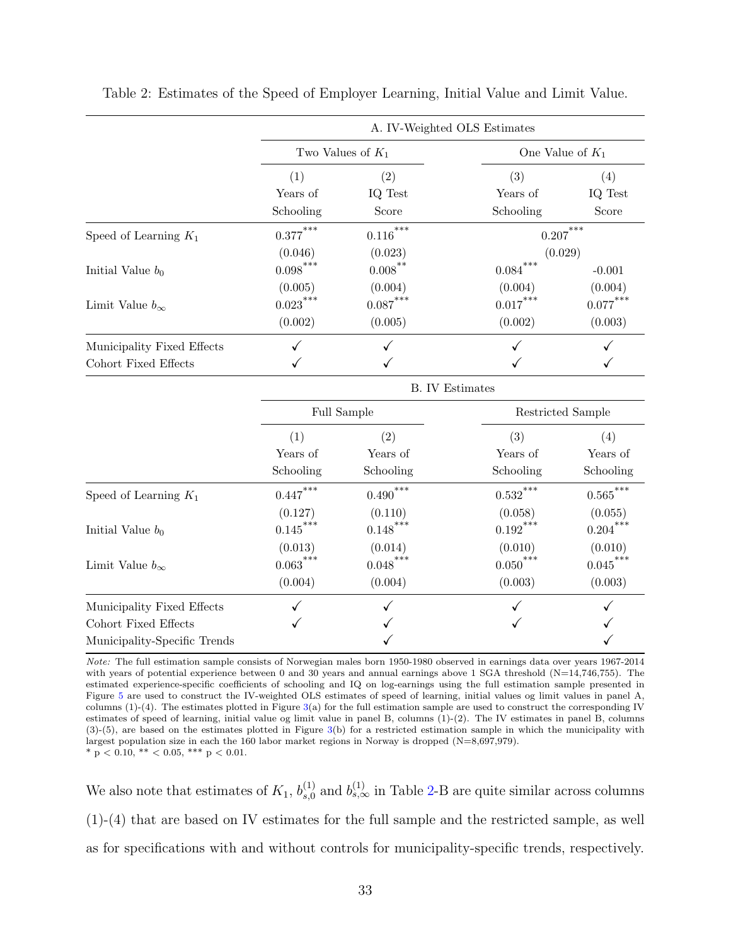|                            | A. IV-Weighted OLS Estimates |                                     |                                     |                       |  |
|----------------------------|------------------------------|-------------------------------------|-------------------------------------|-----------------------|--|
|                            | Two Values of $K_1$          |                                     | One Value of $K_1$                  |                       |  |
|                            | (1)                          | $\left( 2\right)$                   | (3)                                 | (4)                   |  |
|                            | Years of<br>Schooling        | IQ Test<br>Score                    | Years of<br>Schooling               | IQ Test<br>Score      |  |
| Speed of Learning $K_1$    | $0.377***$                   | $0.116***$                          | $0.207***$                          |                       |  |
| Initial Value $b_0$        | (0.046)<br>$0.098***$        | (0.023)<br>$0.008$ <sup>**</sup>    | (0.029)<br>***<br>0.084<br>$-0.001$ |                       |  |
| Limit Value $b_{\infty}$   | (0.005)<br>$0.023***$        | (0.004)<br>${0.087}^{\ast\ast\ast}$ | (0.004)<br>$0.017***$               | (0.004)<br>$0.077***$ |  |
|                            | (0.002)                      | (0.005)                             | (0.002)                             | (0.003)               |  |
| Municipality Fixed Effects |                              |                                     |                                     |                       |  |
| Cohort Fixed Effects       |                              |                                     |                                     |                       |  |

<span id="page-32-0"></span>Table 2: Estimates of the Speed of Employer Learning, Initial Value and Limit Value.

|                              | <b>B.</b> IV Estimates |                       |                        |                       |
|------------------------------|------------------------|-----------------------|------------------------|-----------------------|
|                              | Full Sample            |                       | Restricted Sample      |                       |
|                              | (1)                    | $\left( 2\right)$     | (3)                    | (4)                   |
|                              | Years of               | Years of              | Years of               | Years of              |
|                              | Schooling              | Schooling             | Schooling              | Schooling             |
| Speed of Learning $K_1$      | $0.447***$             | $0.490***$            | $0.532***$             | $0.565***$            |
| Initial Value $b_0$          | (0.127)<br>$0.145***$  | (0.110)<br>$0.148***$ | (0.058)<br>$0.192$ *** | (0.055)<br>$0.204***$ |
| Limit Value $b_{\infty}$     | (0.013)<br>$0.063***$  | (0.014)<br>$0.048***$ | (0.010)<br>$0.050***$  | (0.010)<br>$0.045***$ |
|                              | (0.004)                | (0.004)               | (0.003)                | (0.003)               |
| Municipality Fixed Effects   |                        |                       |                        |                       |
| Cohort Fixed Effects         |                        |                       |                        |                       |
| Municipality-Specific Trends |                        |                       |                        |                       |

Note: The full estimation sample consists of Norwegian males born 1950-1980 observed in earnings data over years 1967-2014 with years of potential experience between 0 and 30 years and annual earnings above 1 SGA threshold (N=14,746,755). The estimated experience-specific coefficients of schooling and IQ on log-earnings using the full estimation sample presented in Figure [5](#page-29-0) are used to construct the IV-weighted OLS estimates of speed of learning, initial values og limit values in panel A, columns  $(1)-(4)$ . The estimates plotted in Figure  $3(a)$  $3(a)$  for the full estimation sample are used to construct the corresponding IV estimates of speed of learning, initial value og limit value in panel B, columns (1)-(2). The IV estimates in panel B, columns (3)-(5), are based on the estimates plotted in Figure [3\(](#page-27-0)b) for a restricted estimation sample in which the municipality with largest population size in each the 160 labor market regions in Norway is dropped (N=8,697,979). \* p < 0.10, \*\* < 0.05, \*\*\* p < 0.01.

We also note that estimates of  $K_1$ ,  $b_{s,0}^{(1)}$  $s_0^{(1)}$  and  $b_{s,\infty}^{(1)}$  in Table [2-](#page-32-0)B are quite similar across columns (1)-(4) that are based on IV estimates for the full sample and the restricted sample, as well as for specifications with and without controls for municipality-specific trends, respectively.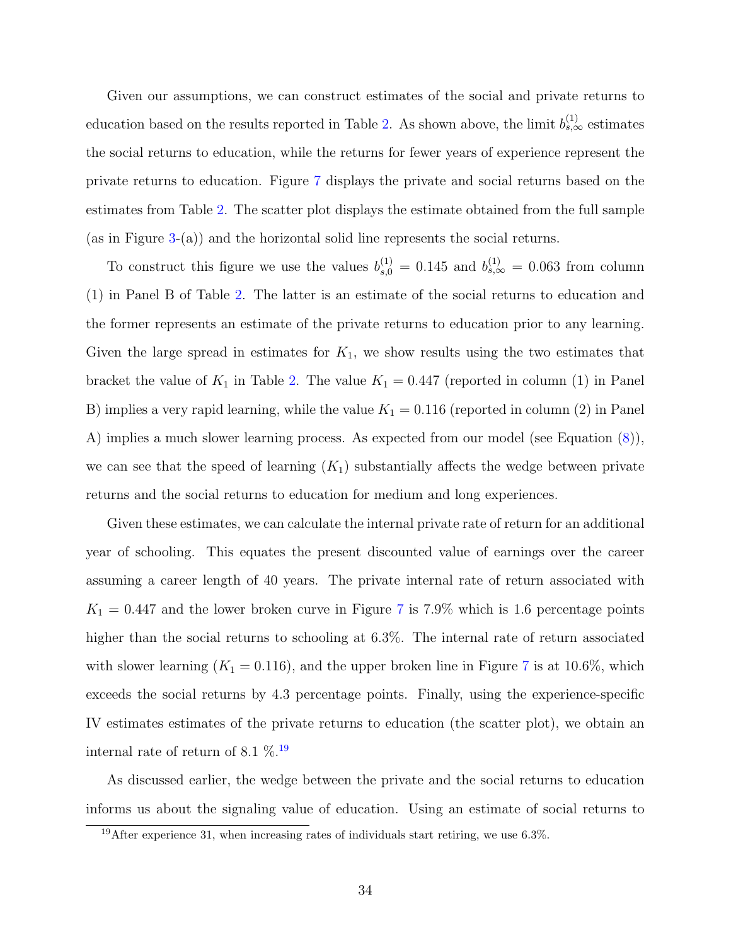Given our assumptions, we can construct estimates of the social and private returns to education based on the results reported in Table [2.](#page-32-0) As shown above, the limit  $b_{s,\infty}^{(1)}$  estimates the social returns to education, while the returns for fewer years of experience represent the private returns to education. Figure [7](#page-34-0) displays the private and social returns based on the estimates from Table [2.](#page-32-0) The scatter plot displays the estimate obtained from the full sample (as in Figure [3-](#page-27-0)(a)) and the horizontal solid line represents the social returns.

To construct this figure we use the values  $b_{s,0}^{(1)} = 0.145$  and  $b_{s,\infty}^{(1)} = 0.063$  from column (1) in Panel B of Table [2.](#page-32-0) The latter is an estimate of the social returns to education and the former represents an estimate of the private returns to education prior to any learning. Given the large spread in estimates for  $K_1$ , we show results using the two estimates that bracket the value of  $K_1$  in Table [2.](#page-32-0) The value  $K_1 = 0.447$  (reported in column (1) in Panel B) implies a very rapid learning, while the value  $K_1 = 0.116$  (reported in column (2) in Panel A) implies a much slower learning process. As expected from our model (see Equation [\(8\)](#page-9-1)), we can see that the speed of learning  $(K_1)$  substantially affects the wedge between private returns and the social returns to education for medium and long experiences.

Given these estimates, we can calculate the internal private rate of return for an additional year of schooling. This equates the present discounted value of earnings over the career assuming a career length of 40 years. The private internal rate of return associated with  $K_1 = 0.447$  $K_1 = 0.447$  and the lower broken curve in Figure 7 is 7.9% which is 1.6 percentage points higher than the social returns to schooling at 6.3%. The internal rate of return associated with slower learning  $(K_1 = 0.116)$ , and the upper broken line in Figure [7](#page-34-0) is at 10.6%, which exceeds the social returns by 4.3 percentage points. Finally, using the experience-specific IV estimates estimates of the private returns to education (the scatter plot), we obtain an internal rate of return of 8.1  $\%$   $^{19}$  $^{19}$  $^{19}$ 

As discussed earlier, the wedge between the private and the social returns to education informs us about the signaling value of education. Using an estimate of social returns to

<sup>&</sup>lt;sup>19</sup>After experience 31, when increasing rates of individuals start retiring, we use  $6.3\%$ .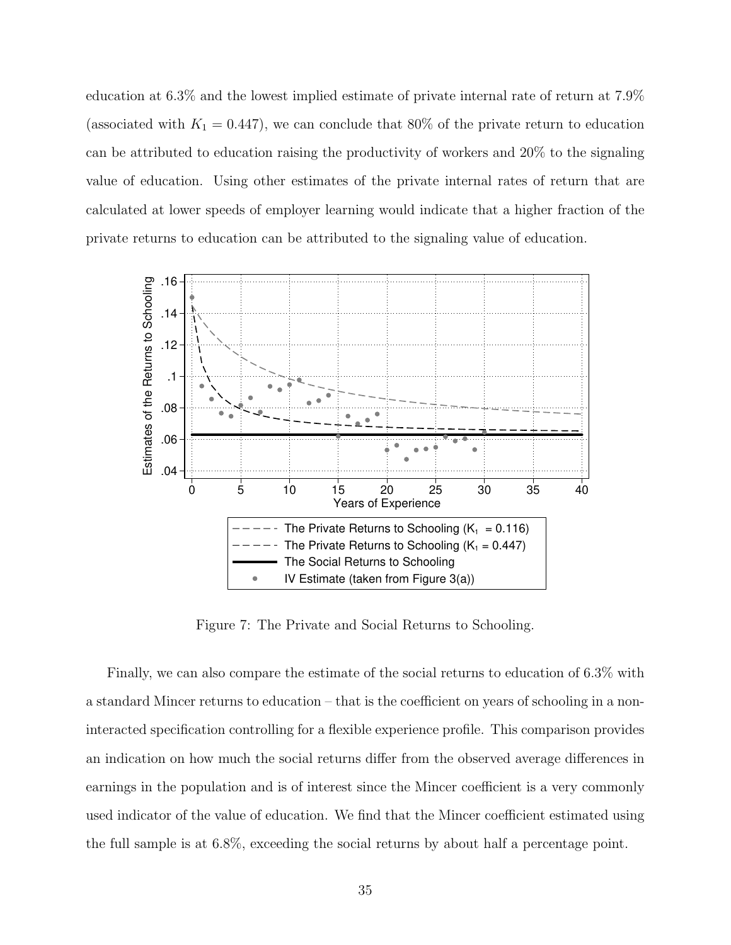education at 6.3% and the lowest implied estimate of private internal rate of return at 7.9% (associated with  $K_1 = 0.447$ ), we can conclude that 80% of the private return to education can be attributed to education raising the productivity of workers and 20% to the signaling value of education. Using other estimates of the private internal rates of return that are calculated at lower speeds of employer learning would indicate that a higher fraction of the private returns to education can be attributed to the signaling value of education.

<span id="page-34-0"></span>

Figure 7: The Private and Social Returns to Schooling.

Finally, we can also compare the estimate of the social returns to education of 6.3% with a standard Mincer returns to education – that is the coefficient on years of schooling in a noninteracted specification controlling for a flexible experience profile. This comparison provides an indication on how much the social returns differ from the observed average differences in earnings in the population and is of interest since the Mincer coefficient is a very commonly used indicator of the value of education. We find that the Mincer coefficient estimated using the full sample is at 6.8%, exceeding the social returns by about half a percentage point.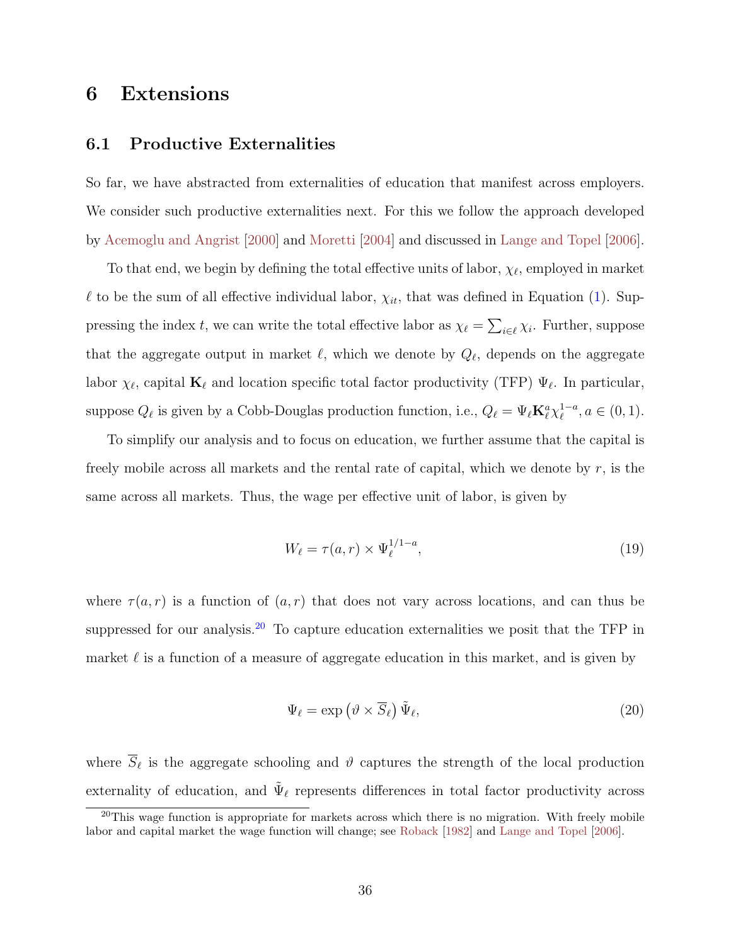## <span id="page-35-4"></span><span id="page-35-1"></span>6 Extensions

### <span id="page-35-0"></span>6.1 Productive Externalities

So far, we have abstracted from externalities of education that manifest across employers. We consider such productive externalities next. For this we follow the approach developed by [Acemoglu and Angrist](#page-45-1) [\[2000\]](#page-45-1) and [Moretti](#page-49-0) [\[2004\]](#page-49-0) and discussed in [Lange and Topel](#page-48-0) [\[2006\]](#page-48-0).

To that end, we begin by defining the total effective units of labor,  $\chi_{\ell}$ , employed in market  $\ell$  to be the sum of all effective individual labor,  $\chi_{it}$ , that was defined in Equation [\(1\)](#page-6-1). Suppressing the index t, we can write the total effective labor as  $\chi_{\ell} = \sum_{i \in \ell} \chi_i$ . Further, suppose that the aggregate output in market  $\ell$ , which we denote by  $Q_{\ell}$ , depends on the aggregate labor  $\chi_{\ell}$ , capital  $\mathbf{K}_{\ell}$  and location specific total factor productivity (TFP)  $\Psi_{\ell}$ . In particular, suppose  $Q_\ell$  is given by a Cobb-Douglas production function, i.e.,  $Q_\ell = \Psi_\ell \mathbf{K}_\ell^a \chi_\ell^{1-a}$  $_{\ell}^{1-a}, a \in (0,1).$ 

To simplify our analysis and to focus on education, we further assume that the capital is freely mobile across all markets and the rental rate of capital, which we denote by  $r$ , is the same across all markets. Thus, the wage per effective unit of labor, is given by

<span id="page-35-3"></span>
$$
W_{\ell} = \tau(a, r) \times \Psi_{\ell}^{1/1-a},\tag{19}
$$

where  $\tau(a,r)$  is a function of  $(a,r)$  that does not vary across locations, and can thus be suppressed for our analysis.<sup>[20](#page-0-0)</sup> To capture education externalities we posit that the TFP in market  $\ell$  is a function of a measure of aggregate education in this market, and is given by

<span id="page-35-2"></span>
$$
\Psi_{\ell} = \exp\left(\vartheta \times \overline{S}_{\ell}\right) \tilde{\Psi}_{\ell},\tag{20}
$$

where  $\overline{S}_{\ell}$  is the aggregate schooling and  $\vartheta$  captures the strength of the local production externality of education, and  $\tilde{\Psi}_{\ell}$  represents differences in total factor productivity across

 $20$ This wage function is appropriate for markets across which there is no migration. With freely mobile labor and capital market the wage function will change; see [Roback](#page-50-7) [\[1982\]](#page-50-7) and [Lange and Topel](#page-48-0) [\[2006\]](#page-48-0).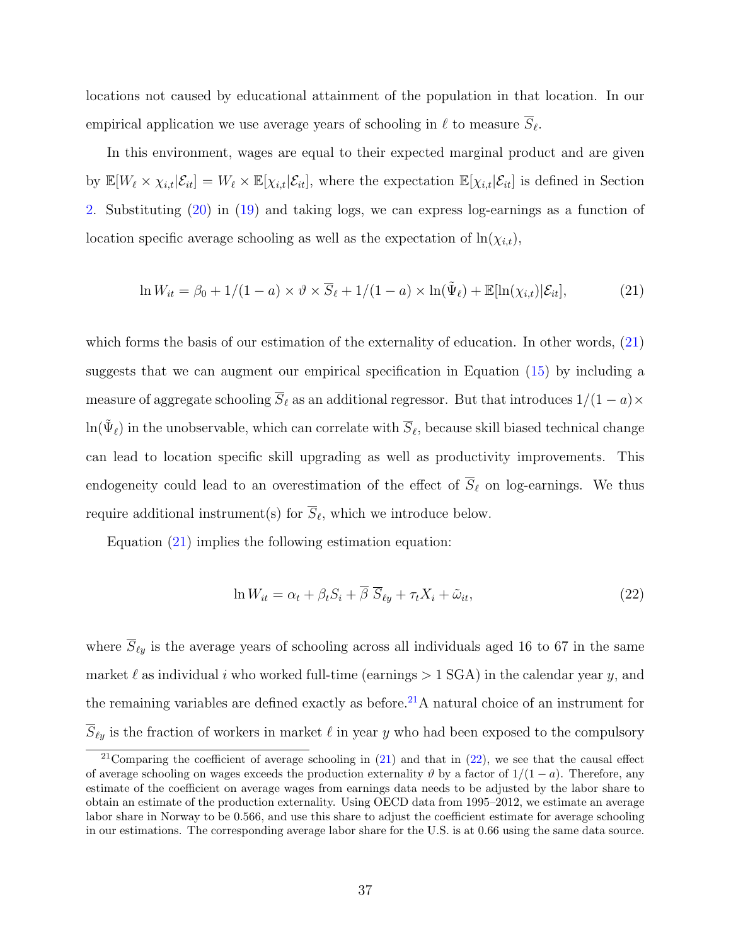locations not caused by educational attainment of the population in that location. In our empirical application we use average years of schooling in  $\ell$  to measure  $S_{\ell}$ .

In this environment, wages are equal to their expected marginal product and are given by  $\mathbb{E}[W_\ell \times \chi_{i,t} | \mathcal{E}_{it}] = W_\ell \times \mathbb{E}[\chi_{i,t} | \mathcal{E}_{it}],$  where the expectation  $\mathbb{E}[\chi_{i,t} | \mathcal{E}_{it}]$  is defined in Section [2.](#page-6-0) Substituting [\(20\)](#page-35-2) in [\(19\)](#page-35-3) and taking logs, we can express log-earnings as a function of location specific average schooling as well as the expectation of  $ln(\chi_{i,t}),$ 

<span id="page-36-0"></span>
$$
\ln W_{it} = \beta_0 + 1/(1 - a) \times \vartheta \times \overline{S}_{\ell} + 1/(1 - a) \times \ln(\tilde{\Psi}_{\ell}) + \mathbb{E}[\ln(\chi_{i,t})|\mathcal{E}_{it}], \tag{21}
$$

which forms the basis of our estimation of the externality of education. In other words, [\(21\)](#page-36-0) suggests that we can augment our empirical specification in Equation [\(15\)](#page-22-1) by including a measure of aggregate schooling  $\overline{S}_{\ell}$  as an additional regressor. But that introduces  $1/(1 - a) \times$  $\ln(\tilde{\Psi}_\ell)$  in the unobservable, which can correlate with  $\overline{S}_\ell$ , because skill biased technical change can lead to location specific skill upgrading as well as productivity improvements. This endogeneity could lead to an overestimation of the effect of  $\overline{S}_{\ell}$  on log-earnings. We thus require additional instrument(s) for  $S_{\ell}$ , which we introduce below.

Equation [\(21\)](#page-36-0) implies the following estimation equation:

<span id="page-36-1"></span>
$$
\ln W_{it} = \alpha_t + \beta_t S_i + \overline{\beta} \ \overline{S}_{\ell y} + \tau_t X_i + \tilde{\omega}_{it},\tag{22}
$$

where  $\overline{S}_{\ell y}$  is the average years of schooling across all individuals aged 16 to 67 in the same market  $\ell$  as individual i who worked full-time (earnings  $> 1$  SGA) in the calendar year y, and the remaining variables are defined exactly as before.<sup>[21](#page-0-0)</sup>A natural choice of an instrument for  $\overline{S}_{\ell y}$  is the fraction of workers in market  $\ell$  in year y who had been exposed to the compulsory

<sup>&</sup>lt;sup>21</sup>Comparing the coefficient of average schooling in  $(21)$  and that in  $(22)$ , we see that the causal effect of average schooling on wages exceeds the production externality  $\vartheta$  by a factor of  $1/(1-a)$ . Therefore, any estimate of the coefficient on average wages from earnings data needs to be adjusted by the labor share to obtain an estimate of the production externality. Using OECD data from 1995–2012, we estimate an average labor share in Norway to be 0.566, and use this share to adjust the coefficient estimate for average schooling in our estimations. The corresponding average labor share for the U.S. is at 0.66 using the same data source.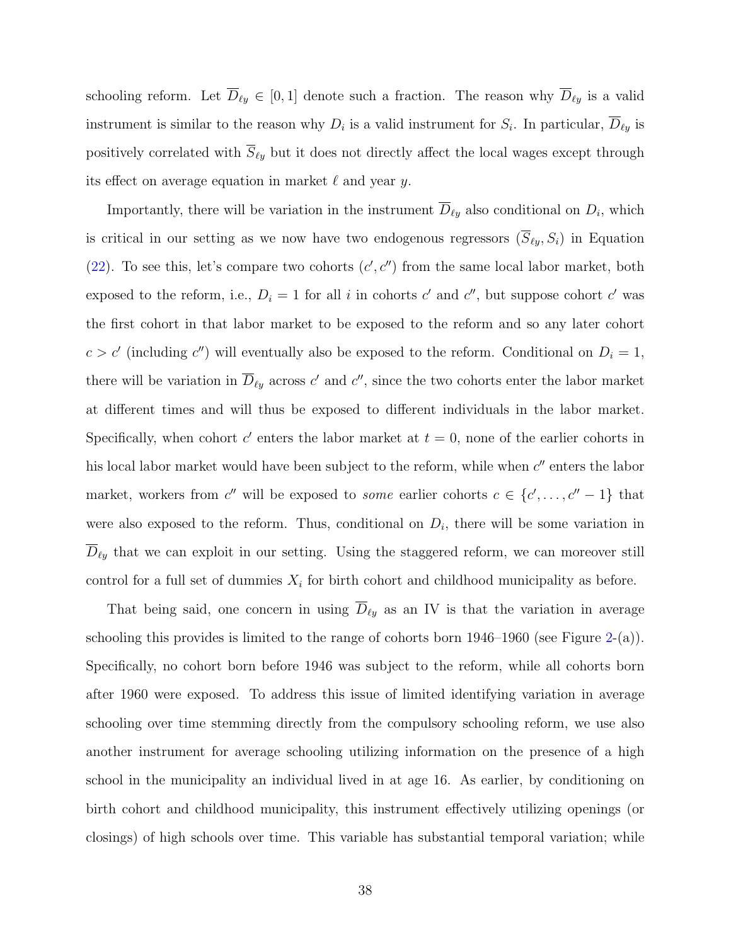schooling reform. Let  $\overline{D}_{\ell y} \in [0, 1]$  denote such a fraction. The reason why  $\overline{D}_{\ell y}$  is a valid instrument is similar to the reason why  $D_i$  is a valid instrument for  $S_i$ . In particular,  $D_{\ell y}$  is positively correlated with  $\overline{S}_{\ell y}$  but it does not directly affect the local wages except through its effect on average equation in market  $\ell$  and year y.

Importantly, there will be variation in the instrument  $\overline{D}_{\ell y}$  also conditional on  $D_i$ , which is critical in our setting as we now have two endogenous regressors  $(\overline{S}_{\ell y}, S_i)$  in Equation [\(22\)](#page-36-1). To see this, let's compare two cohorts  $(c', c'')$  from the same local labor market, both exposed to the reform, i.e.,  $D_i = 1$  for all i in cohorts c' and c'', but suppose cohort c' was the first cohort in that labor market to be exposed to the reform and so any later cohort  $c > c'$  (including c'') will eventually also be exposed to the reform. Conditional on  $D_i = 1$ , there will be variation in  $\overline{D}_{\ell y}$  across c' and c'', since the two cohorts enter the labor market at different times and will thus be exposed to different individuals in the labor market. Specifically, when cohort  $c'$  enters the labor market at  $t = 0$ , none of the earlier cohorts in his local labor market would have been subject to the reform, while when  $c''$  enters the labor market, workers from c'' will be exposed to *some* earlier cohorts  $c \in \{c', \ldots, c'' - 1\}$  that were also exposed to the reform. Thus, conditional on  $D_i$ , there will be some variation in  $\overline{D}_{\ell y}$  that we can exploit in our setting. Using the staggered reform, we can moreover still control for a full set of dummies  $X_i$  for birth cohort and childhood municipality as before.

That being said, one concern in using  $\overline{D}_{\ell y}$  as an IV is that the variation in average schooling this provides is limited to the range of cohorts born  $1946-1960$  (see Figure [2-](#page-21-0)(a)). Specifically, no cohort born before 1946 was subject to the reform, while all cohorts born after 1960 were exposed. To address this issue of limited identifying variation in average schooling over time stemming directly from the compulsory schooling reform, we use also another instrument for average schooling utilizing information on the presence of a high school in the municipality an individual lived in at age 16. As earlier, by conditioning on birth cohort and childhood municipality, this instrument effectively utilizing openings (or closings) of high schools over time. This variable has substantial temporal variation; while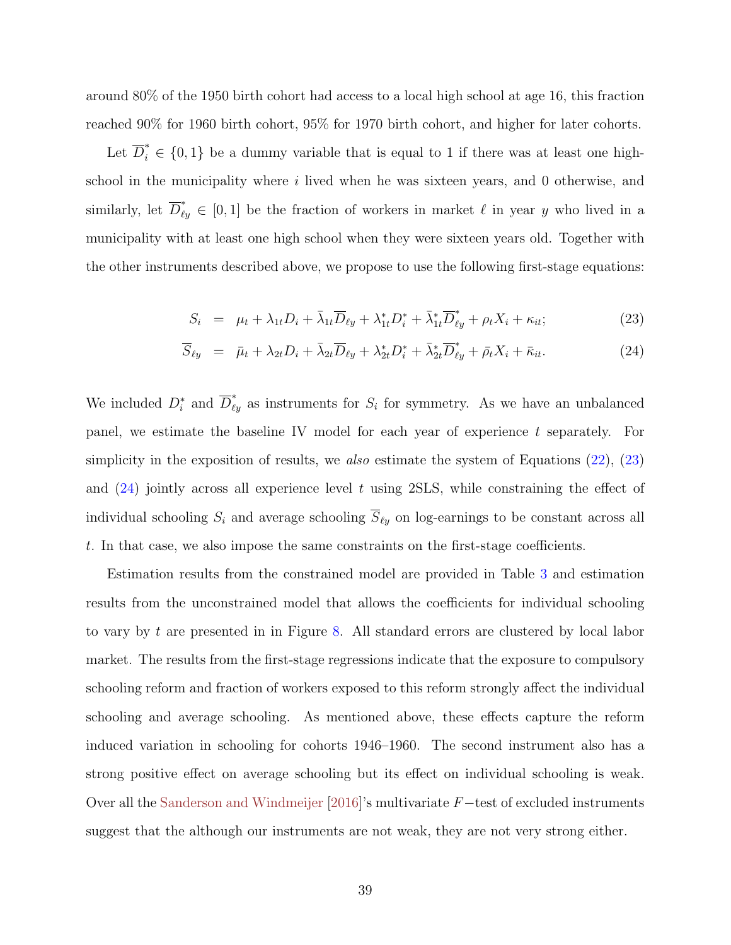<span id="page-38-1"></span>around 80% of the 1950 birth cohort had access to a local high school at age 16, this fraction reached 90% for 1960 birth cohort, 95% for 1970 birth cohort, and higher for later cohorts.

Let  $\overline{D}_i^* \in \{0,1\}$  be a dummy variable that is equal to 1 if there was at least one highschool in the municipality where i lived when he was sixteen years, and 0 otherwise, and similarly, let  $\overline{D}_{\ell y}^* \in [0,1]$  be the fraction of workers in market  $\ell$  in year y who lived in a municipality with at least one high school when they were sixteen years old. Together with the other instruments described above, we propose to use the following first-stage equations:

<span id="page-38-0"></span>
$$
S_i = \mu_t + \lambda_{1t} D_i + \bar{\lambda}_{1t} \overline{D}_{\ell y} + \lambda_{1t}^* D_i^* + \bar{\lambda}_{1t}^* \overline{D}_{\ell y}^* + \rho_t X_i + \kappa_{it};
$$
\n(23)

$$
\overline{S}_{\ell y} = \overline{\mu}_t + \lambda_{2t} D_i + \overline{\lambda}_{2t} \overline{D}_{\ell y} + \lambda_{2t}^* D_i^* + \overline{\lambda}_{2t}^* \overline{D}_{\ell y}^* + \overline{\rho}_t X_i + \overline{\kappa}_{it}.
$$
\n(24)

We included  $D_i^*$  and  $\overline{D}_{\ell y}^*$  as instruments for  $S_i$  for symmetry. As we have an unbalanced panel, we estimate the baseline IV model for each year of experience t separately. For simplicity in the exposition of results, we also estimate the system of Equations  $(22)$ ,  $(23)$ and  $(24)$  jointly across all experience level t using 2SLS, while constraining the effect of individual schooling  $S_i$  and average schooling  $\overline{S}_{\ell y}$  on log-earnings to be constant across all t. In that case, we also impose the same constraints on the first-stage coefficients.

Estimation results from the constrained model are provided in Table [3](#page-39-0) and estimation results from the unconstrained model that allows the coefficients for individual schooling to vary by t are presented in in Figure [8.](#page-40-0) All standard errors are clustered by local labor market. The results from the first-stage regressions indicate that the exposure to compulsory schooling reform and fraction of workers exposed to this reform strongly affect the individual schooling and average schooling. As mentioned above, these effects capture the reform induced variation in schooling for cohorts 1946–1960. The second instrument also has a strong positive effect on average schooling but its effect on individual schooling is weak. Over all the [Sanderson and Windmeijer](#page-50-8) [\[2016\]](#page-50-8)'s multivariate F−test of excluded instruments suggest that the although our instruments are not weak, they are not very strong either.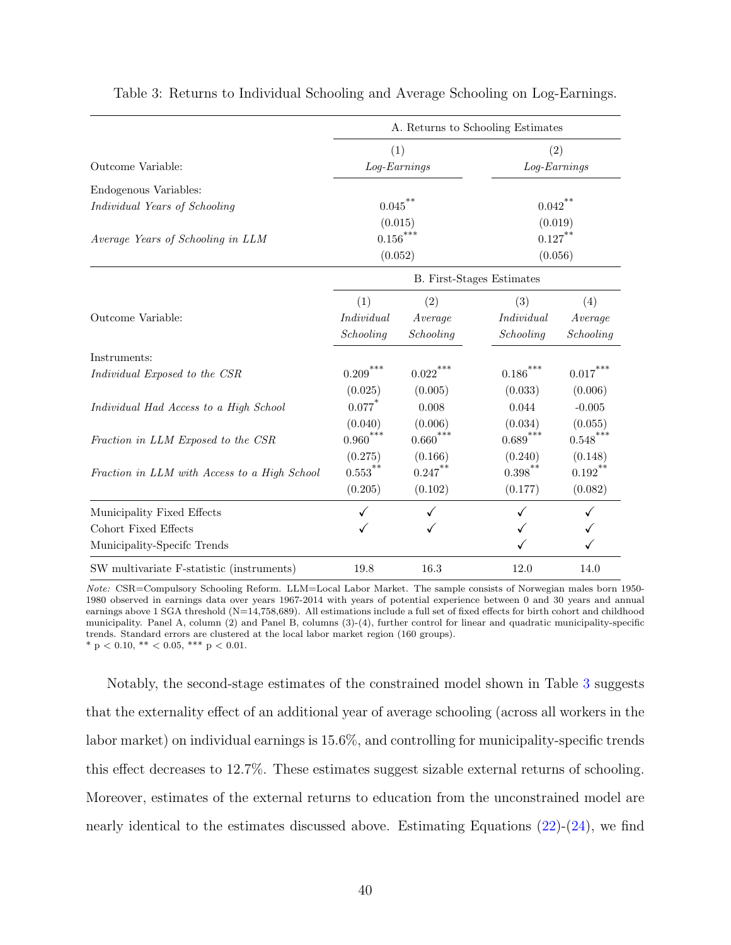|                                              | A. Returns to Schooling Estimates |                      |                          |                      |
|----------------------------------------------|-----------------------------------|----------------------|--------------------------|----------------------|
|                                              | (1)                               |                      | (2)                      |                      |
| Outcome Variable:                            | Log-Earnings                      |                      | Log-Earnings             |                      |
| Endogenous Variables:                        |                                   |                      |                          |                      |
| Individual Years of Schooling                | $0.045$ <sup>**</sup>             |                      | ${0.042}^{\ast\ast}$     |                      |
|                                              | (0.015)                           |                      | (0.019)                  |                      |
| Average Years of Schooling in LLM            | $0.156^{***}\,$<br>(0.052)        |                      | $0.127***$               |                      |
|                                              |                                   |                      | (0.056)                  |                      |
|                                              | <b>B.</b> First-Stages Estimates  |                      |                          |                      |
|                                              | (1)                               | (2)                  | (3)                      | (4)                  |
| Outcome Variable:                            | Individual                        | Average              | Individual               | Average              |
|                                              | Schooling                         | Schooling            | Schooling                | Schooling            |
| Instruments:                                 |                                   |                      |                          |                      |
| Individual Exposed to the CSR                | ${0.209}^{\ast\ast\ast}$          | $0.022\sp{***}$      | $0.186^{***}\,$          | $0.017^\mathrm{***}$ |
|                                              | (0.025)                           | (0.005)              | (0.033)                  | (0.006)              |
| Individual Had Access to a High School       | $0.077$ *                         | 0.008                | 0.044                    | $-0.005$             |
|                                              | (0.040)                           | (0.006)              | (0.034)                  | (0.055)              |
| Fraction in LLM Exposed to the CSR           | ${0.960}^{\ast\ast\ast}$          | $0.660^\mathrm{***}$ | ${0.689}^{\ast\ast\ast}$ | $0.548***$           |
|                                              | (0.275)                           | (0.166)              | (0.240)                  | (0.148)              |
| Fraction in LLM with Access to a High School | $0.553***$                        | $0.247***$           | $0.398^{**}$             | $0.192***$           |
|                                              | (0.205)                           | (0.102)              | (0.177)                  | (0.082)              |
| Municipality Fixed Effects                   |                                   |                      |                          |                      |
| Cohort Fixed Effects                         |                                   |                      |                          |                      |
| Municipality-Specifc Trends                  |                                   |                      |                          |                      |
| SW multivariate F-statistic (instruments)    | 19.8                              | 16.3                 | 12.0                     | 14.0                 |

<span id="page-39-0"></span>Table 3: Returns to Individual Schooling and Average Schooling on Log-Earnings.

Note: CSR=Compulsory Schooling Reform. LLM=Local Labor Market. The sample consists of Norwegian males born 1950- 1980 observed in earnings data over years 1967-2014 with years of potential experience between 0 and 30 years and annual earnings above 1 SGA threshold (N=14,758,689). All estimations include a full set of fixed effects for birth cohort and childhood municipality. Panel A, column (2) and Panel B, columns (3)-(4), further control for linear and quadratic municipality-specific trends. Standard errors are clustered at the local labor market region (160 groups). \* p < 0.10, \*\* < 0.05, \*\*\* p < 0.01.

Notably, the second-stage estimates of the constrained model shown in Table [3](#page-39-0) suggests that the externality effect of an additional year of average schooling (across all workers in the labor market) on individual earnings is 15.6%, and controlling for municipality-specific trends this effect decreases to 12.7%. These estimates suggest sizable external returns of schooling. Moreover, estimates of the external returns to education from the unconstrained model are nearly identical to the estimates discussed above. Estimating Equations [\(22\)](#page-36-1)-[\(24\)](#page-38-0), we find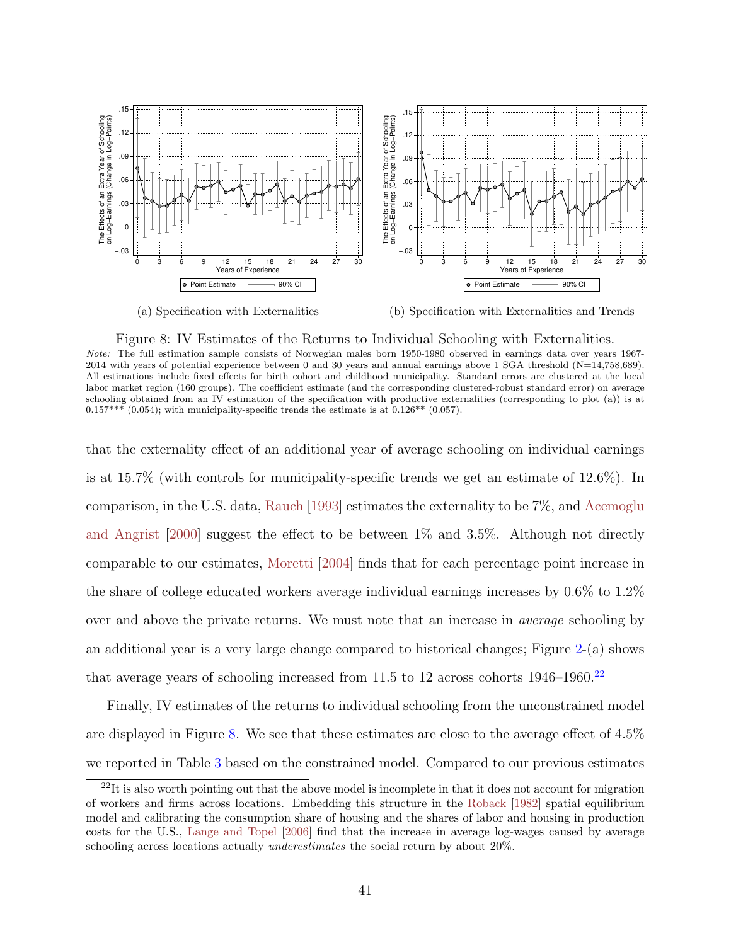<span id="page-40-1"></span><span id="page-40-0"></span>

(a) Specification with Externalities

(b) Specification with Externalities and Trends

#### Figure 8: IV Estimates of the Returns to Individual Schooling with Externalities.

Note: The full estimation sample consists of Norwegian males born 1950-1980 observed in earnings data over years 1967- 2014 with years of potential experience between 0 and 30 years and annual earnings above 1 SGA threshold (N=14,758,689). All estimations include fixed effects for birth cohort and childhood municipality. Standard errors are clustered at the local labor market region (160 groups). The coefficient estimate (and the corresponding clustered-robust standard error) on average schooling obtained from an IV estimation of the specification with productive externalities (corresponding to plot (a)) is at  $0.157***$  (0.054); with municipality-specific trends the estimate is at 0.126<sup>\*\*</sup> (0.057).

that the externality effect of an additional year of average schooling on individual earnings is at 15.7% (with controls for municipality-specific trends we get an estimate of 12.6%). In comparison, in the U.S. data, [Rauch](#page-49-8) [\[1993\]](#page-49-8) estimates the externality to be 7%, and [Acemoglu](#page-45-1) [and Angrist](#page-45-1) [\[2000\]](#page-45-1) suggest the effect to be between 1% and 3.5%. Although not directly comparable to our estimates, [Moretti](#page-49-0) [\[2004\]](#page-49-0) finds that for each percentage point increase in the share of college educated workers average individual earnings increases by 0.6% to 1.2% over and above the private returns. We must note that an increase in average schooling by an additional year is a very large change compared to historical changes; Figure [2-](#page-21-0)(a) shows that average years of schooling increased from 11.5 to 12 across cohorts  $1946-1960$ .<sup>[22](#page-0-0)</sup>

Finally, IV estimates of the returns to individual schooling from the unconstrained model are displayed in Figure [8.](#page-40-0) We see that these estimates are close to the average effect of 4.5% we reported in Table [3](#page-39-0) based on the constrained model. Compared to our previous estimates

 $22$ It is also worth pointing out that the above model is incomplete in that it does not account for migration of workers and firms across locations. Embedding this structure in the [Roback](#page-50-7) [\[1982\]](#page-50-7) spatial equilibrium model and calibrating the consumption share of housing and the shares of labor and housing in production costs for the U.S., [Lange and Topel](#page-48-0) [\[2006\]](#page-48-0) find that the increase in average log-wages caused by average schooling across locations actually *underestimates* the social return by about 20%.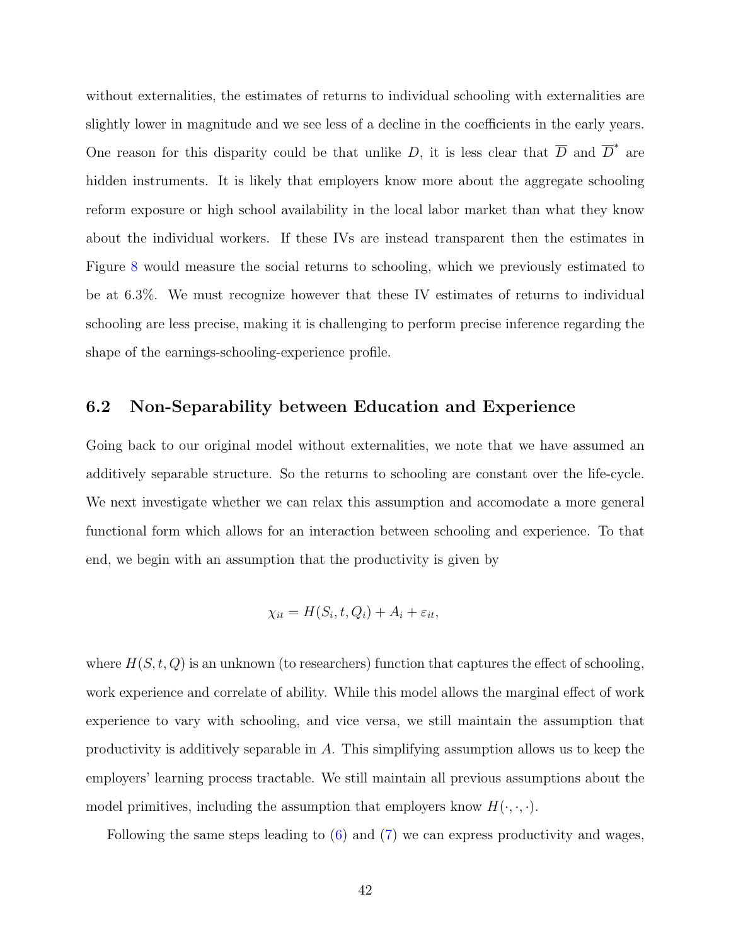without externalities, the estimates of returns to individual schooling with externalities are slightly lower in magnitude and we see less of a decline in the coefficients in the early years. One reason for this disparity could be that unlike D, it is less clear that  $\overline{D}$  and  $\overline{D}^*$  are hidden instruments. It is likely that employers know more about the aggregate schooling reform exposure or high school availability in the local labor market than what they know about the individual workers. If these IVs are instead transparent then the estimates in Figure [8](#page-40-0) would measure the social returns to schooling, which we previously estimated to be at 6.3%. We must recognize however that these IV estimates of returns to individual schooling are less precise, making it is challenging to perform precise inference regarding the shape of the earnings-schooling-experience profile.

### <span id="page-41-0"></span>6.2 Non-Separability between Education and Experience

Going back to our original model without externalities, we note that we have assumed an additively separable structure. So the returns to schooling are constant over the life-cycle. We next investigate whether we can relax this assumption and accomodate a more general functional form which allows for an interaction between schooling and experience. To that end, we begin with an assumption that the productivity is given by

$$
\chi_{it} = H(S_i, t, Q_i) + A_i + \varepsilon_{it},
$$

where  $H(S, t, Q)$  is an unknown (to researchers) function that captures the effect of schooling, work experience and correlate of ability. While this model allows the marginal effect of work experience to vary with schooling, and vice versa, we still maintain the assumption that productivity is additively separable in A. This simplifying assumption allows us to keep the employers' learning process tractable. We still maintain all previous assumptions about the model primitives, including the assumption that employers know  $H(\cdot, \cdot, \cdot)$ .

Following the same steps leading to [\(6\)](#page-8-0) and [\(7\)](#page-9-0) we can express productivity and wages,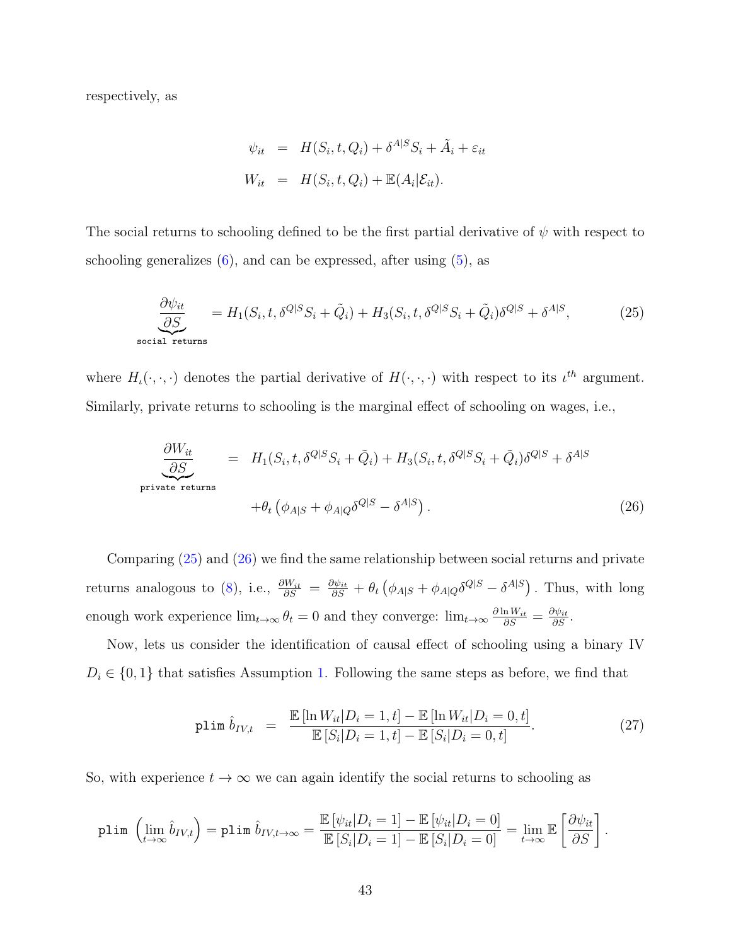respectively, as

$$
\psi_{it} = H(S_i, t, Q_i) + \delta^{A|S} S_i + \tilde{A}_i + \varepsilon_{it}
$$
  

$$
W_{it} = H(S_i, t, Q_i) + \mathbb{E}(A_i | \mathcal{E}_{it}).
$$

The social returns to schooling defined to be the first partial derivative of  $\psi$  with respect to schooling generalizes  $(6)$ , and can be expressed, after using  $(5)$ , as

<span id="page-42-0"></span>
$$
\underbrace{\frac{\partial \psi_{it}}{\partial S}}_{\text{social returns}} = H_1(S_i, t, \delta^{Q|S} S_i + \tilde{Q}_i) + H_3(S_i, t, \delta^{Q|S} S_i + \tilde{Q}_i) \delta^{Q|S} + \delta^{A|S},\tag{25}
$$

where  $H_{\iota}(\cdot,\cdot,\cdot)$  denotes the partial derivative of  $H(\cdot,\cdot,\cdot)$  with respect to its  $\iota^{th}$  argument. Similarly, private returns to schooling is the marginal effect of schooling on wages, i.e.,

<span id="page-42-1"></span>
$$
\underbrace{\frac{\partial W_{it}}{\partial S}}_{\text{private returns}} = H_1(S_i, t, \delta^{Q|S} S_i + \tilde{Q}_i) + H_3(S_i, t, \delta^{Q|S} S_i + \tilde{Q}_i) \delta^{Q|S} + \delta^{A|S} \n+ \theta_t \left( \phi_{A|S} + \phi_{A|Q} \delta^{Q|S} - \delta^{A|S} \right).
$$
\n(26)

Comparing [\(25\)](#page-42-0) and [\(26\)](#page-42-1) we find the same relationship between social returns and private returns analogous to [\(8\)](#page-9-1), i.e.,  $\frac{\partial W_{it}}{\partial S} = \frac{\partial \psi_{it}}{\partial S} + \theta_t (\phi_{A|S} + \phi_{A|Q} \delta^{Q|S} - \delta^{A|S})$ . Thus, with long enough work experience  $\lim_{t\to\infty} \theta_t = 0$  and they converge:  $\lim_{t\to\infty} \frac{\partial \ln W_{it}}{\partial S} = \frac{\partial \psi_{it}}{\partial S}$ .

Now, lets us consider the identification of causal effect of schooling using a binary IV  $D_i \in \{0,1\}$  that satisfies Assumption [1.](#page-12-0) Following the same steps as before, we find that

<span id="page-42-2"></span>
$$
\text{plim } \hat{b}_{IV,t} = \frac{\mathbb{E} [\ln W_{it} | D_i = 1, t] - \mathbb{E} [\ln W_{it} | D_i = 0, t]}{\mathbb{E} [S_i | D_i = 1, t] - \mathbb{E} [S_i | D_i = 0, t]}.
$$
\n(27)

So, with experience  $t \to \infty$  we can again identify the social returns to schooling as

$$
\text{plim}\;\left(\lim_{t\to\infty}\hat{b}_{IV,t}\right)=\text{plim}\;\hat{b}_{IV,t\to\infty}=\frac{\mathbb{E}\left[\psi_{it}\middle|D_{i}=1\right]-\mathbb{E}\left[\psi_{it}\middle|D_{i}=0\right]}{\mathbb{E}\left[S_{i}\middle|D_{i}=1\right]-\mathbb{E}\left[S_{i}\middle|D_{i}=0\right]}=\lim_{t\to\infty}\mathbb{E}\left[\frac{\partial\psi_{it}}{\partial S}\right].
$$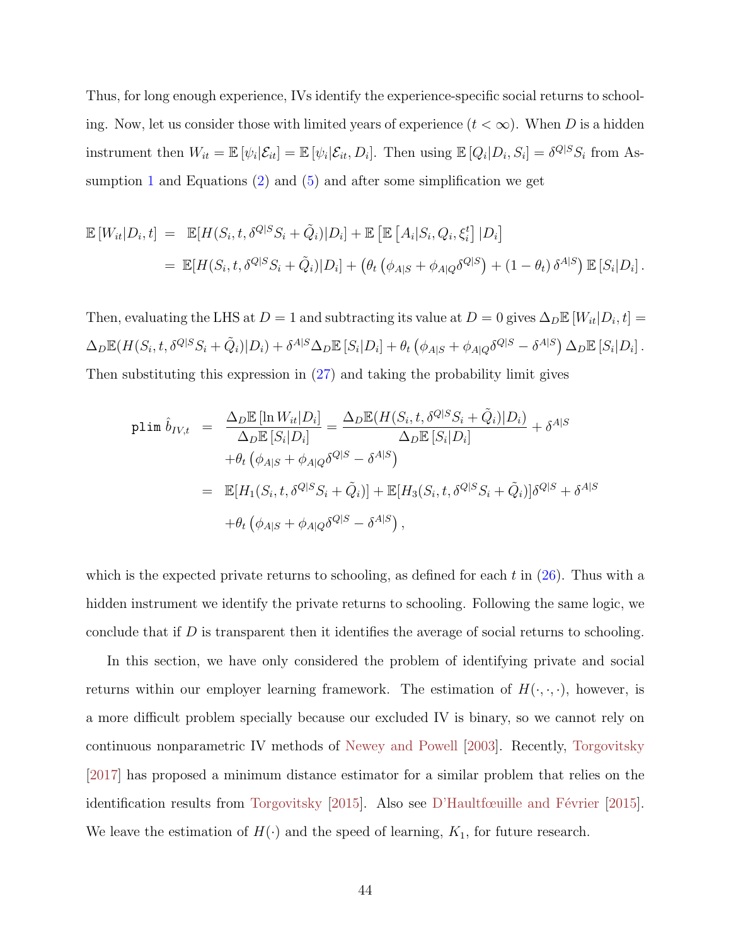<span id="page-43-0"></span>Thus, for long enough experience, IVs identify the experience-specific social returns to schooling. Now, let us consider those with limited years of experience  $(t < \infty)$ . When D is a hidden instrument then  $W_{it} = \mathbb{E} [\psi_i | \mathcal{E}_{it}] = \mathbb{E} [\psi_i | \mathcal{E}_{it}, D_i]$ . Then using  $\mathbb{E} [Q_i | D_i, S_i] = \delta^{Q|S} S_i$  from As-sumption [1](#page-12-0) and Equations  $(2)$  and  $(5)$  and after some simplification we get

$$
\mathbb{E}\left[W_{it}|D_i,t\right] = \mathbb{E}[H(S_i,t,\delta^{Q|S}S_i+\tilde{Q}_i)|D_i] + \mathbb{E}\left[\mathbb{E}\left[A_i|S_i,Q_i,\xi_i^t\right]|D_i\right]
$$

$$
= \mathbb{E}[H(S_i,t,\delta^{Q|S}S_i+\tilde{Q}_i)|D_i] + \left(\theta_t\left(\phi_{A|S}+\phi_{A|Q}\delta^{Q|S}\right) + (1-\theta_t)\delta^{A|S}\right)\mathbb{E}\left[S_i|D_i\right].
$$

Then, evaluating the LHS at  $D = 1$  and subtracting its value at  $D = 0$  gives  $\Delta_D \mathbb{E} [W_{it} | D_i, t] =$  $\Delta_D \mathbb{E}(H(S_i, t, \delta^{Q|S}S_i + \tilde{Q}_i)|D_i) + \delta^{A|S}\Delta_D \mathbb{E}\left[S_i|D_i\right] + \theta_t\left(\phi_{A|S} + \phi_{A|Q}\delta^{Q|S} - \delta^{A|S}\right)\Delta_D \mathbb{E}\left[S_i|D_i\right].$ Then substituting this expression in [\(27\)](#page-42-2) and taking the probability limit gives

$$
\begin{split}\n\text{plim } \hat{b}_{IV,t} &= \frac{\Delta_D \mathbb{E} \left[ \ln W_{it} | D_i \right]}{\Delta_D \mathbb{E} \left[ S_i | D_i \right]} = \frac{\Delta_D \mathbb{E} (H(S_i, t, \delta^{Q|S} S_i + \tilde{Q}_i) | D_i)}{\Delta_D \mathbb{E} \left[ S_i | D_i \right]} + \delta^{A|S} \\
&\quad + \theta_t \left( \phi_{A|S} + \phi_{A|Q} \delta^{Q|S} - \delta^{A|S} \right) \\
&= \mathbb{E} [H_1(S_i, t, \delta^{Q|S} S_i + \tilde{Q}_i)] + \mathbb{E} [H_3(S_i, t, \delta^{Q|S} S_i + \tilde{Q}_i)] \delta^{Q|S} + \delta^{A|S} \\
&\quad + \theta_t \left( \phi_{A|S} + \phi_{A|Q} \delta^{Q|S} - \delta^{A|S} \right),\n\end{split}
$$

which is the expected private returns to schooling, as defined for each  $t$  in [\(26\)](#page-42-1). Thus with a hidden instrument we identify the private returns to schooling. Following the same logic, we conclude that if  $D$  is transparent then it identifies the average of social returns to schooling.

In this section, we have only considered the problem of identifying private and social returns within our employer learning framework. The estimation of  $H(\cdot, \cdot, \cdot)$ , however, is a more difficult problem specially because our excluded IV is binary, so we cannot rely on continuous nonparametric IV methods of [Newey and Powell](#page-49-9) [\[2003\]](#page-49-9). Recently, [Torgovitsky](#page-50-9) [\[2017\]](#page-50-9) has proposed a minimum distance estimator for a similar problem that relies on the identification results from [Torgovitsky](#page-50-10) [\[2015\]](#page-47-10). Also see D'Haultfœuille and Février [2015]. We leave the estimation of  $H(\cdot)$  and the speed of learning,  $K_1$ , for future research.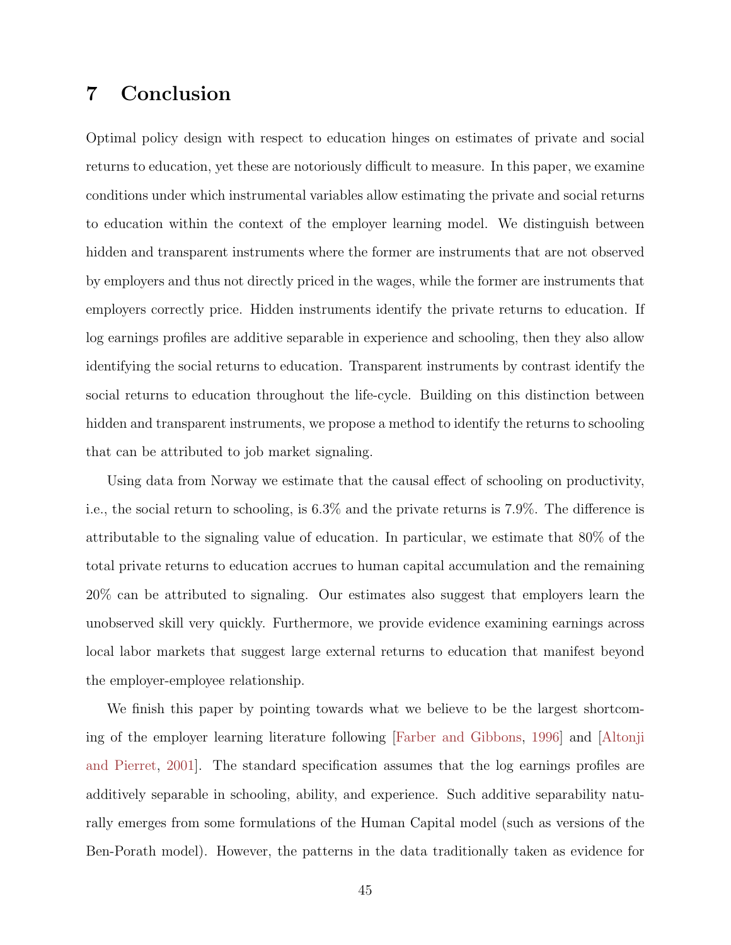## <span id="page-44-1"></span><span id="page-44-0"></span>7 Conclusion

Optimal policy design with respect to education hinges on estimates of private and social returns to education, yet these are notoriously difficult to measure. In this paper, we examine conditions under which instrumental variables allow estimating the private and social returns to education within the context of the employer learning model. We distinguish between hidden and transparent instruments where the former are instruments that are not observed by employers and thus not directly priced in the wages, while the former are instruments that employers correctly price. Hidden instruments identify the private returns to education. If log earnings profiles are additive separable in experience and schooling, then they also allow identifying the social returns to education. Transparent instruments by contrast identify the social returns to education throughout the life-cycle. Building on this distinction between hidden and transparent instruments, we propose a method to identify the returns to schooling that can be attributed to job market signaling.

Using data from Norway we estimate that the causal effect of schooling on productivity, i.e., the social return to schooling, is 6.3% and the private returns is 7.9%. The difference is attributable to the signaling value of education. In particular, we estimate that 80% of the total private returns to education accrues to human capital accumulation and the remaining 20% can be attributed to signaling. Our estimates also suggest that employers learn the unobserved skill very quickly. Furthermore, we provide evidence examining earnings across local labor markets that suggest large external returns to education that manifest beyond the employer-employee relationship.

We finish this paper by pointing towards what we believe to be the largest shortcoming of the employer learning literature following [\[Farber and Gibbons,](#page-47-0) [1996\]](#page-47-0) and [\[Altonji](#page-45-0) [and Pierret,](#page-45-0) [2001\]](#page-45-0). The standard specification assumes that the log earnings profiles are additively separable in schooling, ability, and experience. Such additive separability naturally emerges from some formulations of the Human Capital model (such as versions of the Ben-Porath model). However, the patterns in the data traditionally taken as evidence for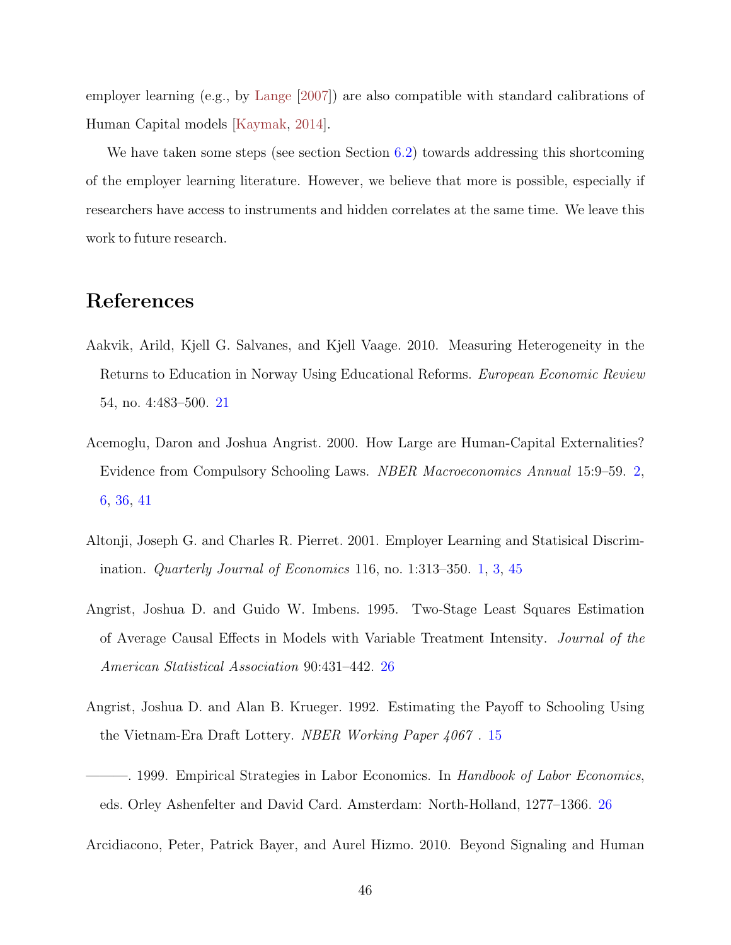<span id="page-45-7"></span>employer learning (e.g., by [Lange](#page-48-2) [\[2007\]](#page-48-2)) are also compatible with standard calibrations of Human Capital models [\[Kaymak,](#page-48-9) [2014\]](#page-48-9).

We have taken some steps (see section Section [6.2\)](#page-41-0) towards addressing this shortcoming of the employer learning literature. However, we believe that more is possible, especially if researchers have access to instruments and hidden correlates at the same time. We leave this work to future research.

### References

- <span id="page-45-4"></span>Aakvik, Arild, Kjell G. Salvanes, and Kjell Vaage. 2010. Measuring Heterogeneity in the Returns to Education in Norway Using Educational Reforms. European Economic Review 54, no. 4:483–500. [21](#page-20-1)
- <span id="page-45-1"></span>Acemoglu, Daron and Joshua Angrist. 2000. How Large are Human-Capital Externalities? Evidence from Compulsory Schooling Laws. NBER Macroeconomics Annual 15:9–59. [2,](#page-1-0) [6,](#page-5-0) [36,](#page-35-4) [41](#page-40-1)
- <span id="page-45-0"></span>Altonji, Joseph G. and Charles R. Pierret. 2001. Employer Learning and Statisical Discrimination. Quarterly Journal of Economics 116, no. 1:313–350. [1,](#page-0-1) [3,](#page-2-0) [45](#page-44-1)
- <span id="page-45-5"></span>Angrist, Joshua D. and Guido W. Imbens. 1995. Two-Stage Least Squares Estimation of Average Causal Effects in Models with Variable Treatment Intensity. Journal of the American Statistical Association 90:431–442. [26](#page-25-1)
- <span id="page-45-3"></span>Angrist, Joshua D. and Alan B. Krueger. 1992. Estimating the Payoff to Schooling Using the Vietnam-Era Draft Lottery. NBER Working Paper 4067 . [15](#page-14-1)
- <span id="page-45-6"></span>-. 1999. Empirical Strategies in Labor Economics. In Handbook of Labor Economics, eds. Orley Ashenfelter and David Card. Amsterdam: North-Holland, 1277–1366. [26](#page-25-1)
- <span id="page-45-2"></span>Arcidiacono, Peter, Patrick Bayer, and Aurel Hizmo. 2010. Beyond Signaling and Human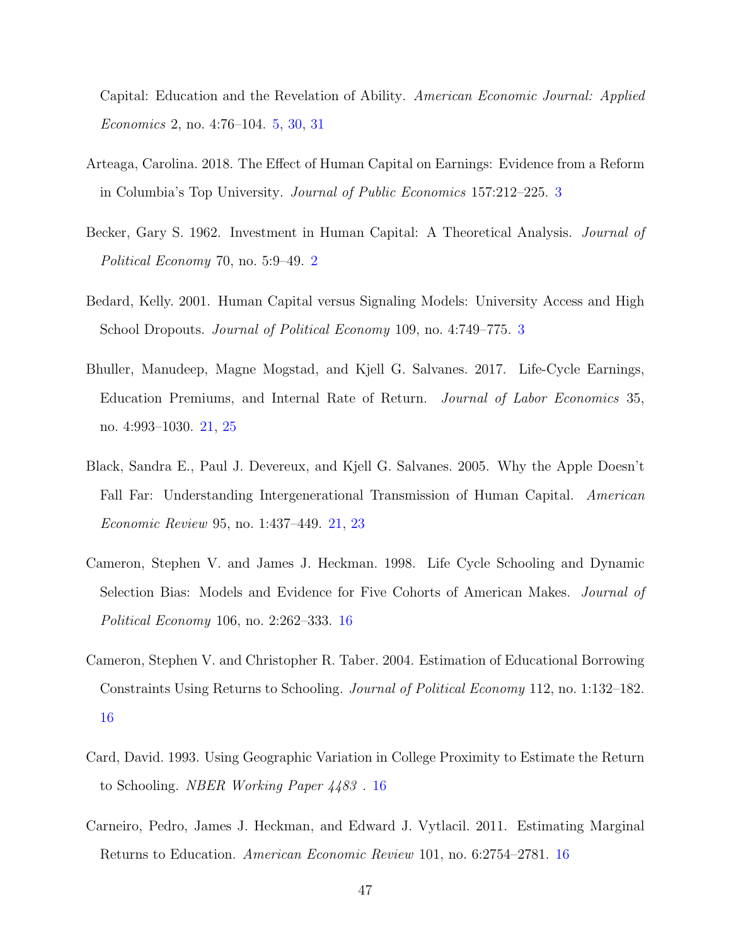Capital: Education and the Revelation of Ability. American Economic Journal: Applied Economics 2, no. 4:76–104. [5,](#page-4-0) [30,](#page-29-1) [31](#page-30-1)

- <span id="page-46-2"></span>Arteaga, Carolina. 2018. The Effect of Human Capital on Earnings: Evidence from a Reform in Columbia's Top University. Journal of Public Economics 157:212–225. [3](#page-2-0)
- <span id="page-46-0"></span>Becker, Gary S. 1962. Investment in Human Capital: A Theoretical Analysis. Journal of Political Economy 70, no. 5:9–49. [2](#page-1-0)
- <span id="page-46-1"></span>Bedard, Kelly. 2001. Human Capital versus Signaling Models: University Access and High School Dropouts. *Journal of Political Economy* 109, no. 4:749–775. [3](#page-2-0)
- <span id="page-46-8"></span>Bhuller, Manudeep, Magne Mogstad, and Kjell G. Salvanes. 2017. Life-Cycle Earnings, Education Premiums, and Internal Rate of Return. Journal of Labor Economics 35, no. 4:993–1030. [21,](#page-20-1) [25](#page-24-0)
- <span id="page-46-7"></span>Black, Sandra E., Paul J. Devereux, and Kjell G. Salvanes. 2005. Why the Apple Doesn't Fall Far: Understanding Intergenerational Transmission of Human Capital. American Economic Review 95, no. 1:437–449. [21,](#page-20-1) [23](#page-22-2)
- <span id="page-46-3"></span>Cameron, Stephen V. and James J. Heckman. 1998. Life Cycle Schooling and Dynamic Selection Bias: Models and Evidence for Five Cohorts of American Makes. Journal of Political Economy 106, no. 2:262–333. [16](#page-15-1)
- <span id="page-46-4"></span>Cameron, Stephen V. and Christopher R. Taber. 2004. Estimation of Educational Borrowing Constraints Using Returns to Schooling. Journal of Political Economy 112, no. 1:132–182. [16](#page-15-1)
- <span id="page-46-6"></span>Card, David. 1993. Using Geographic Variation in College Proximity to Estimate the Return to Schooling. NBER Working Paper 4483 . [16](#page-15-1)
- <span id="page-46-5"></span>Carneiro, Pedro, James J. Heckman, and Edward J. Vytlacil. 2011. Estimating Marginal Returns to Education. American Economic Review 101, no. 6:2754–2781. [16](#page-15-1)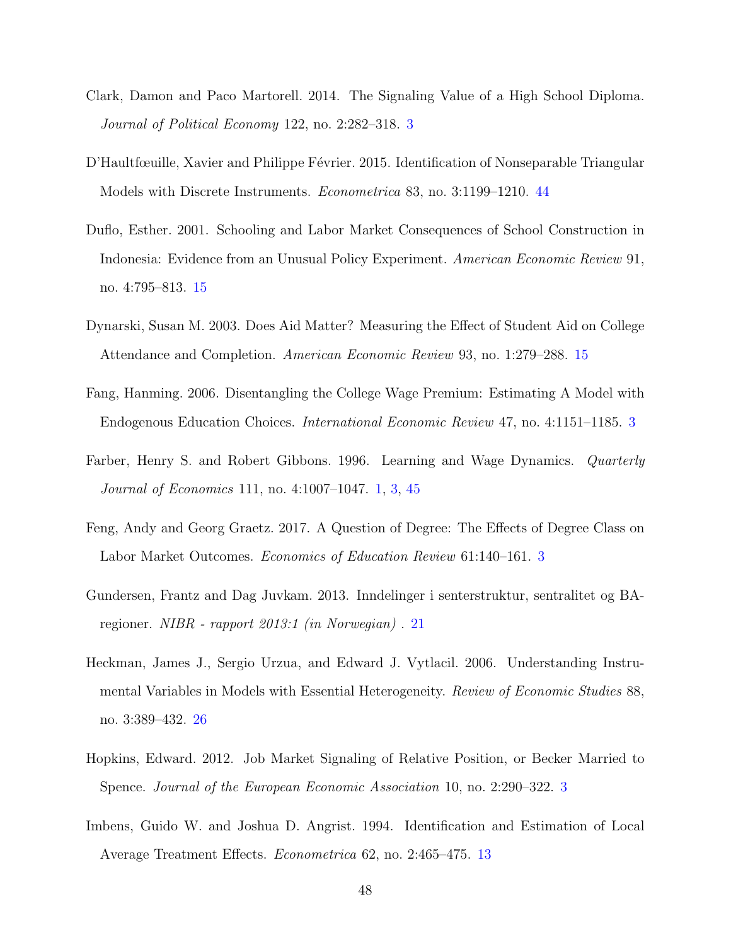- <span id="page-47-3"></span>Clark, Damon and Paco Martorell. 2014. The Signaling Value of a High School Diploma. Journal of Political Economy 122, no. 2:282–318. [3](#page-2-0)
- <span id="page-47-10"></span>D'Haultfœuille, Xavier and Philippe Février. 2015. Identification of Nonseparable Triangular Models with Discrete Instruments. Econometrica 83, no. 3:1199–1210. [44](#page-43-0)
- <span id="page-47-7"></span>Duflo, Esther. 2001. Schooling and Labor Market Consequences of School Construction in Indonesia: Evidence from an Unusual Policy Experiment. American Economic Review 91, no. 4:795–813. [15](#page-14-1)
- <span id="page-47-6"></span>Dynarski, Susan M. 2003. Does Aid Matter? Measuring the Effect of Student Aid on College Attendance and Completion. American Economic Review 93, no. 1:279–288. [15](#page-14-1)
- <span id="page-47-1"></span>Fang, Hanming. 2006. Disentangling the College Wage Premium: Estimating A Model with Endogenous Education Choices. International Economic Review 47, no. 4:1151–1185. [3](#page-2-0)
- <span id="page-47-0"></span>Farber, Henry S. and Robert Gibbons. 1996. Learning and Wage Dynamics. Quarterly Journal of Economics 111, no. 4:1007–1047. [1,](#page-0-1) [3,](#page-2-0) [45](#page-44-1)
- <span id="page-47-4"></span>Feng, Andy and Georg Graetz. 2017. A Question of Degree: The Effects of Degree Class on Labor Market Outcomes. Economics of Education Review 61:140–161. [3](#page-2-0)
- <span id="page-47-8"></span>Gundersen, Frantz and Dag Juvkam. 2013. Inndelinger i senterstruktur, sentralitet og BAregioner. NIBR - rapport 2013:1 (in Norwegian) . [21](#page-20-1)
- <span id="page-47-9"></span>Heckman, James J., Sergio Urzua, and Edward J. Vytlacil. 2006. Understanding Instrumental Variables in Models with Essential Heterogeneity. Review of Economic Studies 88, no. 3:389–432. [26](#page-25-1)
- <span id="page-47-2"></span>Hopkins, Edward. 2012. Job Market Signaling of Relative Position, or Becker Married to Spence. Journal of the European Economic Association 10, no. 2:290–322. [3](#page-2-0)
- <span id="page-47-5"></span>Imbens, Guido W. and Joshua D. Angrist. 1994. Identification and Estimation of Local Average Treatment Effects. Econometrica 62, no. 2:465–475. [13](#page-12-2)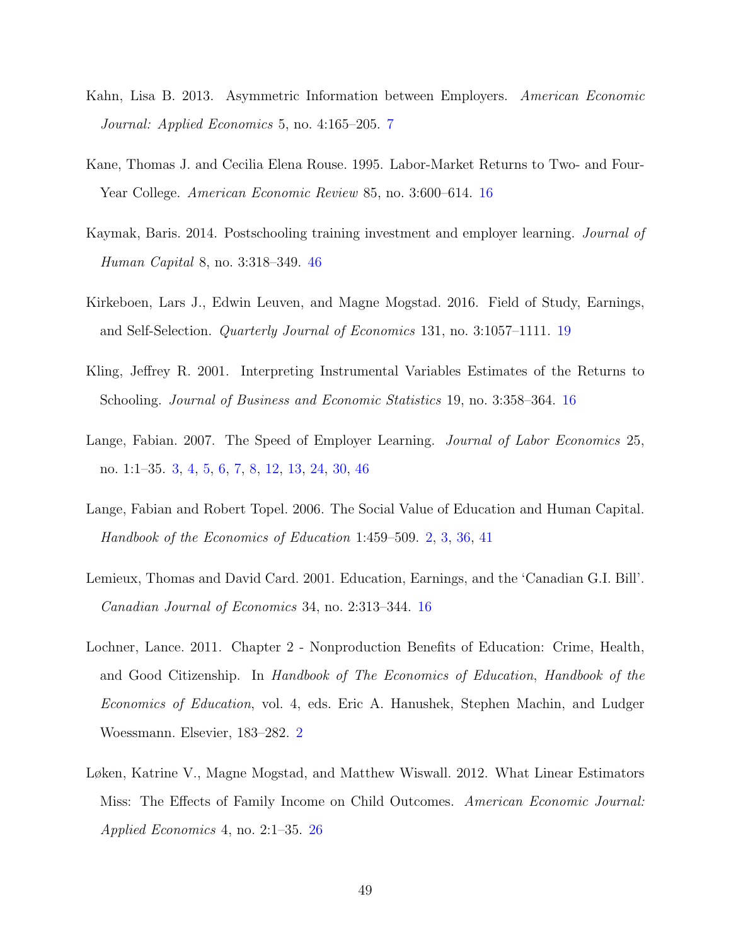- <span id="page-48-3"></span>Kahn, Lisa B. 2013. Asymmetric Information between Employers. American Economic Journal: Applied Economics 5, no. 4:165–205. [7](#page-6-2)
- <span id="page-48-4"></span>Kane, Thomas J. and Cecilia Elena Rouse. 1995. Labor-Market Returns to Two- and Four-Year College. American Economic Review 85, no. 3:600–614. [16](#page-15-1)
- <span id="page-48-9"></span>Kaymak, Baris. 2014. Postschooling training investment and employer learning. Journal of Human Capital 8, no. 3:318–349. [46](#page-45-7)
- <span id="page-48-7"></span>Kirkeboen, Lars J., Edwin Leuven, and Magne Mogstad. 2016. Field of Study, Earnings, and Self-Selection. Quarterly Journal of Economics 131, no. 3:1057–1111. [19](#page-18-0)
- <span id="page-48-6"></span>Kling, Jeffrey R. 2001. Interpreting Instrumental Variables Estimates of the Returns to Schooling. Journal of Business and Economic Statistics 19, no. 3:358–364. [16](#page-15-1)
- <span id="page-48-2"></span>Lange, Fabian. 2007. The Speed of Employer Learning. *Journal of Labor Economics* 25, no. 1:1–35. [3,](#page-2-0) [4,](#page-3-0) [5,](#page-4-0) [6,](#page-5-0) [7,](#page-6-2) [8,](#page-7-3) [12,](#page-11-1) [13,](#page-12-2) [24,](#page-23-2) [30,](#page-29-1) [46](#page-45-7)
- <span id="page-48-0"></span>Lange, Fabian and Robert Topel. 2006. The Social Value of Education and Human Capital. Handbook of the Economics of Education 1:459–509. [2,](#page-1-0) [3,](#page-2-0) [36,](#page-35-4) [41](#page-40-1)
- <span id="page-48-5"></span>Lemieux, Thomas and David Card. 2001. Education, Earnings, and the 'Canadian G.I. Bill'. Canadian Journal of Economics 34, no. 2:313–344. [16](#page-15-1)
- <span id="page-48-1"></span>Lochner, Lance. 2011. Chapter 2 - Nonproduction Benefits of Education: Crime, Health, and Good Citizenship. In Handbook of The Economics of Education, Handbook of the Economics of Education, vol. 4, eds. Eric A. Hanushek, Stephen Machin, and Ludger Woessmann. Elsevier, 183–282. [2](#page-1-0)
- <span id="page-48-8"></span>Løken, Katrine V., Magne Mogstad, and Matthew Wiswall. 2012. What Linear Estimators Miss: The Effects of Family Income on Child Outcomes. American Economic Journal: Applied Economics 4, no. 2:1–35. [26](#page-25-1)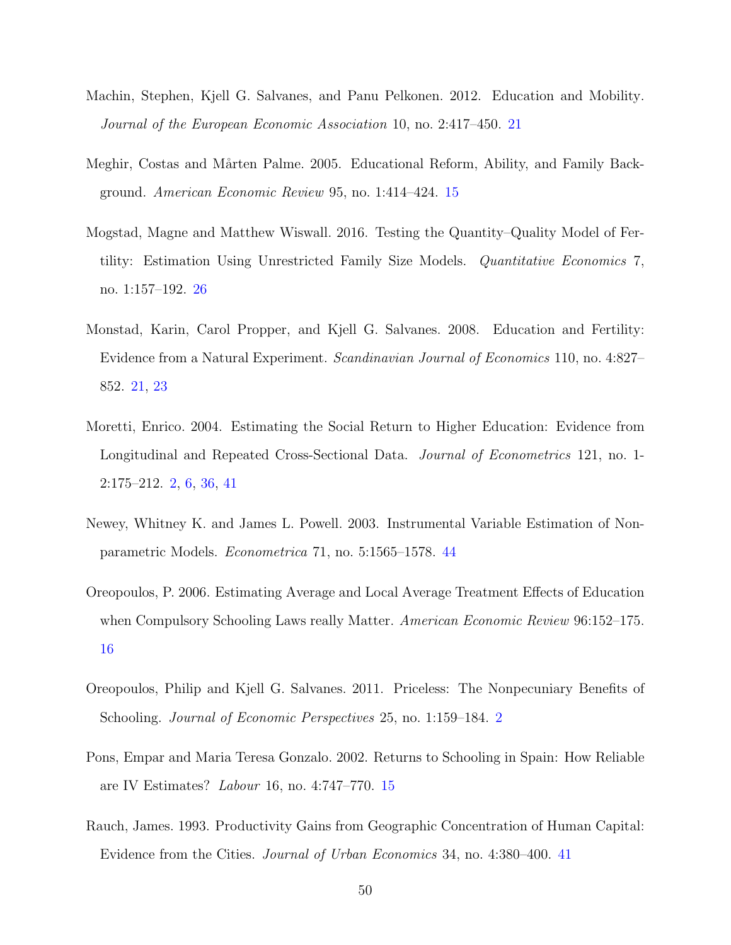- <span id="page-49-6"></span>Machin, Stephen, Kjell G. Salvanes, and Panu Pelkonen. 2012. Education and Mobility. Journal of the European Economic Association 10, no. 2:417–450. [21](#page-20-1)
- <span id="page-49-3"></span>Meghir, Costas and Mårten Palme. 2005. Educational Reform, Ability, and Family Background. American Economic Review 95, no. 1:414–424. [15](#page-14-1)
- <span id="page-49-7"></span>Mogstad, Magne and Matthew Wiswall. 2016. Testing the Quantity–Quality Model of Fertility: Estimation Using Unrestricted Family Size Models. Quantitative Economics 7, no. 1:157–192. [26](#page-25-1)
- <span id="page-49-5"></span>Monstad, Karin, Carol Propper, and Kjell G. Salvanes. 2008. Education and Fertility: Evidence from a Natural Experiment. Scandinavian Journal of Economics 110, no. 4:827– 852. [21,](#page-20-1) [23](#page-22-2)
- <span id="page-49-0"></span>Moretti, Enrico. 2004. Estimating the Social Return to Higher Education: Evidence from Longitudinal and Repeated Cross-Sectional Data. *Journal of Econometrics* 121, no. 1-2:175–212. [2,](#page-1-0) [6,](#page-5-0) [36,](#page-35-4) [41](#page-40-1)
- <span id="page-49-9"></span>Newey, Whitney K. and James L. Powell. 2003. Instrumental Variable Estimation of Nonparametric Models. Econometrica 71, no. 5:1565–1578. [44](#page-43-0)
- <span id="page-49-4"></span>Oreopoulos, P. 2006. Estimating Average and Local Average Treatment Effects of Education when Compulsory Schooling Laws really Matter. American Economic Review 96:152–175. [16](#page-15-1)
- <span id="page-49-1"></span>Oreopoulos, Philip and Kjell G. Salvanes. 2011. Priceless: The Nonpecuniary Benefits of Schooling. *Journal of Economic Perspectives* [2](#page-1-0)5, no. 1:159–184. 2
- <span id="page-49-2"></span>Pons, Empar and Maria Teresa Gonzalo. 2002. Returns to Schooling in Spain: How Reliable are IV Estimates? Labour 16, no. 4:747–770. [15](#page-14-1)
- <span id="page-49-8"></span>Rauch, James. 1993. Productivity Gains from Geographic Concentration of Human Capital: Evidence from the Cities. Journal of Urban Economics 34, no. 4:380–400. [41](#page-40-1)